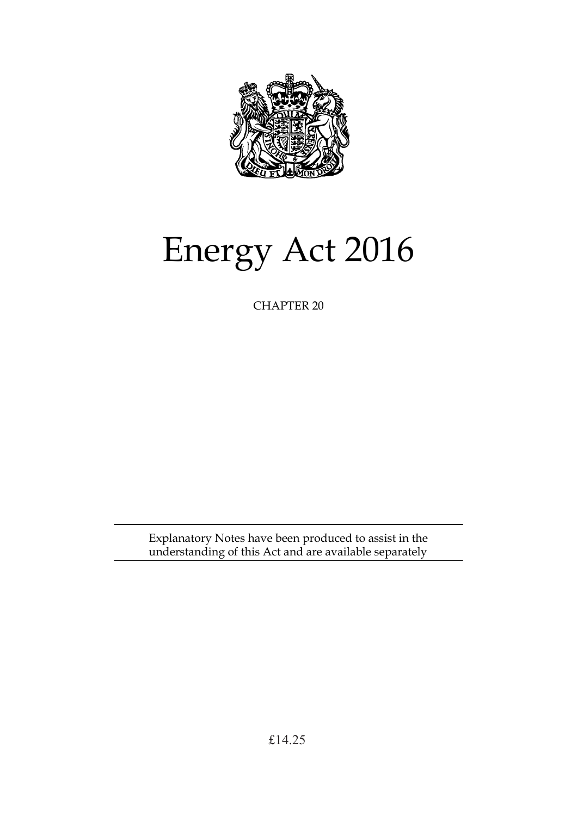

# Energy Act 2016

CHAPTER 20

Explanatory Notes have been produced to assist in the understanding of this Act and are available separately

£14.25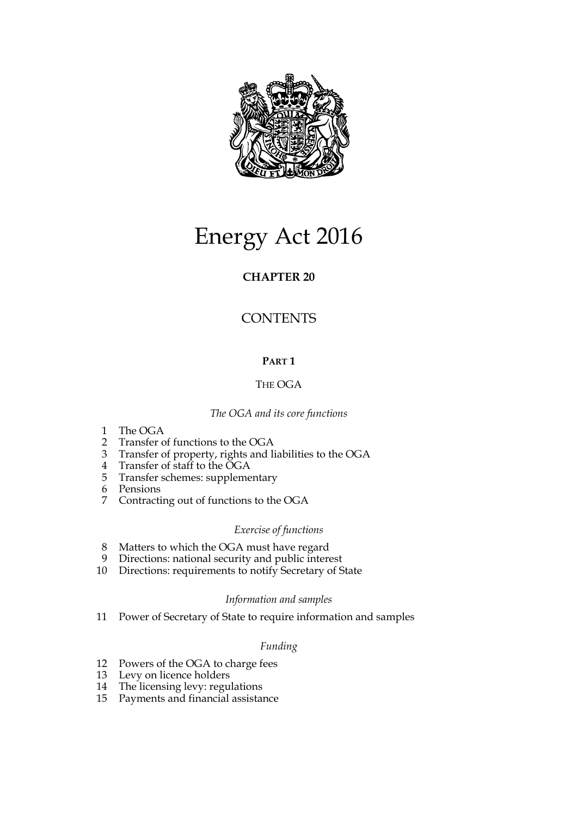

# Energy Act 2016

# **CHAPTER 20**

# **CONTENTS**

# **PART 1**

# THE OGA

# *The OGA and its core functions*

- 1 The OGA
- 2 Transfer of functions to the OGA
- 3 Transfer of property, rights and liabilities to the OGA
- 4 Transfer of staff to the OGA
- 5 Transfer schemes: supplementary
- 6 Pensions
- 7 Contracting out of functions to the OGA

# *Exercise of functions*

- 8 Matters to which the OGA must have regard
- 9 Directions: national security and public interest
- 10 Directions: requirements to notify Secretary of State

# *Information and samples*

11 Power of Secretary of State to require information and samples

# *Funding*

- 12 Powers of the OGA to charge fees
- 13 Levy on licence holders
- 14 The licensing levy: regulations
- 15 Payments and financial assistance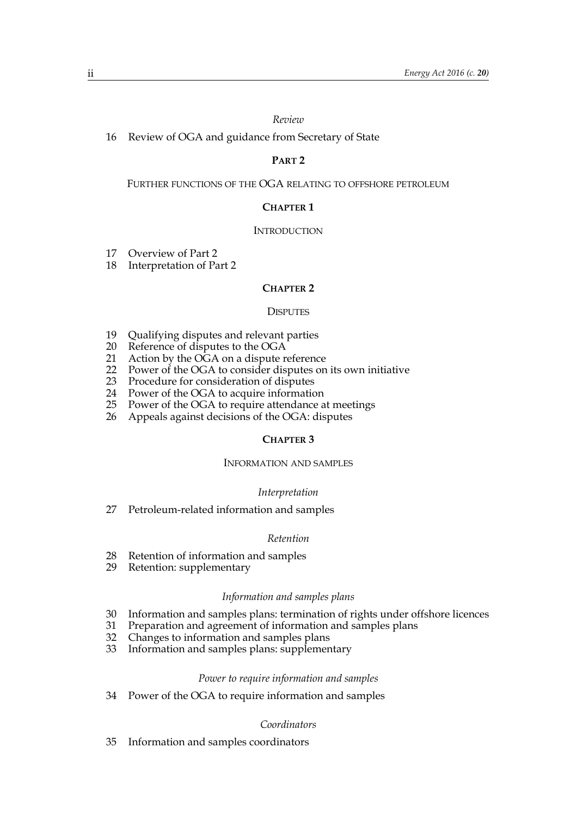#### *Review*

16 Review of OGA and guidance from Secretary of State

# **PART 2**

FURTHER FUNCTIONS OF THE OGA RELATING TO OFFSHORE PETROLEUM

# **CHAPTER 1**

#### **INTRODUCTION**

- 17 Overview of Part 2
- 18 Interpretation of Part 2

#### **CHAPTER 2**

#### **DISPUTES**

- 19 Qualifying disputes and relevant parties
- 20 Reference of disputes to the OGA
- 21 Action by the OGA on a dispute reference
- 22 Power of the OGA to consider disputes on its own initiative
- 23 Procedure for consideration of disputes
- 24 Power of the OGA to acquire information
- 25 Power of the OGA to require attendance at meetings
- 26 Appeals against decisions of the OGA: disputes

#### **CHAPTER 3**

#### INFORMATION AND SAMPLES

#### *Interpretation*

27 Petroleum-related information and samples

#### *Retention*

- 28 Retention of information and samples
- 29 Retention: supplementary

#### *Information and samples plans*

- 30 Information and samples plans: termination of rights under offshore licences
- Preparation and agreement of information and samples plans
- 32 Changes to information and samples plans
- 33 Information and samples plans: supplementary

#### *Power to require information and samples*

34 Power of the OGA to require information and samples

#### *Coordinators*

35 Information and samples coordinators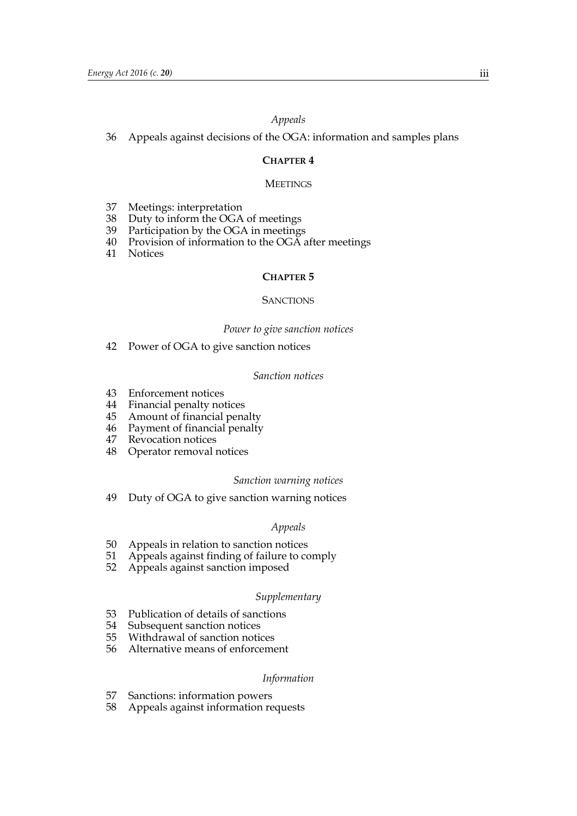# *Appeals*

36 Appeals against decisions of the OGA: information and samples plans

# **CHAPTER 4**

#### **MEETINGS**

- 37 Meetings: interpretation
- 38 Duty to inform the OGA of meetings
- 39 Participation by the OGA in meetings
- 40 Provision of information to the OGA after meetings
- 41 Notices

#### **CHAPTER 5**

#### **SANCTIONS**

#### *Power to give sanction notices*

42 Power of OGA to give sanction notices

#### *Sanction notices*

- 43 Enforcement notices
- 44 Financial penalty notices
- 45 Amount of financial penalty
- 46 Payment of financial penalty
- 47 Revocation notices
- 48 Operator removal notices

#### *Sanction warning notices*

49 Duty of OGA to give sanction warning notices

#### *Appeals*

- 50 Appeals in relation to sanction notices
- 51 Appeals against finding of failure to comply
- 52 Appeals against sanction imposed

#### *Supplementary*

- 53 Publication of details of sanctions
- 54 Subsequent sanction notices
- 55 Withdrawal of sanction notices
- 56 Alternative means of enforcement

#### *Information*

- 57 Sanctions: information powers
- 58 Appeals against information requests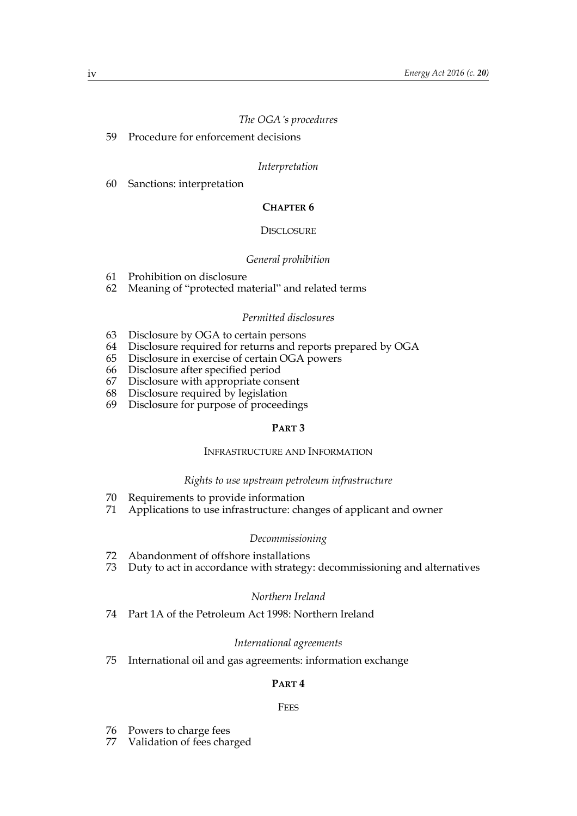# *The OGA's procedures*

59 Procedure for enforcement decisions

#### *Interpretation*

60 Sanctions: interpretation

# **CHAPTER 6**

#### DISCLOSURE

# *General prohibition*

- 61 Prohibition on disclosure
- 62 Meaning of "protected material" and related terms

#### *Permitted disclosures*

- 63 Disclosure by OGA to certain persons
- 64 Disclosure required for returns and reports prepared by OGA
- 65 Disclosure in exercise of certain OGA powers
- 66 Disclosure after specified period
- 67 Disclosure with appropriate consent
- 68 Disclosure required by legislation
- 69 Disclosure for purpose of proceedings

# **PART 3**

#### INFRASTRUCTURE AND INFORMATION

#### *Rights to use upstream petroleum infrastructure*

- 70 Requirements to provide information
- 71 Applications to use infrastructure: changes of applicant and owner

#### *Decommissioning*

- 72 Abandonment of offshore installations
- 73 Duty to act in accordance with strategy: decommissioning and alternatives

#### *Northern Ireland*

74 Part 1A of the Petroleum Act 1998: Northern Ireland

#### *International agreements*

75 International oil and gas agreements: information exchange

# **PART 4**

#### **FEES**

- 76 Powers to charge fees
- 77 Validation of fees charged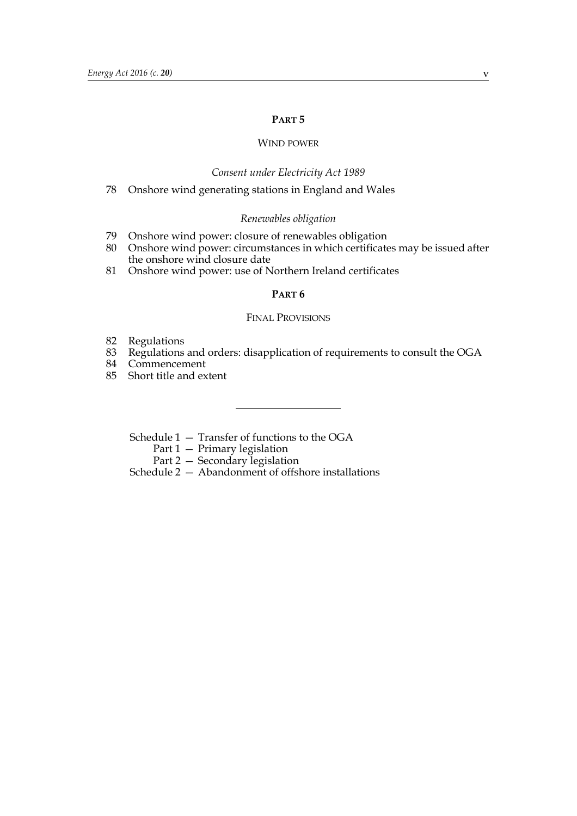#### **PART 5**

# WIND POWER

#### *Consent under Electricity Act 1989*

78 Onshore wind generating stations in England and Wales

#### *Renewables obligation*

- 79 Onshore wind power: closure of renewables obligation
- 80 Onshore wind power: circumstances in which certificates may be issued after the onshore wind closure date
- 81 Onshore wind power: use of Northern Ireland certificates

#### **PART 6**

#### FINAL PROVISIONS

- 82 Regulations<br>83 Regulations
- 83 Regulations and orders: disapplication of requirements to consult the OGA<br>84 Commencement
- **Commencement**
- 85 Short title and extent

Schedule 1 — Transfer of functions to the OGA

- Part 1 Primary legislation
- Part 2 Secondary legislation

Schedule 2 — Abandonment of offshore installations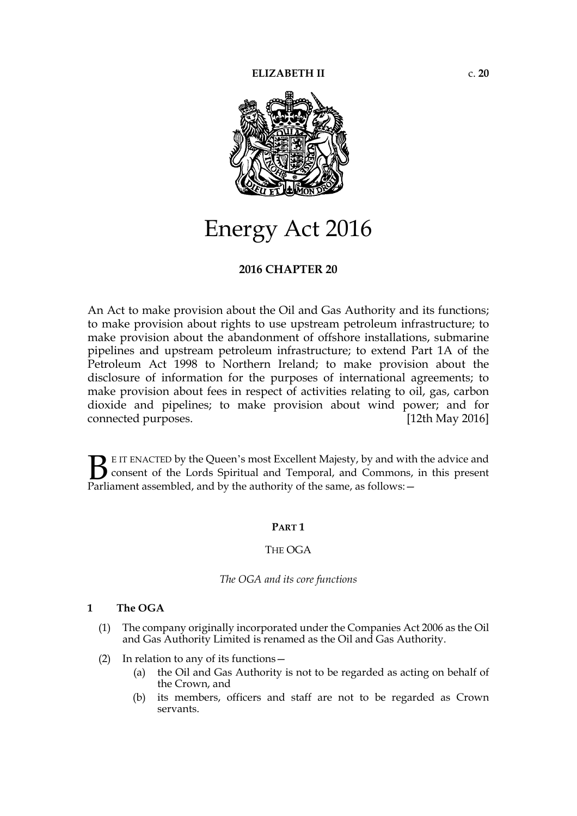

# Energy Act 2016

# **2016 CHAPTER 20**

An Act to make provision about the Oil and Gas Authority and its functions; to make provision about rights to use upstream petroleum infrastructure; to make provision about the abandonment of offshore installations, submarine pipelines and upstream petroleum infrastructure; to extend Part 1A of the Petroleum Act 1998 to Northern Ireland; to make provision about the disclosure of information for the purposes of international agreements; to make provision about fees in respect of activities relating to oil, gas, carbon dioxide and pipelines; to make provision about wind power; and for connected purposes. [12th May 2016]

E IT ENACTED by the Queen's most Excellent Majesty, by and with the advice and consent of the Lords Spiritual and Temporal, and Commons, in this present **B** E IT ENACTED by the Queen's most Excellent Majesty, by and with consent of the Lords Spiritual and Temporal, and Commons, Parliament assembled, and by the authority of the same, as follows:  $-$ 

# **PART 1**

# THE OGA

#### *The OGA and its core functions*

# **1 The OGA**

- (1) The company originally incorporated under the Companies Act 2006 as the Oil and Gas Authority Limited is renamed as the Oil and Gas Authority.
- (2) In relation to any of its functions—
	- (a) the Oil and Gas Authority is not to be regarded as acting on behalf of the Crown, and
	- (b) its members, officers and staff are not to be regarded as Crown servants.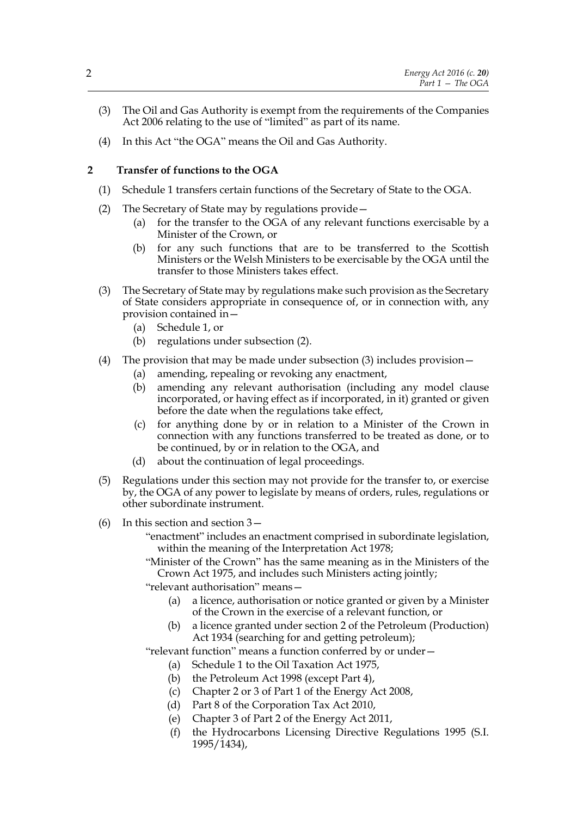- (3) The Oil and Gas Authority is exempt from the requirements of the Companies Act 2006 relating to the use of "limited" as part of its name.
- (4) In this Act "the OGA" means the Oil and Gas Authority.

# **2 Transfer of functions to the OGA**

- (1) Schedule 1 transfers certain functions of the Secretary of State to the OGA.
- (2) The Secretary of State may by regulations provide—
	- (a) for the transfer to the OGA of any relevant functions exercisable by a Minister of the Crown, or
	- (b) for any such functions that are to be transferred to the Scottish Ministers or the Welsh Ministers to be exercisable by the OGA until the transfer to those Ministers takes effect.
- (3) The Secretary of State may by regulations make such provision as the Secretary of State considers appropriate in consequence of, or in connection with, any provision contained in—
	- (a) Schedule 1, or
	- (b) regulations under subsection (2).
- (4) The provision that may be made under subsection (3) includes provision—
	- (a) amending, repealing or revoking any enactment,
	- (b) amending any relevant authorisation (including any model clause incorporated, or having effect as if incorporated, in it) granted or given before the date when the regulations take effect,
	- (c) for anything done by or in relation to a Minister of the Crown in connection with any functions transferred to be treated as done, or to be continued, by or in relation to the OGA, and
	- (d) about the continuation of legal proceedings.
- (5) Regulations under this section may not provide for the transfer to, or exercise by, the OGA of any power to legislate by means of orders, rules, regulations or other subordinate instrument.
- (6) In this section and section 3—
	- "enactment" includes an enactment comprised in subordinate legislation, within the meaning of the Interpretation Act 1978;
	- "Minister of the Crown" has the same meaning as in the Ministers of the Crown Act 1975, and includes such Ministers acting jointly;
	- "relevant authorisation" means—
		- (a) a licence, authorisation or notice granted or given by a Minister of the Crown in the exercise of a relevant function, or
		- (b) a licence granted under section 2 of the Petroleum (Production) Act 1934 (searching for and getting petroleum);

"relevant function" means a function conferred by or under—

- (a) Schedule 1 to the Oil Taxation Act 1975,
- (b) the Petroleum Act 1998 (except Part 4),
- (c) Chapter 2 or 3 of Part 1 of the Energy Act 2008,
- (d) Part 8 of the Corporation Tax Act 2010,
- (e) Chapter 3 of Part 2 of the Energy Act 2011,
- (f) the Hydrocarbons Licensing Directive Regulations 1995 (S.I. 1995/1434),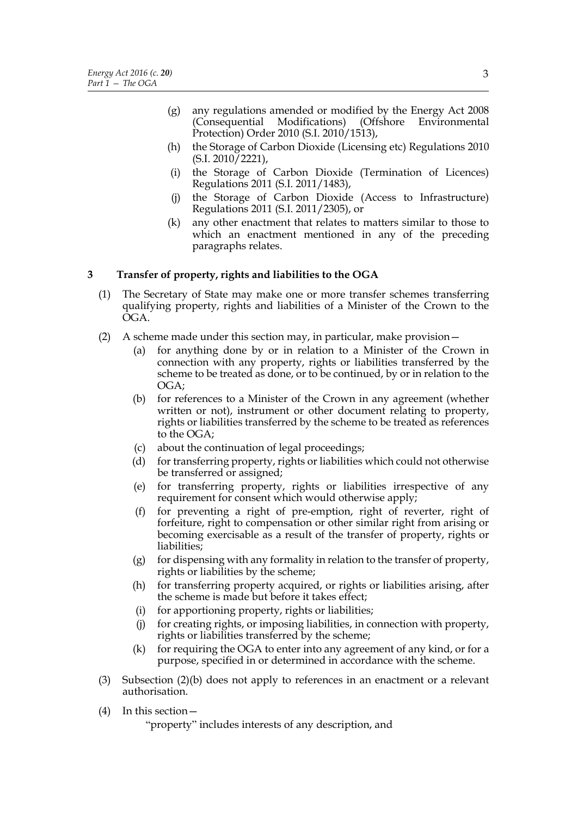- (g) any regulations amended or modified by the Energy Act 2008 (Consequential Modifications) (Offshore Environmental Protection) Order 2010 (S.I. 2010/1513),
- (h) the Storage of Carbon Dioxide (Licensing etc) Regulations 2010  $(S.I. 2010/2221)$
- (i) the Storage of Carbon Dioxide (Termination of Licences) Regulations 2011 (S.I. 2011/1483),
- (j) the Storage of Carbon Dioxide (Access to Infrastructure) Regulations 2011 (S.I. 2011/2305), or
- (k) any other enactment that relates to matters similar to those to which an enactment mentioned in any of the preceding paragraphs relates.

# **3 Transfer of property, rights and liabilities to the OGA**

- (1) The Secretary of State may make one or more transfer schemes transferring qualifying property, rights and liabilities of a Minister of the Crown to the OGA.
- (2) A scheme made under this section may, in particular, make provision—
	- (a) for anything done by or in relation to a Minister of the Crown in connection with any property, rights or liabilities transferred by the scheme to be treated as done, or to be continued, by or in relation to the OGA;
	- (b) for references to a Minister of the Crown in any agreement (whether written or not), instrument or other document relating to property, rights or liabilities transferred by the scheme to be treated as references to the OGA;
	- (c) about the continuation of legal proceedings;
	- (d) for transferring property, rights or liabilities which could not otherwise be transferred or assigned;
	- (e) for transferring property, rights or liabilities irrespective of any requirement for consent which would otherwise apply;
	- (f) for preventing a right of pre-emption, right of reverter, right of forfeiture, right to compensation or other similar right from arising or becoming exercisable as a result of the transfer of property, rights or liabilities;
	- $(g)$  for dispensing with any formality in relation to the transfer of property, rights or liabilities by the scheme;
	- (h) for transferring property acquired, or rights or liabilities arising, after the scheme is made but before it takes effect;
	- (i) for apportioning property, rights or liabilities;
	- (j) for creating rights, or imposing liabilities, in connection with property, rights or liabilities transferred by the scheme;
	- (k) for requiring the OGA to enter into any agreement of any kind, or for a purpose, specified in or determined in accordance with the scheme.
- (3) Subsection (2)(b) does not apply to references in an enactment or a relevant authorisation.
- (4) In this section—

"property" includes interests of any description, and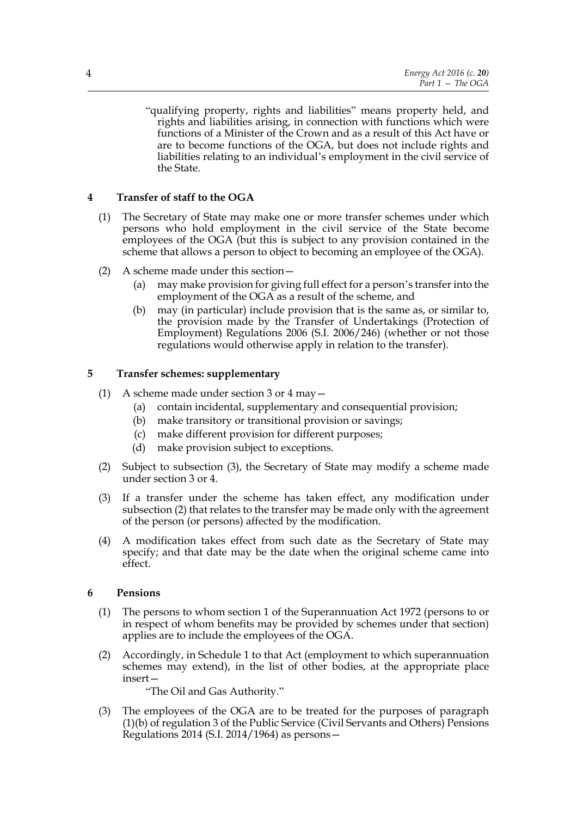"qualifying property, rights and liabilities" means property held, and rights and liabilities arising, in connection with functions which were functions of a Minister of the Crown and as a result of this Act have or are to become functions of the OGA, but does not include rights and liabilities relating to an individual's employment in the civil service of the State.

# **4 Transfer of staff to the OGA**

- (1) The Secretary of State may make one or more transfer schemes under which persons who hold employment in the civil service of the State become employees of the OGA (but this is subject to any provision contained in the scheme that allows a person to object to becoming an employee of the OGA).
- (2) A scheme made under this section—
	- (a) may make provision for giving full effect for a person's transfer into the employment of the OGA as a result of the scheme, and
	- (b) may (in particular) include provision that is the same as, or similar to, the provision made by the Transfer of Undertakings (Protection of Employment) Regulations 2006 (S.I. 2006/246) (whether or not those regulations would otherwise apply in relation to the transfer).

# **5 Transfer schemes: supplementary**

- (1) A scheme made under section 3 or 4 may—
	- (a) contain incidental, supplementary and consequential provision;
	- (b) make transitory or transitional provision or savings;
	- (c) make different provision for different purposes;
	- (d) make provision subject to exceptions.
- (2) Subject to subsection (3), the Secretary of State may modify a scheme made under section 3 or 4.
- (3) If a transfer under the scheme has taken effect, any modification under subsection (2) that relates to the transfer may be made only with the agreement of the person (or persons) affected by the modification.
- (4) A modification takes effect from such date as the Secretary of State may specify; and that date may be the date when the original scheme came into effect.

# **6 Pensions**

- (1) The persons to whom section 1 of the Superannuation Act 1972 (persons to or in respect of whom benefits may be provided by schemes under that section) applies are to include the employees of the OGA.
- (2) Accordingly, in Schedule 1 to that Act (employment to which superannuation schemes may extend), in the list of other bodies, at the appropriate place insert—

"The Oil and Gas Authority."

(3) The employees of the OGA are to be treated for the purposes of paragraph (1)(b) of regulation 3 of the Public Service (Civil Servants and Others) Pensions Regulations 2014 (S.I. 2014/1964) as persons—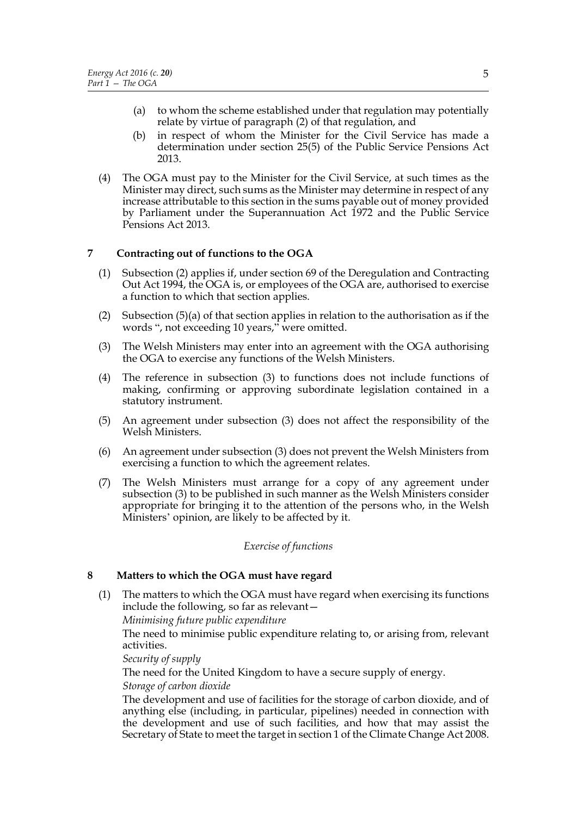- (a) to whom the scheme established under that regulation may potentially relate by virtue of paragraph (2) of that regulation, and
- (b) in respect of whom the Minister for the Civil Service has made a determination under section 25(5) of the Public Service Pensions Act 2013.
- (4) The OGA must pay to the Minister for the Civil Service, at such times as the Minister may direct, such sums as the Minister may determine in respect of any increase attributable to this section in the sums payable out of money provided by Parliament under the Superannuation Act 1972 and the Public Service Pensions Act 2013.

# **7 Contracting out of functions to the OGA**

- (1) Subsection (2) applies if, under section 69 of the Deregulation and Contracting Out Act 1994, the OGA is, or employees of the OGA are, authorised to exercise a function to which that section applies.
- (2) Subsection  $(5)(a)$  of that section applies in relation to the authorisation as if the words ", not exceeding 10 years," were omitted.
- (3) The Welsh Ministers may enter into an agreement with the OGA authorising the OGA to exercise any functions of the Welsh Ministers.
- (4) The reference in subsection (3) to functions does not include functions of making, confirming or approving subordinate legislation contained in a statutory instrument.
- (5) An agreement under subsection (3) does not affect the responsibility of the Welsh Ministers.
- (6) An agreement under subsection (3) does not prevent the Welsh Ministers from exercising a function to which the agreement relates.
- (7) The Welsh Ministers must arrange for a copy of any agreement under subsection (3) to be published in such manner as the Welsh Ministers consider appropriate for bringing it to the attention of the persons who, in the Welsh Ministers' opinion, are likely to be affected by it.

#### *Exercise of functions*

# **8 Matters to which the OGA must have regard**

(1) The matters to which the OGA must have regard when exercising its functions include the following, so far as relevant—

*Minimising future public expenditure*

The need to minimise public expenditure relating to, or arising from, relevant activities.

*Security of supply*

The need for the United Kingdom to have a secure supply of energy.

*Storage of carbon dioxide*

The development and use of facilities for the storage of carbon dioxide, and of anything else (including, in particular, pipelines) needed in connection with the development and use of such facilities, and how that may assist the Secretary of State to meet the target in section 1 of the Climate Change Act 2008.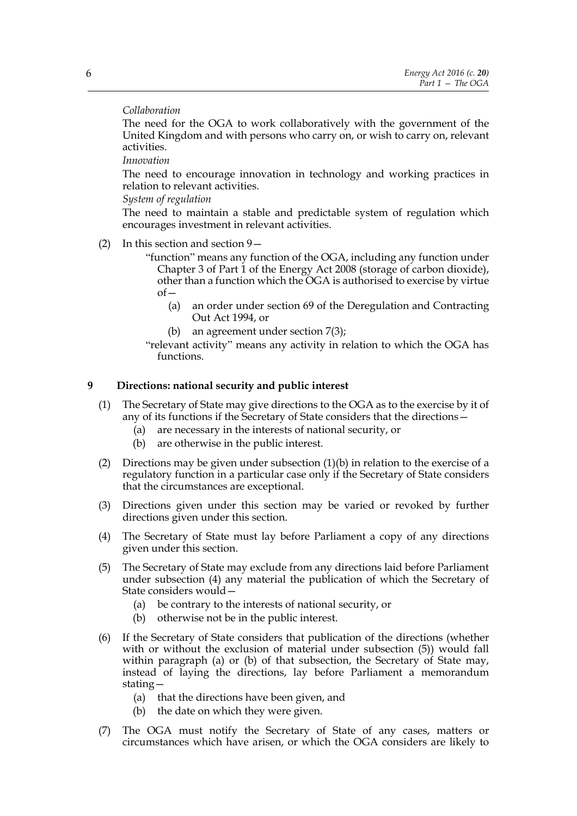# *Collaboration*

The need for the OGA to work collaboratively with the government of the United Kingdom and with persons who carry on, or wish to carry on, relevant activities.

*Innovation*

The need to encourage innovation in technology and working practices in relation to relevant activities.

*System of regulation*

The need to maintain a stable and predictable system of regulation which encourages investment in relevant activities.

(2) In this section and section 9—

"function" means any function of the OGA, including any function under Chapter 3 of Part 1 of the Energy Act 2008 (storage of carbon dioxide), other than a function which the OGA is authorised to exercise by virtue  $of –$ 

- (a) an order under section 69 of the Deregulation and Contracting Out Act 1994, or
- (b) an agreement under section 7(3);

"relevant activity" means any activity in relation to which the OGA has functions.

# **9 Directions: national security and public interest**

- (1) The Secretary of State may give directions to the OGA as to the exercise by it of any of its functions if the Secretary of State considers that the directions—
	- (a) are necessary in the interests of national security, or
	- (b) are otherwise in the public interest.
- (2) Directions may be given under subsection  $(1)(b)$  in relation to the exercise of a regulatory function in a particular case only if the Secretary of State considers that the circumstances are exceptional.
- (3) Directions given under this section may be varied or revoked by further directions given under this section.
- (4) The Secretary of State must lay before Parliament a copy of any directions given under this section.
- (5) The Secretary of State may exclude from any directions laid before Parliament under subsection (4) any material the publication of which the Secretary of State considers would—
	- (a) be contrary to the interests of national security, or
	- (b) otherwise not be in the public interest.
- (6) If the Secretary of State considers that publication of the directions (whether with or without the exclusion of material under subsection (5)) would fall within paragraph (a) or (b) of that subsection, the Secretary of State may, instead of laying the directions, lay before Parliament a memorandum stating—
	- (a) that the directions have been given, and
	- (b) the date on which they were given.
- (7) The OGA must notify the Secretary of State of any cases, matters or circumstances which have arisen, or which the OGA considers are likely to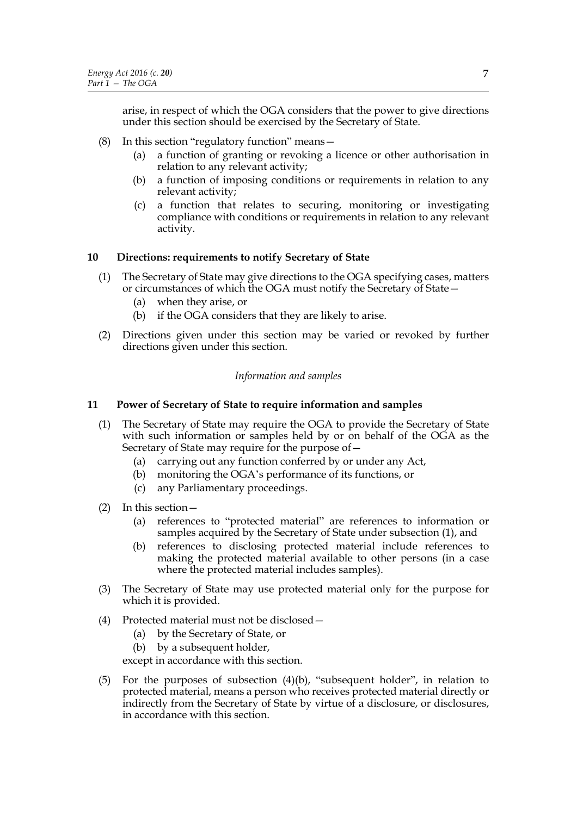arise, in respect of which the OGA considers that the power to give directions under this section should be exercised by the Secretary of State.

- (8) In this section "regulatory function" means—
	- (a) a function of granting or revoking a licence or other authorisation in relation to any relevant activity;
	- (b) a function of imposing conditions or requirements in relation to any relevant activity;
	- (c) a function that relates to securing, monitoring or investigating compliance with conditions or requirements in relation to any relevant activity.

# **10 Directions: requirements to notify Secretary of State**

- (1) The Secretary of State may give directions to the OGA specifying cases, matters or circumstances of which the OGA must notify the Secretary of State—
	- (a) when they arise, or
	- (b) if the OGA considers that they are likely to arise.
- (2) Directions given under this section may be varied or revoked by further directions given under this section.

# *Information and samples*

# **11 Power of Secretary of State to require information and samples**

- (1) The Secretary of State may require the OGA to provide the Secretary of State with such information or samples held by or on behalf of the OGA as the Secretary of State may require for the purpose of—
	- (a) carrying out any function conferred by or under any Act,
	- (b) monitoring the OGA's performance of its functions, or
	- (c) any Parliamentary proceedings.
- (2) In this section—
	- (a) references to "protected material" are references to information or samples acquired by the Secretary of State under subsection (1), and
	- (b) references to disclosing protected material include references to making the protected material available to other persons (in a case where the protected material includes samples).
- (3) The Secretary of State may use protected material only for the purpose for which it is provided.
- (4) Protected material must not be disclosed—
	- (a) by the Secretary of State, or
	- (b) by a subsequent holder,

except in accordance with this section.

(5) For the purposes of subsection (4)(b), "subsequent holder", in relation to protected material, means a person who receives protected material directly or indirectly from the Secretary of State by virtue of a disclosure, or disclosures, in accordance with this section.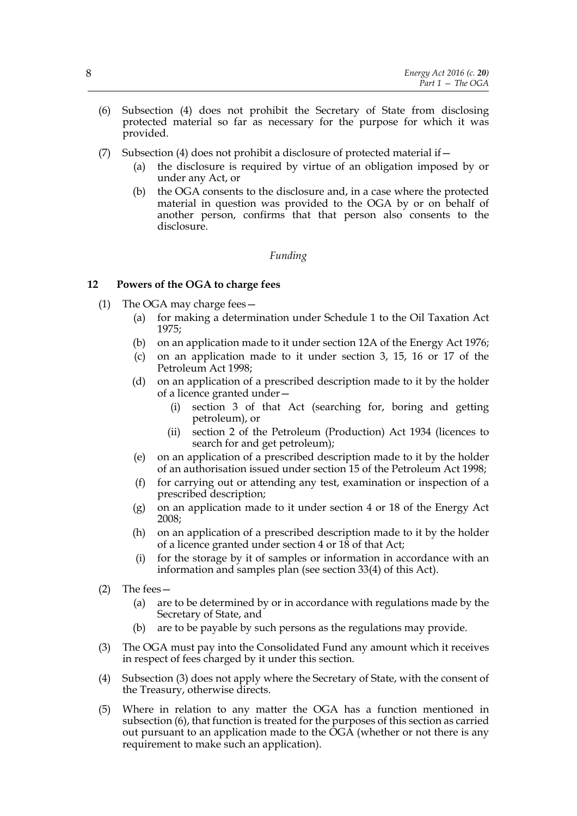- (6) Subsection (4) does not prohibit the Secretary of State from disclosing protected material so far as necessary for the purpose for which it was provided.
- (7) Subsection (4) does not prohibit a disclosure of protected material if—
	- (a) the disclosure is required by virtue of an obligation imposed by or under any Act, or
	- (b) the OGA consents to the disclosure and, in a case where the protected material in question was provided to the OGA by or on behalf of another person, confirms that that person also consents to the disclosure.

# *Funding*

# **12 Powers of the OGA to charge fees**

- (1) The OGA may charge fees—
	- (a) for making a determination under Schedule 1 to the Oil Taxation Act 1975;
	- (b) on an application made to it under section 12A of the Energy Act 1976;
	- (c) on an application made to it under section 3, 15, 16 or 17 of the Petroleum Act 1998;
	- (d) on an application of a prescribed description made to it by the holder of a licence granted under—
		- (i) section 3 of that Act (searching for, boring and getting petroleum), or
		- (ii) section 2 of the Petroleum (Production) Act 1934 (licences to search for and get petroleum);
	- (e) on an application of a prescribed description made to it by the holder of an authorisation issued under section 15 of the Petroleum Act 1998;
	- (f) for carrying out or attending any test, examination or inspection of a prescribed description;
	- (g) on an application made to it under section 4 or 18 of the Energy Act 2008;
	- (h) on an application of a prescribed description made to it by the holder of a licence granted under section 4 or 18 of that Act;
	- (i) for the storage by it of samples or information in accordance with an information and samples plan (see section 33(4) of this Act).
- (2) The fees—
	- (a) are to be determined by or in accordance with regulations made by the Secretary of State, and
	- (b) are to be payable by such persons as the regulations may provide.
- (3) The OGA must pay into the Consolidated Fund any amount which it receives in respect of fees charged by it under this section.
- (4) Subsection (3) does not apply where the Secretary of State, with the consent of the Treasury, otherwise directs.
- (5) Where in relation to any matter the OGA has a function mentioned in subsection (6), that function is treated for the purposes of this section as carried out pursuant to an application made to the  $\overline{OGA}$  (whether or not there is any requirement to make such an application).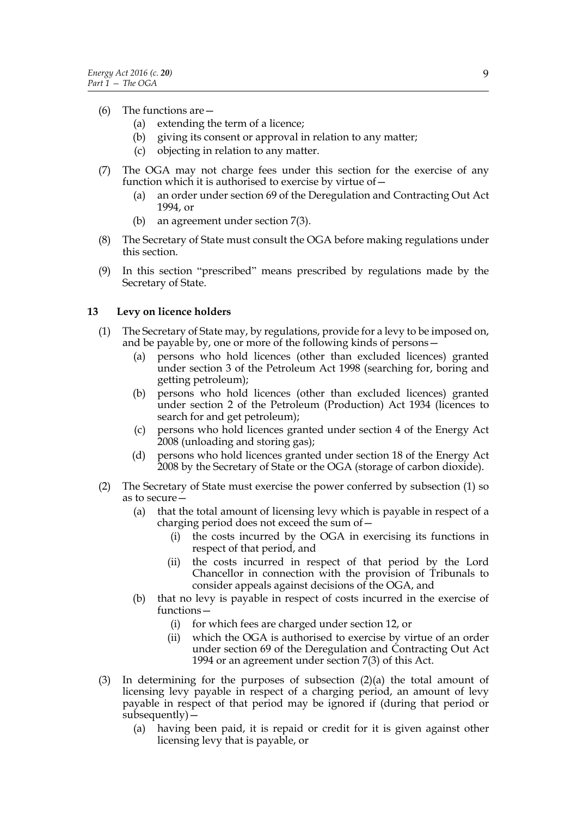# (6) The functions are—

- (a) extending the term of a licence;
- (b) giving its consent or approval in relation to any matter;
- (c) objecting in relation to any matter.
- (7) The OGA may not charge fees under this section for the exercise of any function which it is authorised to exercise by virtue of—
	- (a) an order under section 69 of the Deregulation and Contracting Out Act 1994, or
	- (b) an agreement under section 7(3).
- (8) The Secretary of State must consult the OGA before making regulations under this section.
- (9) In this section "prescribed" means prescribed by regulations made by the Secretary of State.

# **13 Levy on licence holders**

- (1) The Secretary of State may, by regulations, provide for a levy to be imposed on, and be payable by, one or more of the following kinds of persons—
	- (a) persons who hold licences (other than excluded licences) granted under section 3 of the Petroleum Act 1998 (searching for, boring and getting petroleum);
	- (b) persons who hold licences (other than excluded licences) granted under section 2 of the Petroleum (Production) Act 1934 (licences to search for and get petroleum);
	- (c) persons who hold licences granted under section 4 of the Energy Act 2008 (unloading and storing gas);
	- (d) persons who hold licences granted under section 18 of the Energy Act 2008 by the Secretary of State or the OGA (storage of carbon dioxide).
- (2) The Secretary of State must exercise the power conferred by subsection (1) so as to secure—
	- (a) that the total amount of licensing levy which is payable in respect of a charging period does not exceed the sum of—
		- (i) the costs incurred by the OGA in exercising its functions in respect of that period, and
		- (ii) the costs incurred in respect of that period by the Lord Chancellor in connection with the provision of Tribunals to consider appeals against decisions of the OGA, and
	- (b) that no levy is payable in respect of costs incurred in the exercise of functions—
		- (i) for which fees are charged under section 12, or
		- (ii) which the OGA is authorised to exercise by virtue of an order under section 69 of the Deregulation and Contracting Out Act 1994 or an agreement under section 7(3) of this Act.
- (3) In determining for the purposes of subsection (2)(a) the total amount of licensing levy payable in respect of a charging period, an amount of levy payable in respect of that period may be ignored if (during that period or subsequently)—
	- (a) having been paid, it is repaid or credit for it is given against other licensing levy that is payable, or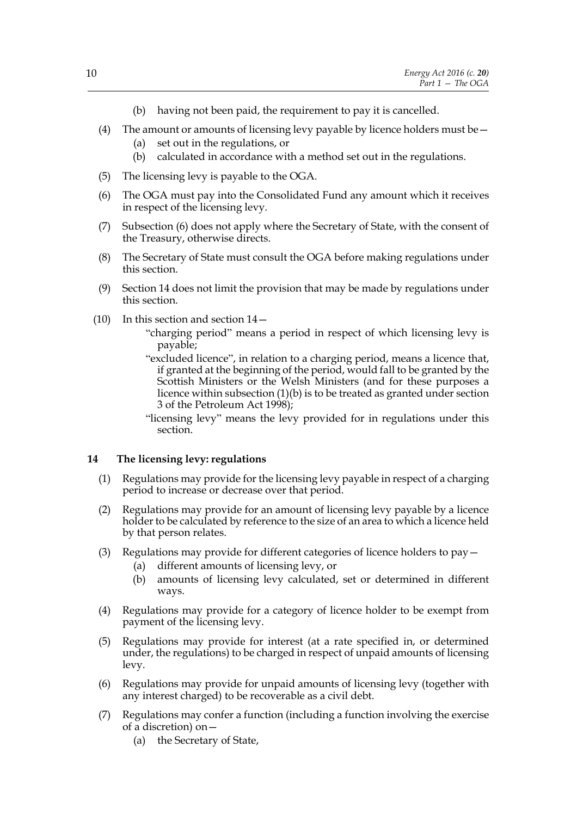- (b) having not been paid, the requirement to pay it is cancelled.
- (4) The amount or amounts of licensing levy payable by licence holders must be  $-$ 
	- (a) set out in the regulations, or
	- (b) calculated in accordance with a method set out in the regulations.
- (5) The licensing levy is payable to the OGA.
- (6) The OGA must pay into the Consolidated Fund any amount which it receives in respect of the licensing levy.
- (7) Subsection (6) does not apply where the Secretary of State, with the consent of the Treasury, otherwise directs.
- (8) The Secretary of State must consult the OGA before making regulations under this section.
- (9) Section 14 does not limit the provision that may be made by regulations under this section.
- (10) In this section and section 14—
	- "charging period" means a period in respect of which licensing levy is payable;
	- "excluded licence", in relation to a charging period, means a licence that, if granted at the beginning of the period, would fall to be granted by the Scottish Ministers or the Welsh Ministers (and for these purposes a licence within subsection (1)(b) is to be treated as granted under section 3 of the Petroleum Act 1998);
	- "licensing levy" means the levy provided for in regulations under this section.

# **14 The licensing levy: regulations**

- (1) Regulations may provide for the licensing levy payable in respect of a charging period to increase or decrease over that period.
- (2) Regulations may provide for an amount of licensing levy payable by a licence holder to be calculated by reference to the size of an area to which a licence held by that person relates.
- (3) Regulations may provide for different categories of licence holders to pay—
	- (a) different amounts of licensing levy, or
	- (b) amounts of licensing levy calculated, set or determined in different ways.
- (4) Regulations may provide for a category of licence holder to be exempt from payment of the licensing levy.
- (5) Regulations may provide for interest (at a rate specified in, or determined under, the regulations) to be charged in respect of unpaid amounts of licensing levy.
- (6) Regulations may provide for unpaid amounts of licensing levy (together with any interest charged) to be recoverable as a civil debt.
- (7) Regulations may confer a function (including a function involving the exercise of a discretion) on—
	- (a) the Secretary of State,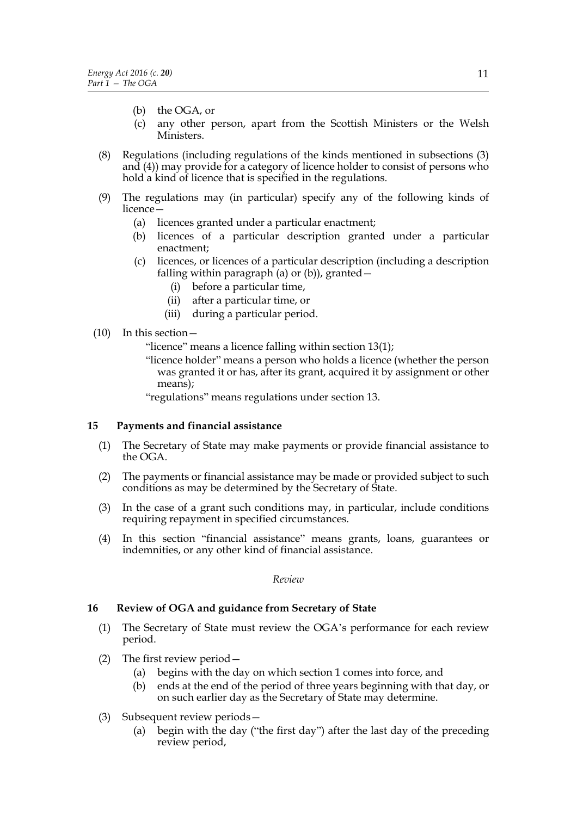- (b) the OGA, or
- (c) any other person, apart from the Scottish Ministers or the Welsh Ministers.
- (8) Regulations (including regulations of the kinds mentioned in subsections (3) and (4)) may provide for a category of licence holder to consist of persons who hold a kind of licence that is specified in the regulations.
- (9) The regulations may (in particular) specify any of the following kinds of licence—
	- (a) licences granted under a particular enactment;
	- (b) licences of a particular description granted under a particular enactment;
	- (c) licences, or licences of a particular description (including a description falling within paragraph (a) or (b)), granted  $-$ 
		- (i) before a particular time,
		- (ii) after a particular time, or
		- (iii) during a particular period.
- (10) In this section—

"licence" means a licence falling within section 13(1);

"licence holder" means a person who holds a licence (whether the person was granted it or has, after its grant, acquired it by assignment or other means);

"regulations" means regulations under section 13.

#### **15 Payments and financial assistance**

- (1) The Secretary of State may make payments or provide financial assistance to the OGA.
- (2) The payments or financial assistance may be made or provided subject to such conditions as may be determined by the Secretary of State.
- (3) In the case of a grant such conditions may, in particular, include conditions requiring repayment in specified circumstances.
- (4) In this section "financial assistance" means grants, loans, guarantees or indemnities, or any other kind of financial assistance.

#### *Review*

#### **16 Review of OGA and guidance from Secretary of State**

- (1) The Secretary of State must review the OGA's performance for each review period.
- (2) The first review period—
	- (a) begins with the day on which section 1 comes into force, and
	- (b) ends at the end of the period of three years beginning with that day, or on such earlier day as the Secretary of State may determine.
- (3) Subsequent review periods—
	- (a) begin with the day ("the first day") after the last day of the preceding review period,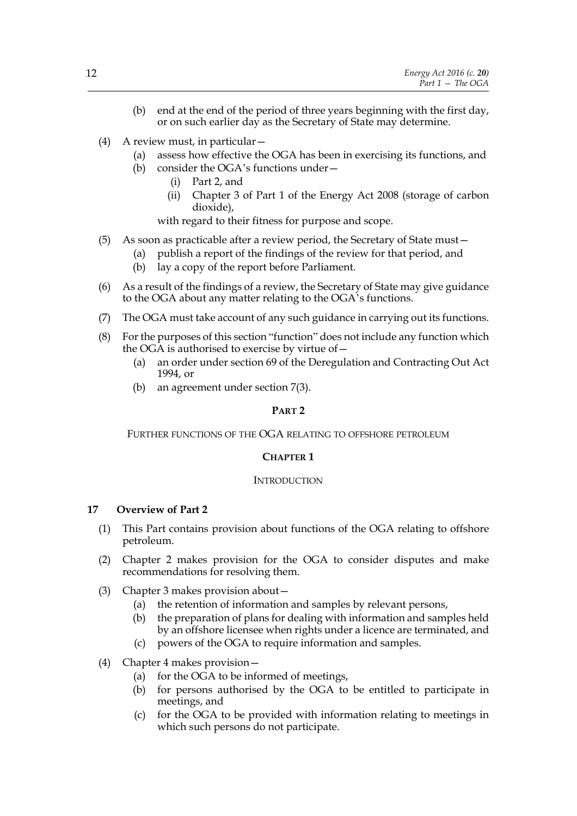- (b) end at the end of the period of three years beginning with the first day, or on such earlier day as the Secretary of State may determine.
- (4) A review must, in particular—
	- (a) assess how effective the OGA has been in exercising its functions, and
	- (b) consider the OGA's functions under—
		- (i) Part 2, and
		- (ii) Chapter 3 of Part 1 of the Energy Act 2008 (storage of carbon dioxide),

with regard to their fitness for purpose and scope.

- (5) As soon as practicable after a review period, the Secretary of State must—
	- (a) publish a report of the findings of the review for that period, and
	- (b) lay a copy of the report before Parliament.
- (6) As a result of the findings of a review, the Secretary of State may give guidance to the OGA about any matter relating to the OGA's functions.
- (7) The OGA must take account of any such guidance in carrying out its functions.
- (8) For the purposes of this section "function" does not include any function which the OGA is authorised to exercise by virtue of—
	- (a) an order under section 69 of the Deregulation and Contracting Out Act 1994, or
	- (b) an agreement under section 7(3).

# **PART 2**

FURTHER FUNCTIONS OF THE OGA RELATING TO OFFSHORE PETROLEUM

# **CHAPTER 1**

#### **INTRODUCTION**

# **17 Overview of Part 2**

- (1) This Part contains provision about functions of the OGA relating to offshore petroleum.
- (2) Chapter 2 makes provision for the OGA to consider disputes and make recommendations for resolving them.
- (3) Chapter 3 makes provision about—
	- (a) the retention of information and samples by relevant persons,
	- (b) the preparation of plans for dealing with information and samples held by an offshore licensee when rights under a licence are terminated, and
	- (c) powers of the OGA to require information and samples.
- (4) Chapter 4 makes provision—
	- (a) for the OGA to be informed of meetings,
	- (b) for persons authorised by the OGA to be entitled to participate in meetings, and
	- (c) for the OGA to be provided with information relating to meetings in which such persons do not participate.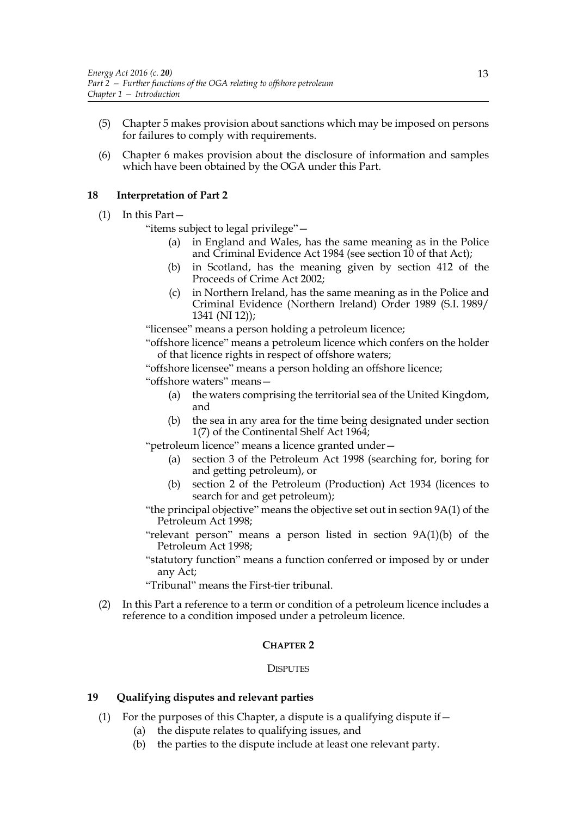- (5) Chapter 5 makes provision about sanctions which may be imposed on persons for failures to comply with requirements.
- (6) Chapter 6 makes provision about the disclosure of information and samples which have been obtained by the OGA under this Part.

# **18 Interpretation of Part 2**

(1) In this Part—

"items subject to legal privilege"—

- (a) in England and Wales, has the same meaning as in the Police and Criminal Evidence Act 1984 (see section 10 of that Act);
- (b) in Scotland, has the meaning given by section 412 of the Proceeds of Crime Act 2002;
- (c) in Northern Ireland, has the same meaning as in the Police and Criminal Evidence (Northern Ireland) Order 1989 (S.I. 1989/ 1341 (NI 12));

"licensee" means a person holding a petroleum licence;

"offshore licence" means a petroleum licence which confers on the holder of that licence rights in respect of offshore waters;

"offshore licensee" means a person holding an offshore licence;

"offshore waters" means—

- (a) the waters comprising the territorial sea of the United Kingdom, and
- (b) the sea in any area for the time being designated under section 1(7) of the Continental Shelf Act 1964;

"petroleum licence" means a licence granted under—

- (a) section 3 of the Petroleum Act 1998 (searching for, boring for and getting petroleum), or
- (b) section 2 of the Petroleum (Production) Act 1934 (licences to search for and get petroleum);

"the principal objective" means the objective set out in section 9A(1) of the Petroleum Act 1998;

- "relevant person" means a person listed in section 9A(1)(b) of the Petroleum Act 1998;
- "statutory function" means a function conferred or imposed by or under any Act;

"Tribunal" means the First-tier tribunal.

(2) In this Part a reference to a term or condition of a petroleum licence includes a reference to a condition imposed under a petroleum licence.

# **CHAPTER 2**

# **DISPUTES**

# **19 Qualifying disputes and relevant parties**

- (1) For the purposes of this Chapter, a dispute is a qualifying dispute if  $-$ 
	- (a) the dispute relates to qualifying issues, and
	- (b) the parties to the dispute include at least one relevant party.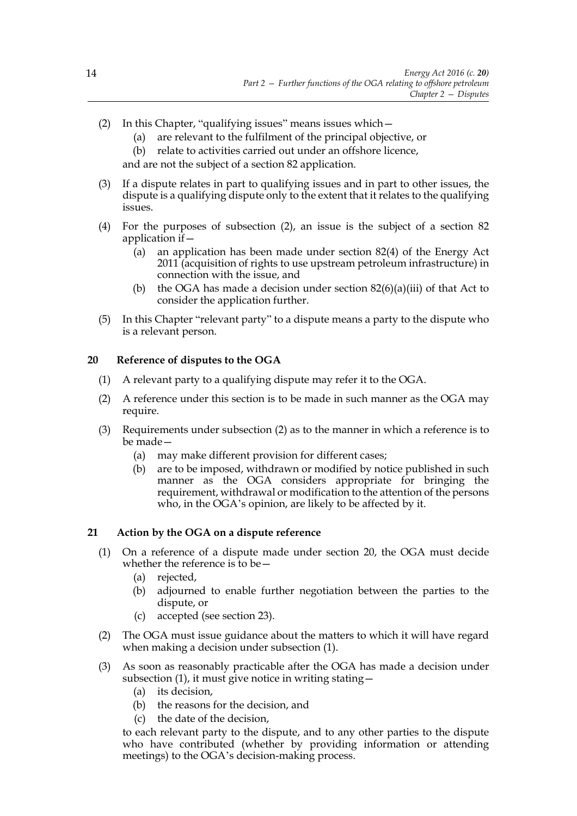- (2) In this Chapter, "qualifying issues" means issues which—
	- (a) are relevant to the fulfilment of the principal objective, or
	- (b) relate to activities carried out under an offshore licence,

and are not the subject of a section 82 application.

- (3) If a dispute relates in part to qualifying issues and in part to other issues, the dispute is a qualifying dispute only to the extent that it relates to the qualifying issues.
- (4) For the purposes of subsection (2), an issue is the subject of a section 82 application if—
	- (a) an application has been made under section 82(4) of the Energy Act 2011 (acquisition of rights to use upstream petroleum infrastructure) in connection with the issue, and
	- (b) the OGA has made a decision under section  $82(6)(a)(iii)$  of that Act to consider the application further.
- (5) In this Chapter "relevant party" to a dispute means a party to the dispute who is a relevant person.

# **20 Reference of disputes to the OGA**

- (1) A relevant party to a qualifying dispute may refer it to the OGA.
- (2) A reference under this section is to be made in such manner as the OGA may require.
- (3) Requirements under subsection (2) as to the manner in which a reference is to be made—
	- (a) may make different provision for different cases;
	- (b) are to be imposed, withdrawn or modified by notice published in such manner as the OGA considers appropriate for bringing the requirement, withdrawal or modification to the attention of the persons who, in the OGA's opinion, are likely to be affected by it.

# **21 Action by the OGA on a dispute reference**

- (1) On a reference of a dispute made under section 20, the OGA must decide whether the reference is to be—
	- (a) rejected,
	- (b) adjourned to enable further negotiation between the parties to the dispute, or
	- (c) accepted (see section 23).
- (2) The OGA must issue guidance about the matters to which it will have regard when making a decision under subsection (1).
- (3) As soon as reasonably practicable after the OGA has made a decision under subsection (1), it must give notice in writing stating—
	- (a) its decision,
	- (b) the reasons for the decision, and
	- (c) the date of the decision,

to each relevant party to the dispute, and to any other parties to the dispute who have contributed (whether by providing information or attending meetings) to the OGA's decision-making process.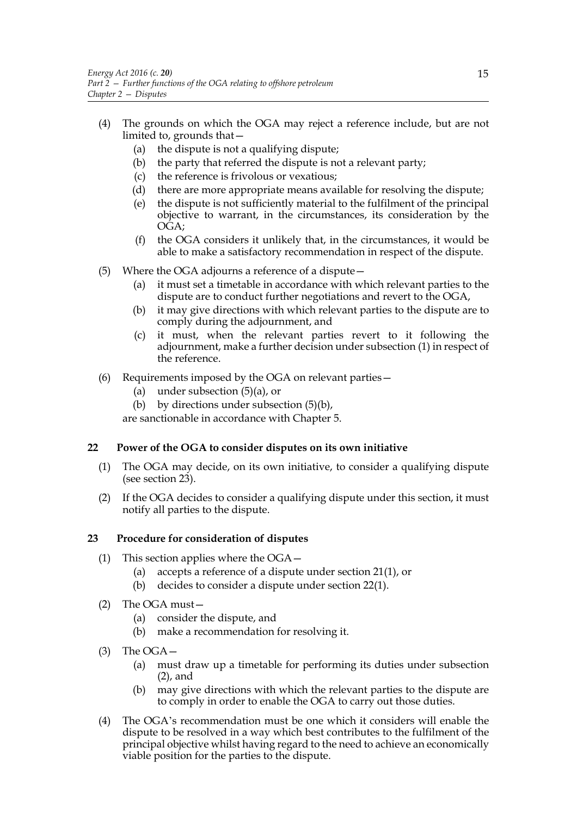- (4) The grounds on which the OGA may reject a reference include, but are not limited to, grounds that—
	- (a) the dispute is not a qualifying dispute;
	- (b) the party that referred the dispute is not a relevant party;
	- (c) the reference is frivolous or vexatious;
	- (d) there are more appropriate means available for resolving the dispute;
	- (e) the dispute is not sufficiently material to the fulfilment of the principal objective to warrant, in the circumstances, its consideration by the OGA;
	- (f) the OGA considers it unlikely that, in the circumstances, it would be able to make a satisfactory recommendation in respect of the dispute.
- (5) Where the OGA adjourns a reference of a dispute—
	- (a) it must set a timetable in accordance with which relevant parties to the dispute are to conduct further negotiations and revert to the OGA,
	- (b) it may give directions with which relevant parties to the dispute are to comply during the adjournment, and
	- (c) it must, when the relevant parties revert to it following the adjournment, make a further decision under subsection (1) in respect of the reference.
- (6) Requirements imposed by the OGA on relevant parties—
	- (a) under subsection (5)(a), or
	- (b) by directions under subsection  $(5)(b)$ ,

are sanctionable in accordance with Chapter 5.

# **22 Power of the OGA to consider disputes on its own initiative**

- (1) The OGA may decide, on its own initiative, to consider a qualifying dispute (see section 23).
- (2) If the OGA decides to consider a qualifying dispute under this section, it must notify all parties to the dispute.

# **23 Procedure for consideration of disputes**

- (1) This section applies where the OGA—
	- (a) accepts a reference of a dispute under section 21(1), or
	- (b) decides to consider a dispute under section 22(1).
- (2) The OGA must—
	- (a) consider the dispute, and
	- (b) make a recommendation for resolving it.
- (3) The OGA—
	- (a) must draw up a timetable for performing its duties under subsection (2), and
	- (b) may give directions with which the relevant parties to the dispute are to comply in order to enable the OGA to carry out those duties.
- (4) The OGA's recommendation must be one which it considers will enable the dispute to be resolved in a way which best contributes to the fulfilment of the principal objective whilst having regard to the need to achieve an economically viable position for the parties to the dispute.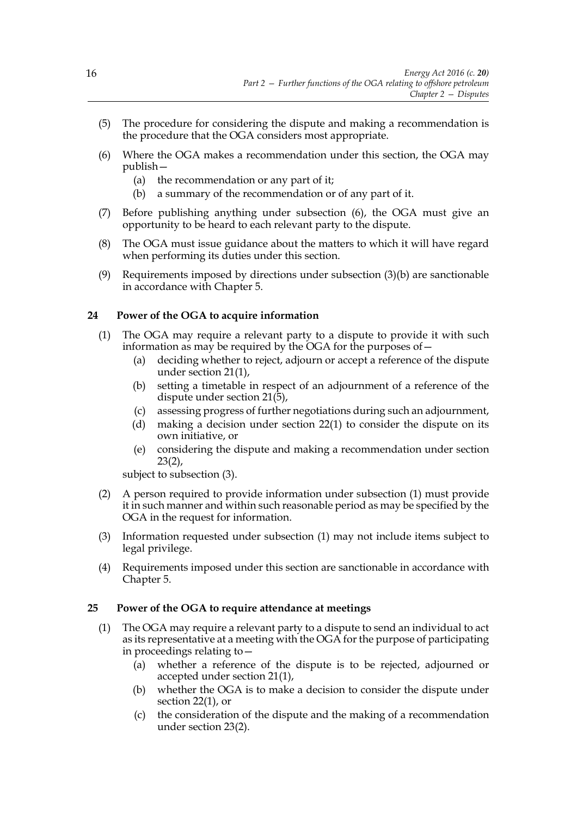- (5) The procedure for considering the dispute and making a recommendation is the procedure that the OGA considers most appropriate.
- (6) Where the OGA makes a recommendation under this section, the OGA may publish—
	- (a) the recommendation or any part of it;
	- (b) a summary of the recommendation or of any part of it.
- (7) Before publishing anything under subsection (6), the OGA must give an opportunity to be heard to each relevant party to the dispute.
- (8) The OGA must issue guidance about the matters to which it will have regard when performing its duties under this section.
- (9) Requirements imposed by directions under subsection  $(3)(b)$  are sanctionable in accordance with Chapter 5.

# **24 Power of the OGA to acquire information**

- (1) The OGA may require a relevant party to a dispute to provide it with such information as may be required by the OGA for the purposes of  $-$ 
	- (a) deciding whether to reject, adjourn or accept a reference of the dispute under section 21(1),
	- (b) setting a timetable in respect of an adjournment of a reference of the dispute under section  $21(5)$ ,
	- (c) assessing progress of further negotiations during such an adjournment,
	- (d) making a decision under section 22(1) to consider the dispute on its own initiative, or
	- (e) considering the dispute and making a recommendation under section  $23(2)$ ,

subject to subsection (3).

- (2) A person required to provide information under subsection (1) must provide it in such manner and within such reasonable period as may be specified by the OGA in the request for information.
- (3) Information requested under subsection (1) may not include items subject to legal privilege.
- (4) Requirements imposed under this section are sanctionable in accordance with Chapter 5.

#### **25 Power of the OGA to require attendance at meetings**

- (1) The OGA may require a relevant party to a dispute to send an individual to act as its representative at a meeting with the OGA for the purpose of participating in proceedings relating to—
	- (a) whether a reference of the dispute is to be rejected, adjourned or accepted under section 21(1),
	- (b) whether the OGA is to make a decision to consider the dispute under section 22(1), or
	- (c) the consideration of the dispute and the making of a recommendation under section 23(2).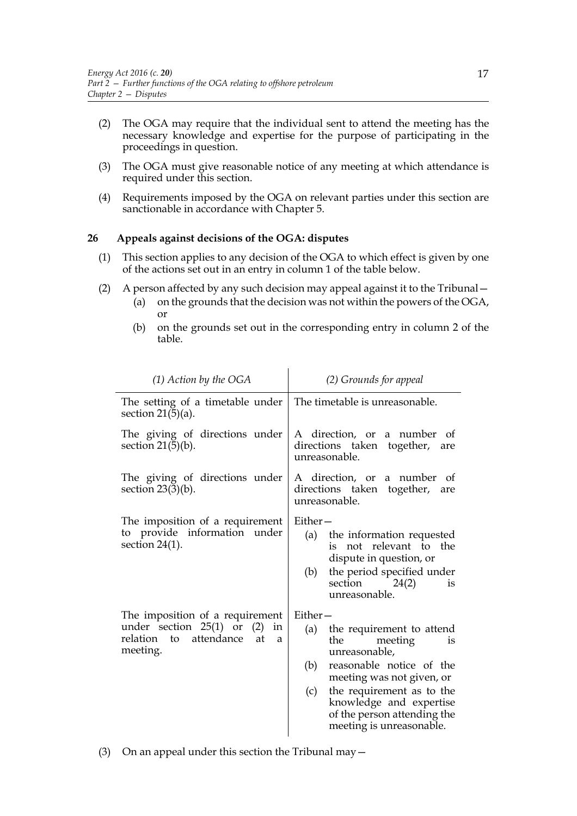- (2) The OGA may require that the individual sent to attend the meeting has the necessary knowledge and expertise for the purpose of participating in the proceedings in question.
- (3) The OGA must give reasonable notice of any meeting at which attendance is required under this section.
- (4) Requirements imposed by the OGA on relevant parties under this section are sanctionable in accordance with Chapter 5.

# **26 Appeals against decisions of the OGA: disputes**

- (1) This section applies to any decision of the OGA to which effect is given by one of the actions set out in an entry in column 1 of the table below.
- (2) A person affected by any such decision may appeal against it to the Tribunal—

 $\mathbf{r}$ 

- (a) on the grounds that the decision was not within the powers of the OGA, or
- (b) on the grounds set out in the corresponding entry in column 2 of the table.

| $(1)$ Action by the OGA                                                                 | (2) Grounds for appeal                                                                                                 |
|-----------------------------------------------------------------------------------------|------------------------------------------------------------------------------------------------------------------------|
| The setting of a timetable under<br>section $21(5)(a)$ .                                | The timetable is unreasonable.                                                                                         |
| The giving of directions under<br>section $21(5)(b)$ .                                  | A direction, or a number<br>- of<br>directions taken together, are<br>unreasonable.                                    |
| The giving of directions under<br>section $23(3)(b)$ .                                  | A direction, or a number of<br>directions taken together,<br>are<br>unreasonable.                                      |
| The imposition of a requirement<br>to provide information under                         | Either-                                                                                                                |
| section $24(1)$ .                                                                       | the information requested<br>(a)<br>is not relevant to the<br>dispute in question, or                                  |
|                                                                                         | the period specified under<br>(b)<br>section<br>24(2)<br>is<br>unreasonable.                                           |
| The imposition of a requirement                                                         | Either-                                                                                                                |
| under section 25(1) or<br>(2)<br>in<br>attendance<br>relation to<br>at<br>a<br>meeting. | the requirement to attend<br>(a)<br>the<br>meeting<br>is<br>unreasonable,                                              |
|                                                                                         | reasonable notice of the<br>(b)<br>meeting was not given, or                                                           |
|                                                                                         | the requirement as to the<br>(c)<br>knowledge and expertise<br>of the person attending the<br>meeting is unreasonable. |
|                                                                                         |                                                                                                                        |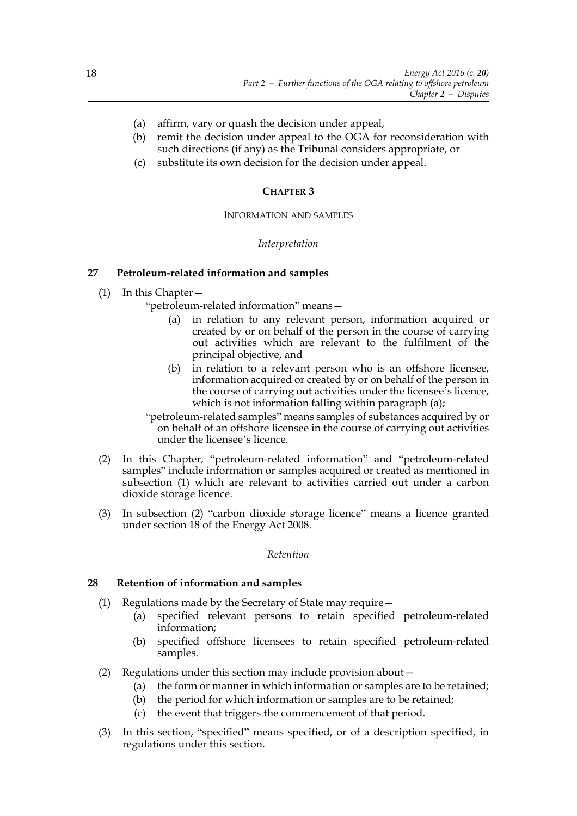- (a) affirm, vary or quash the decision under appeal,
- (b) remit the decision under appeal to the OGA for reconsideration with such directions (if any) as the Tribunal considers appropriate, or
- (c) substitute its own decision for the decision under appeal.

#### **CHAPTER 3**

#### INFORMATION AND SAMPLES

#### *Interpretation*

# **27 Petroleum-related information and samples**

(1) In this Chapter—

"petroleum-related information" means—

- (a) in relation to any relevant person, information acquired or created by or on behalf of the person in the course of carrying out activities which are relevant to the fulfilment of the principal objective, and
- (b) in relation to a relevant person who is an offshore licensee, information acquired or created by or on behalf of the person in the course of carrying out activities under the licensee's licence, which is not information falling within paragraph (a);

"petroleum-related samples" means samples of substances acquired by or on behalf of an offshore licensee in the course of carrying out activities under the licensee's licence.

- (2) In this Chapter, "petroleum-related information" and "petroleum-related samples" include information or samples acquired or created as mentioned in subsection (1) which are relevant to activities carried out under a carbon dioxide storage licence.
- (3) In subsection (2) "carbon dioxide storage licence" means a licence granted under section 18 of the Energy Act 2008.

#### *Retention*

#### **28 Retention of information and samples**

- (1) Regulations made by the Secretary of State may require—
	- (a) specified relevant persons to retain specified petroleum-related information;
	- (b) specified offshore licensees to retain specified petroleum-related samples.
- (2) Regulations under this section may include provision about—
	- (a) the form or manner in which information or samples are to be retained;
	- (b) the period for which information or samples are to be retained;
	- (c) the event that triggers the commencement of that period.
- (3) In this section, "specified" means specified, or of a description specified, in regulations under this section.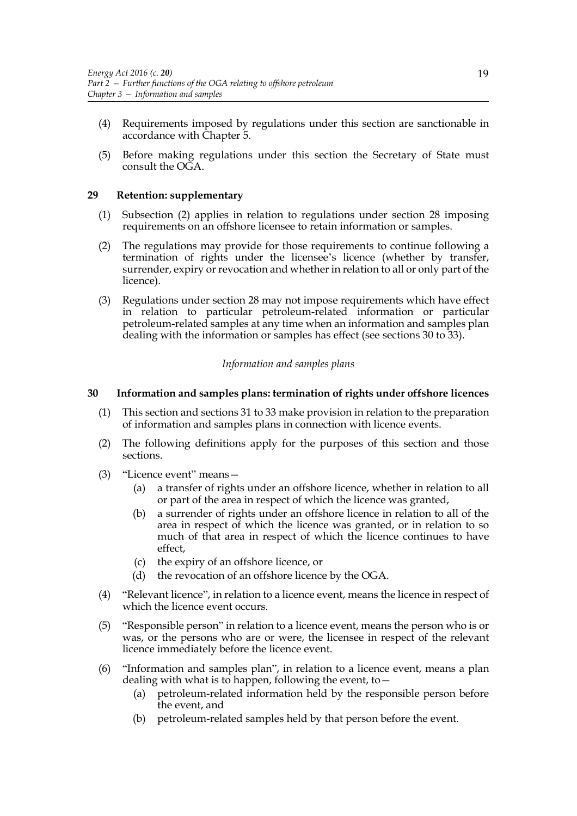- (4) Requirements imposed by regulations under this section are sanctionable in accordance with Chapter 5.
- (5) Before making regulations under this section the Secretary of State must consult the OGA.

# **29 Retention: supplementary**

- (1) Subsection (2) applies in relation to regulations under section 28 imposing requirements on an offshore licensee to retain information or samples.
- (2) The regulations may provide for those requirements to continue following a termination of rights under the licensee's licence (whether by transfer, surrender, expiry or revocation and whether in relation to all or only part of the licence).
- (3) Regulations under section 28 may not impose requirements which have effect in relation to particular petroleum-related information or particular petroleum-related samples at any time when an information and samples plan dealing with the information or samples has effect (see sections 30 to 33).

# *Information and samples plans*

# **30 Information and samples plans: termination of rights under offshore licences**

- (1) This section and sections 31 to 33 make provision in relation to the preparation of information and samples plans in connection with licence events.
- (2) The following definitions apply for the purposes of this section and those sections.
- (3) "Licence event" means—
	- (a) a transfer of rights under an offshore licence, whether in relation to all or part of the area in respect of which the licence was granted,
	- (b) a surrender of rights under an offshore licence in relation to all of the area in respect of which the licence was granted, or in relation to so much of that area in respect of which the licence continues to have effect,
	- (c) the expiry of an offshore licence, or
	- (d) the revocation of an offshore licence by the OGA.
- (4) "Relevant licence", in relation to a licence event, means the licence in respect of which the licence event occurs.
- (5) "Responsible person" in relation to a licence event, means the person who is or was, or the persons who are or were, the licensee in respect of the relevant licence immediately before the licence event.
- (6) "Information and samples plan", in relation to a licence event, means a plan dealing with what is to happen, following the event, to  $-$ 
	- (a) petroleum-related information held by the responsible person before the event, and
	- (b) petroleum-related samples held by that person before the event.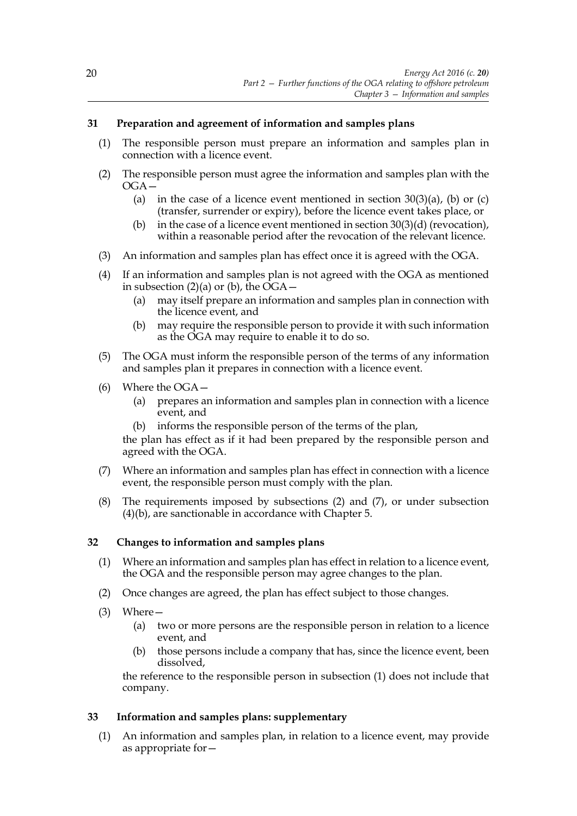# **31 Preparation and agreement of information and samples plans**

- (1) The responsible person must prepare an information and samples plan in connection with a licence event.
- (2) The responsible person must agree the information and samples plan with the OGA—
	- (a) in the case of a licence event mentioned in section  $30(3)(a)$ , (b) or (c) (transfer, surrender or expiry), before the licence event takes place, or
	- (b) in the case of a licence event mentioned in section  $30(3)(d)$  (revocation), within a reasonable period after the revocation of the relevant licence.
- (3) An information and samples plan has effect once it is agreed with the OGA.
- (4) If an information and samples plan is not agreed with the OGA as mentioned in subsection (2)(a) or (b), the  $\tilde{O}G$ A –
	- (a) may itself prepare an information and samples plan in connection with the licence event, and
	- (b) may require the responsible person to provide it with such information as the OGA may require to enable it to do so.
- (5) The OGA must inform the responsible person of the terms of any information and samples plan it prepares in connection with a licence event.
- (6) Where the OGA—
	- (a) prepares an information and samples plan in connection with a licence event, and
	- (b) informs the responsible person of the terms of the plan,

the plan has effect as if it had been prepared by the responsible person and agreed with the OGA.

- (7) Where an information and samples plan has effect in connection with a licence event, the responsible person must comply with the plan.
- (8) The requirements imposed by subsections (2) and (7), or under subsection (4)(b), are sanctionable in accordance with Chapter 5.

# **32 Changes to information and samples plans**

- (1) Where an information and samples plan has effect in relation to a licence event, the OGA and the responsible person may agree changes to the plan.
- (2) Once changes are agreed, the plan has effect subject to those changes.
- (3) Where—
	- (a) two or more persons are the responsible person in relation to a licence event, and
	- (b) those persons include a company that has, since the licence event, been dissolved,

the reference to the responsible person in subsection (1) does not include that company.

# **33 Information and samples plans: supplementary**

(1) An information and samples plan, in relation to a licence event, may provide as appropriate for—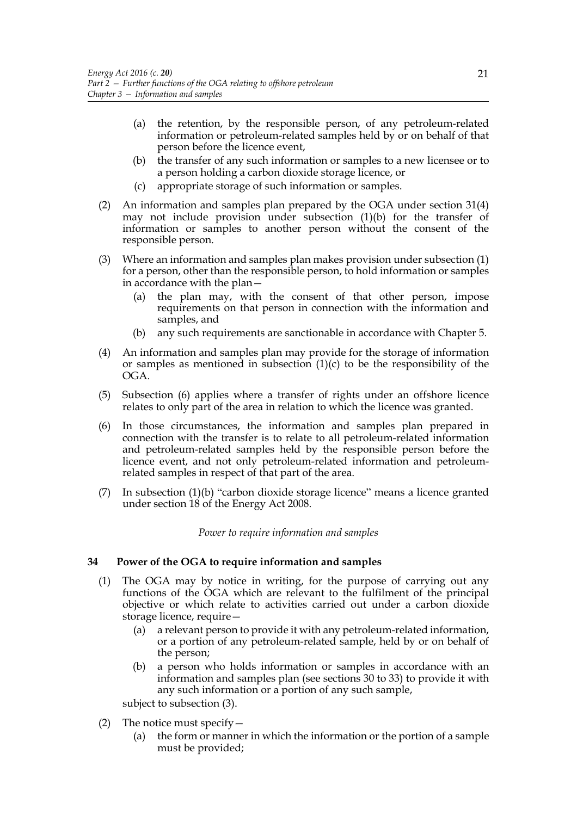- (a) the retention, by the responsible person, of any petroleum-related information or petroleum-related samples held by or on behalf of that person before the licence event,
- (b) the transfer of any such information or samples to a new licensee or to a person holding a carbon dioxide storage licence, or
- (c) appropriate storage of such information or samples.
- (2) An information and samples plan prepared by the OGA under section 31(4) may not include provision under subsection (1)(b) for the transfer of information or samples to another person without the consent of the responsible person.
- (3) Where an information and samples plan makes provision under subsection (1) for a person, other than the responsible person, to hold information or samples in accordance with the plan—
	- (a) the plan may, with the consent of that other person, impose requirements on that person in connection with the information and samples, and
	- (b) any such requirements are sanctionable in accordance with Chapter 5.
- (4) An information and samples plan may provide for the storage of information or samples as mentioned in subsection  $(1)(c)$  to be the responsibility of the OGA.
- (5) Subsection (6) applies where a transfer of rights under an offshore licence relates to only part of the area in relation to which the licence was granted.
- (6) In those circumstances, the information and samples plan prepared in connection with the transfer is to relate to all petroleum-related information and petroleum-related samples held by the responsible person before the licence event, and not only petroleum-related information and petroleumrelated samples in respect of that part of the area.
- (7) In subsection (1)(b) "carbon dioxide storage licence" means a licence granted under section 18 of the Energy Act 2008.

#### *Power to require information and samples*

#### **34 Power of the OGA to require information and samples**

- (1) The OGA may by notice in writing, for the purpose of carrying out any functions of the OGA which are relevant to the fulfilment of the principal objective or which relate to activities carried out under a carbon dioxide storage licence, require—
	- (a) a relevant person to provide it with any petroleum-related information, or a portion of any petroleum-related sample, held by or on behalf of the person;
	- (b) a person who holds information or samples in accordance with an information and samples plan (see sections 30 to 33) to provide it with any such information or a portion of any such sample,

subject to subsection (3).

- (2) The notice must specify  $-$ 
	- (a) the form or manner in which the information or the portion of a sample must be provided;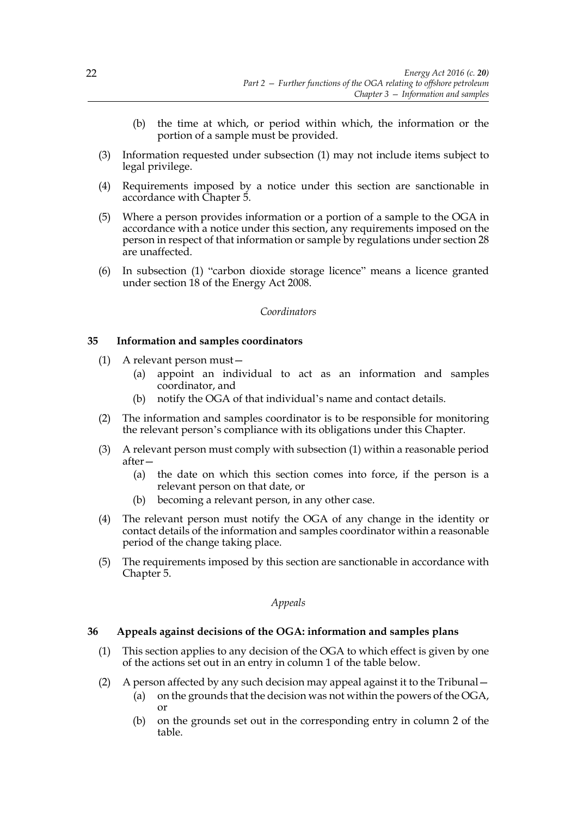- (b) the time at which, or period within which, the information or the portion of a sample must be provided.
- (3) Information requested under subsection (1) may not include items subject to legal privilege.
- (4) Requirements imposed by a notice under this section are sanctionable in accordance with Chapter 5.
- (5) Where a person provides information or a portion of a sample to the OGA in accordance with a notice under this section, any requirements imposed on the person in respect of that information or sample by regulations under section 28 are unaffected.
- (6) In subsection (1) "carbon dioxide storage licence" means a licence granted under section 18 of the Energy Act 2008.

#### *Coordinators*

#### **35 Information and samples coordinators**

- (1) A relevant person must—
	- (a) appoint an individual to act as an information and samples coordinator, and
	- (b) notify the OGA of that individual's name and contact details.
- (2) The information and samples coordinator is to be responsible for monitoring the relevant person's compliance with its obligations under this Chapter.
- (3) A relevant person must comply with subsection (1) within a reasonable period after—
	- (a) the date on which this section comes into force, if the person is a relevant person on that date, or
	- (b) becoming a relevant person, in any other case.
- (4) The relevant person must notify the OGA of any change in the identity or contact details of the information and samples coordinator within a reasonable period of the change taking place.
- (5) The requirements imposed by this section are sanctionable in accordance with Chapter 5.

*Appeals*

# **36 Appeals against decisions of the OGA: information and samples plans**

- (1) This section applies to any decision of the OGA to which effect is given by one of the actions set out in an entry in column 1 of the table below.
- (2) A person affected by any such decision may appeal against it to the Tribunal—
	- (a) on the grounds that the decision was not within the powers of the OGA, or
	- (b) on the grounds set out in the corresponding entry in column 2 of the table.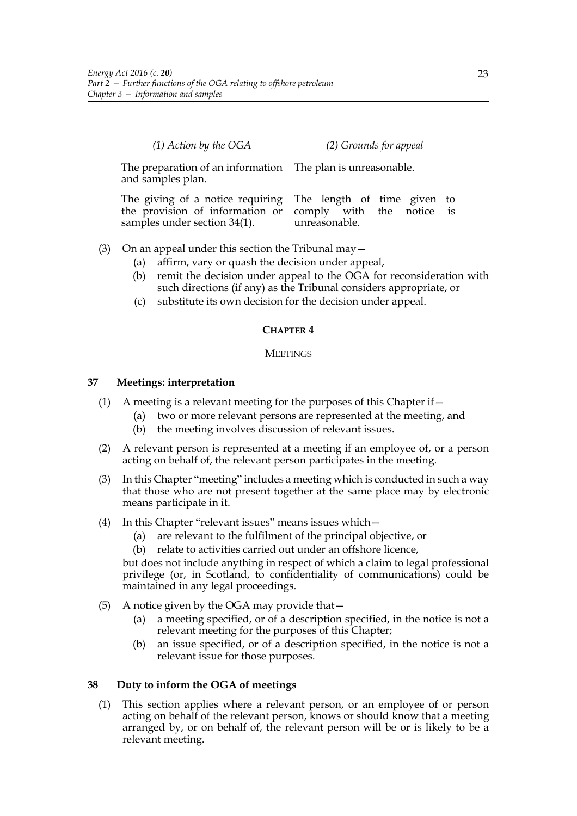| $(1)$ Action by the OGA                                                              | (2) Grounds for appeal                                                                                                                             |
|--------------------------------------------------------------------------------------|----------------------------------------------------------------------------------------------------------------------------------------------------|
| The preparation of an information $ $ The plan is unreasonable.<br>and samples plan. |                                                                                                                                                    |
| samples under section 34(1).                                                         | The giving of a notice requiring $\vert$ The length of time given to<br>the provision of information or comply with the notice is<br>unreasonable. |

- (3) On an appeal under this section the Tribunal may—
	- (a) affirm, vary or quash the decision under appeal,
	- (b) remit the decision under appeal to the OGA for reconsideration with such directions (if any) as the Tribunal considers appropriate, or
	- (c) substitute its own decision for the decision under appeal.

# **CHAPTER 4**

#### **MEETINGS**

# **37 Meetings: interpretation**

- (1) A meeting is a relevant meeting for the purposes of this Chapter if  $-$ 
	- (a) two or more relevant persons are represented at the meeting, and
	- (b) the meeting involves discussion of relevant issues.
- (2) A relevant person is represented at a meeting if an employee of, or a person acting on behalf of, the relevant person participates in the meeting.
- (3) In this Chapter "meeting" includes a meeting which is conducted in such a way that those who are not present together at the same place may by electronic means participate in it.
- (4) In this Chapter "relevant issues" means issues which—
	- (a) are relevant to the fulfilment of the principal objective, or
	- (b) relate to activities carried out under an offshore licence,

but does not include anything in respect of which a claim to legal professional privilege (or, in Scotland, to confidentiality of communications) could be maintained in any legal proceedings.

- (5) A notice given by the OGA may provide that—
	- (a) a meeting specified, or of a description specified, in the notice is not a relevant meeting for the purposes of this Chapter;
	- (b) an issue specified, or of a description specified, in the notice is not a relevant issue for those purposes.

# **38 Duty to inform the OGA of meetings**

(1) This section applies where a relevant person, or an employee of or person acting on behalf of the relevant person, knows or should know that a meeting arranged by, or on behalf of, the relevant person will be or is likely to be a relevant meeting.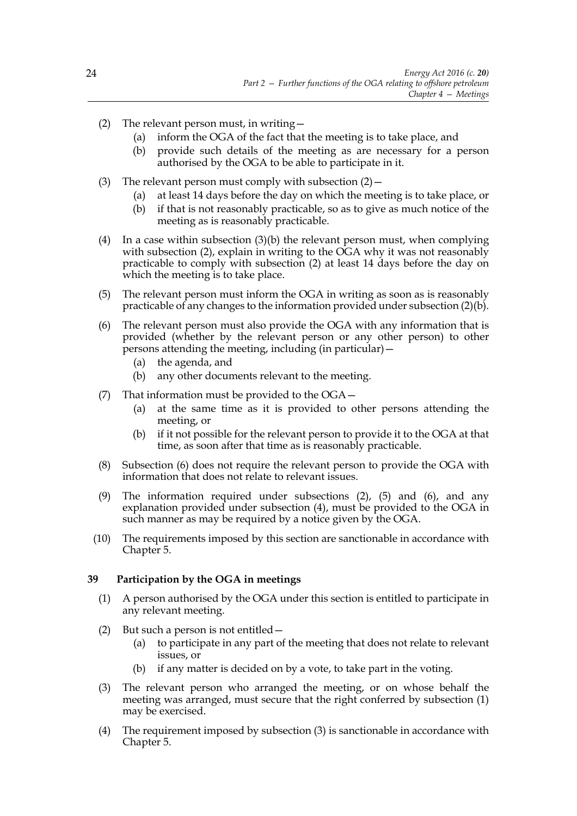- (2) The relevant person must, in writing—
	- (a) inform the OGA of the fact that the meeting is to take place, and
	- (b) provide such details of the meeting as are necessary for a person authorised by the OGA to be able to participate in it.
- (3) The relevant person must comply with subsection  $(2)$  -
	- (a) at least 14 days before the day on which the meeting is to take place, or
	- (b) if that is not reasonably practicable, so as to give as much notice of the meeting as is reasonably practicable.
- (4) In a case within subsection (3)(b) the relevant person must, when complying with subsection (2), explain in writing to the OGA why it was not reasonably practicable to comply with subsection (2) at least 14 days before the day on which the meeting is to take place.
- (5) The relevant person must inform the OGA in writing as soon as is reasonably practicable of any changes to the information provided under subsection (2)(b).
- (6) The relevant person must also provide the OGA with any information that is provided (whether by the relevant person or any other person) to other persons attending the meeting, including (in particular)—
	- (a) the agenda, and
	- (b) any other documents relevant to the meeting.
- (7) That information must be provided to the OGA—
	- (a) at the same time as it is provided to other persons attending the meeting, or
	- (b) if it not possible for the relevant person to provide it to the OGA at that time, as soon after that time as is reasonably practicable.
- (8) Subsection (6) does not require the relevant person to provide the OGA with information that does not relate to relevant issues.
- (9) The information required under subsections (2), (5) and (6), and any explanation provided under subsection (4), must be provided to the OGA in such manner as may be required by a notice given by the OGA.
- (10) The requirements imposed by this section are sanctionable in accordance with Chapter 5.

# **39 Participation by the OGA in meetings**

- (1) A person authorised by the OGA under this section is entitled to participate in any relevant meeting.
- (2) But such a person is not entitled—
	- (a) to participate in any part of the meeting that does not relate to relevant issues, or
	- (b) if any matter is decided on by a vote, to take part in the voting.
- (3) The relevant person who arranged the meeting, or on whose behalf the meeting was arranged, must secure that the right conferred by subsection (1) may be exercised.
- (4) The requirement imposed by subsection (3) is sanctionable in accordance with Chapter 5.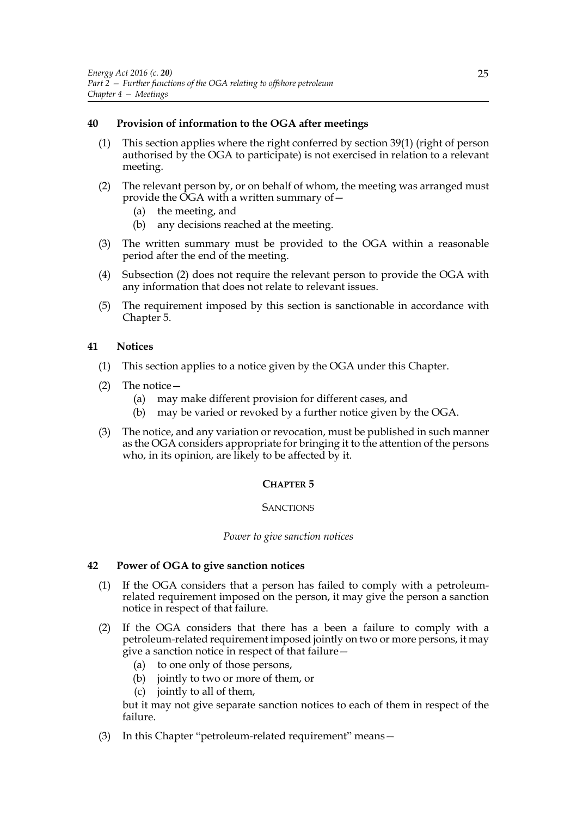# **40 Provision of information to the OGA after meetings**

- (1) This section applies where the right conferred by section 39(1) (right of person authorised by the OGA to participate) is not exercised in relation to a relevant meeting.
- (2) The relevant person by, or on behalf of whom, the meeting was arranged must provide the OGA with a written summary of—
	- (a) the meeting, and
	- (b) any decisions reached at the meeting.
- (3) The written summary must be provided to the OGA within a reasonable period after the end of the meeting.
- (4) Subsection (2) does not require the relevant person to provide the OGA with any information that does not relate to relevant issues.
- (5) The requirement imposed by this section is sanctionable in accordance with Chapter 5.

# **41 Notices**

- (1) This section applies to a notice given by the OGA under this Chapter.
- (2) The notice—
	- (a) may make different provision for different cases, and
	- (b) may be varied or revoked by a further notice given by the OGA.
- (3) The notice, and any variation or revocation, must be published in such manner as the OGA considers appropriate for bringing it to the attention of the persons who, in its opinion, are likely to be affected by it.

#### **CHAPTER 5**

# **SANCTIONS**

#### *Power to give sanction notices*

#### **42 Power of OGA to give sanction notices**

- (1) If the OGA considers that a person has failed to comply with a petroleumrelated requirement imposed on the person, it may give the person a sanction notice in respect of that failure.
- (2) If the OGA considers that there has a been a failure to comply with a petroleum-related requirement imposed jointly on two or more persons, it may give a sanction notice in respect of that failure—
	- (a) to one only of those persons,
	- (b) jointly to two or more of them, or
	- (c) jointly to all of them,

but it may not give separate sanction notices to each of them in respect of the failure.

(3) In this Chapter "petroleum-related requirement" means—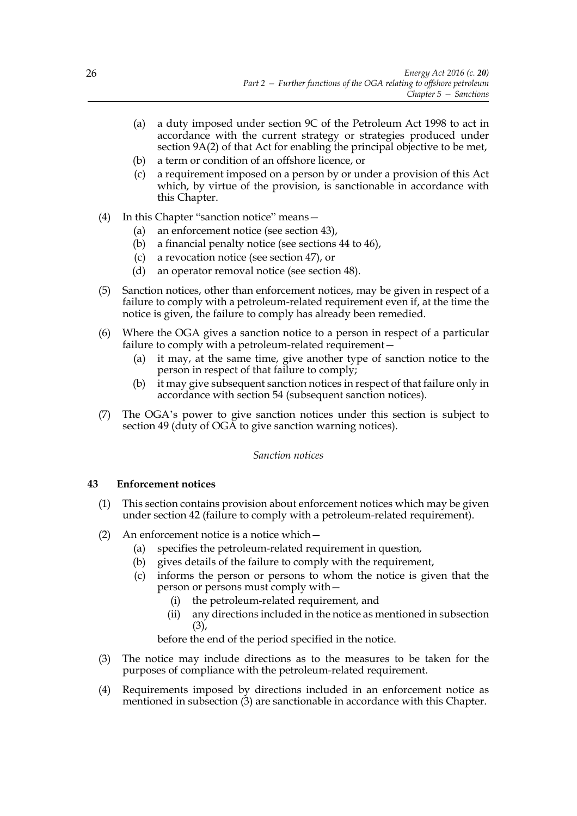- (a) a duty imposed under section 9C of the Petroleum Act 1998 to act in accordance with the current strategy or strategies produced under section 9A(2) of that Act for enabling the principal objective to be met,
- (b) a term or condition of an offshore licence, or
- (c) a requirement imposed on a person by or under a provision of this Act which, by virtue of the provision, is sanctionable in accordance with this Chapter.
- (4) In this Chapter "sanction notice" means—
	- (a) an enforcement notice (see section 43),
	- (b) a financial penalty notice (see sections 44 to 46),
	- (c) a revocation notice (see section 47), or
	- (d) an operator removal notice (see section 48).
- (5) Sanction notices, other than enforcement notices, may be given in respect of a failure to comply with a petroleum-related requirement even if, at the time the notice is given, the failure to comply has already been remedied.
- (6) Where the OGA gives a sanction notice to a person in respect of a particular failure to comply with a petroleum-related requirement—
	- (a) it may, at the same time, give another type of sanction notice to the person in respect of that failure to comply;
	- (b) it may give subsequent sanction notices in respect of that failure only in accordance with section 54 (subsequent sanction notices).
- (7) The OGA's power to give sanction notices under this section is subject to section 49 (duty of OGA to give sanction warning notices).

# *Sanction notices*

# **43 Enforcement notices**

- (1) This section contains provision about enforcement notices which may be given under section 42 (failure to comply with a petroleum-related requirement).
- (2) An enforcement notice is a notice which—
	- (a) specifies the petroleum-related requirement in question,
	- (b) gives details of the failure to comply with the requirement,
	- (c) informs the person or persons to whom the notice is given that the person or persons must comply with—
		- (i) the petroleum-related requirement, and
		- (ii) any directions included in the notice as mentioned in subsection (3),

before the end of the period specified in the notice.

- (3) The notice may include directions as to the measures to be taken for the purposes of compliance with the petroleum-related requirement.
- (4) Requirements imposed by directions included in an enforcement notice as mentioned in subsection (3) are sanctionable in accordance with this Chapter.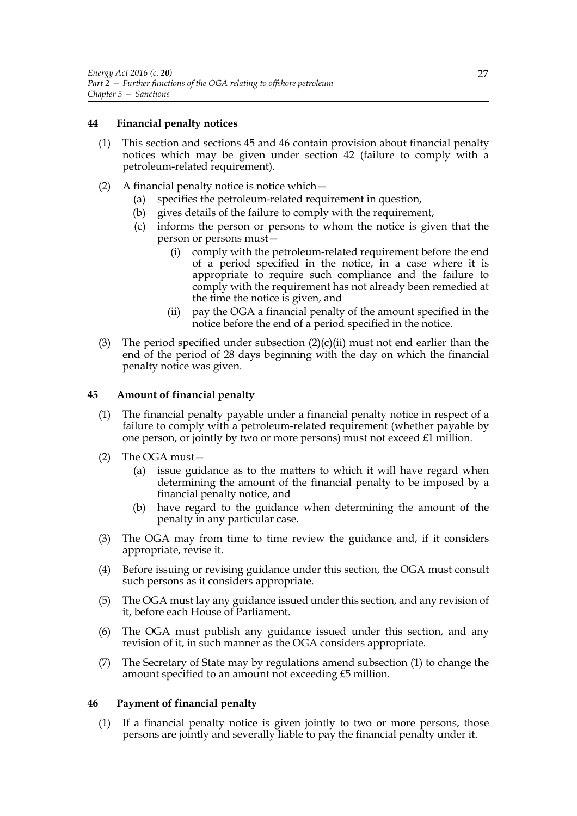# **44 Financial penalty notices**

- (1) This section and sections 45 and 46 contain provision about financial penalty notices which may be given under section 42 (failure to comply with a petroleum-related requirement).
- (2) A financial penalty notice is notice which—
	- (a) specifies the petroleum-related requirement in question,
	- (b) gives details of the failure to comply with the requirement,
	- (c) informs the person or persons to whom the notice is given that the person or persons must—
		- (i) comply with the petroleum-related requirement before the end of a period specified in the notice, in a case where it is appropriate to require such compliance and the failure to comply with the requirement has not already been remedied at the time the notice is given, and
		- (ii) pay the OGA a financial penalty of the amount specified in the notice before the end of a period specified in the notice.
- (3) The period specified under subsection  $(2)(c)(ii)$  must not end earlier than the end of the period of 28 days beginning with the day on which the financial penalty notice was given.

# **45 Amount of financial penalty**

- (1) The financial penalty payable under a financial penalty notice in respect of a failure to comply with a petroleum-related requirement (whether payable by one person, or jointly by two or more persons) must not exceed  $\pounds$ 1 million.
- (2) The OGA must—
	- (a) issue guidance as to the matters to which it will have regard when determining the amount of the financial penalty to be imposed by a financial penalty notice, and
	- (b) have regard to the guidance when determining the amount of the penalty in any particular case.
- (3) The OGA may from time to time review the guidance and, if it considers appropriate, revise it.
- (4) Before issuing or revising guidance under this section, the OGA must consult such persons as it considers appropriate.
- (5) The OGA must lay any guidance issued under this section, and any revision of it, before each House of Parliament.
- (6) The OGA must publish any guidance issued under this section, and any revision of it, in such manner as the OGA considers appropriate.
- (7) The Secretary of State may by regulations amend subsection (1) to change the amount specified to an amount not exceeding £5 million.

# **46 Payment of financial penalty**

(1) If a financial penalty notice is given jointly to two or more persons, those persons are jointly and severally liable to pay the financial penalty under it.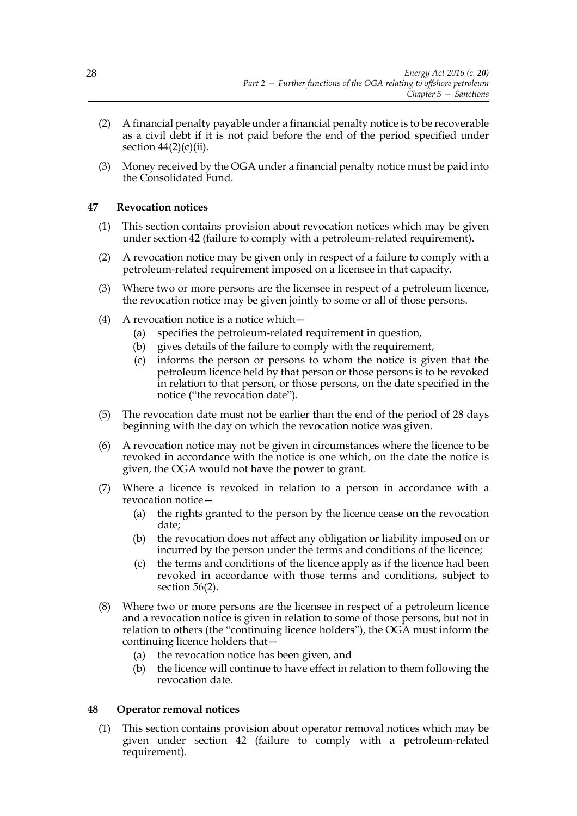- (2) A financial penalty payable under a financial penalty notice is to be recoverable as a civil debt if it is not paid before the end of the period specified under section  $44(2)(c)(ii)$ .
- (3) Money received by the OGA under a financial penalty notice must be paid into the Consolidated Fund.

# **47 Revocation notices**

- (1) This section contains provision about revocation notices which may be given under section 42 (failure to comply with a petroleum-related requirement).
- (2) A revocation notice may be given only in respect of a failure to comply with a petroleum-related requirement imposed on a licensee in that capacity.
- (3) Where two or more persons are the licensee in respect of a petroleum licence, the revocation notice may be given jointly to some or all of those persons.
- (4) A revocation notice is a notice which—
	- (a) specifies the petroleum-related requirement in question,
	- (b) gives details of the failure to comply with the requirement,
	- (c) informs the person or persons to whom the notice is given that the petroleum licence held by that person or those persons is to be revoked in relation to that person, or those persons, on the date specified in the notice ("the revocation date").
- (5) The revocation date must not be earlier than the end of the period of 28 days beginning with the day on which the revocation notice was given.
- (6) A revocation notice may not be given in circumstances where the licence to be revoked in accordance with the notice is one which, on the date the notice is given, the OGA would not have the power to grant.
- (7) Where a licence is revoked in relation to a person in accordance with a revocation notice—
	- (a) the rights granted to the person by the licence cease on the revocation date;
	- (b) the revocation does not affect any obligation or liability imposed on or incurred by the person under the terms and conditions of the licence;
	- (c) the terms and conditions of the licence apply as if the licence had been revoked in accordance with those terms and conditions, subject to section 56(2).
- (8) Where two or more persons are the licensee in respect of a petroleum licence and a revocation notice is given in relation to some of those persons, but not in relation to others (the "continuing licence holders"), the OGA must inform the continuing licence holders that—
	- (a) the revocation notice has been given, and
	- (b) the licence will continue to have effect in relation to them following the revocation date.

# **48 Operator removal notices**

(1) This section contains provision about operator removal notices which may be given under section 42 (failure to comply with a petroleum-related requirement).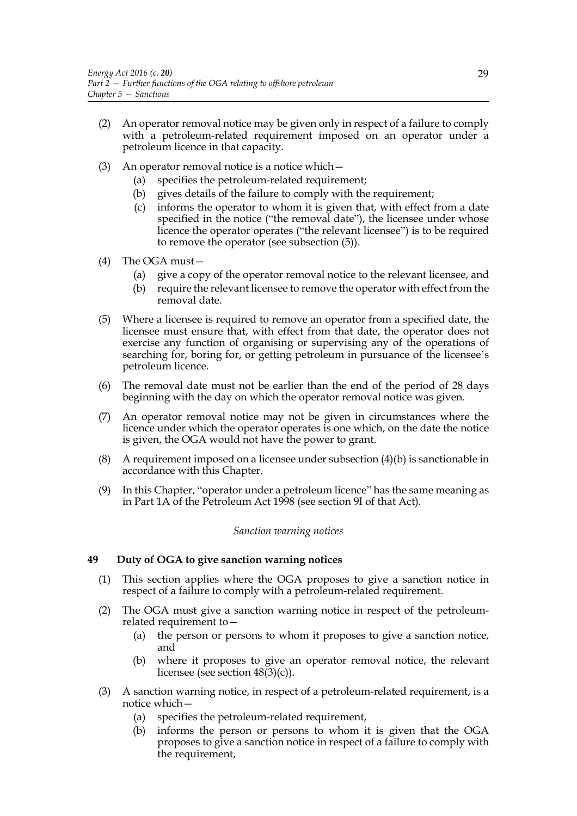- (2) An operator removal notice may be given only in respect of a failure to comply with a petroleum-related requirement imposed on an operator under a petroleum licence in that capacity.
- (3) An operator removal notice is a notice which—
	- (a) specifies the petroleum-related requirement;
	- (b) gives details of the failure to comply with the requirement;
	- (c) informs the operator to whom it is given that, with effect from a date specified in the notice ("the removal date"), the licensee under whose licence the operator operates ("the relevant licensee") is to be required to remove the operator (see subsection (5)).
- (4) The OGA must—
	- (a) give a copy of the operator removal notice to the relevant licensee, and
	- (b) require the relevant licensee to remove the operator with effect from the removal date.
- (5) Where a licensee is required to remove an operator from a specified date, the licensee must ensure that, with effect from that date, the operator does not exercise any function of organising or supervising any of the operations of searching for, boring for, or getting petroleum in pursuance of the licensee's petroleum licence.
- (6) The removal date must not be earlier than the end of the period of 28 days beginning with the day on which the operator removal notice was given.
- (7) An operator removal notice may not be given in circumstances where the licence under which the operator operates is one which, on the date the notice is given, the OGA would not have the power to grant.
- (8) A requirement imposed on a licensee under subsection (4)(b) is sanctionable in accordance with this Chapter.
- (9) In this Chapter, "operator under a petroleum licence" has the same meaning as in Part 1A of the Petroleum Act 1998 (see section 9I of that Act).

## *Sanction warning notices*

## **49 Duty of OGA to give sanction warning notices**

- (1) This section applies where the OGA proposes to give a sanction notice in respect of a failure to comply with a petroleum-related requirement.
- (2) The OGA must give a sanction warning notice in respect of the petroleumrelated requirement to—
	- (a) the person or persons to whom it proposes to give a sanction notice, and
	- (b) where it proposes to give an operator removal notice, the relevant licensee (see section  $48(3)(c)$ ).
- (3) A sanction warning notice, in respect of a petroleum-related requirement, is a notice which—
	- (a) specifies the petroleum-related requirement,
	- (b) informs the person or persons to whom it is given that the OGA proposes to give a sanction notice in respect of a failure to comply with the requirement,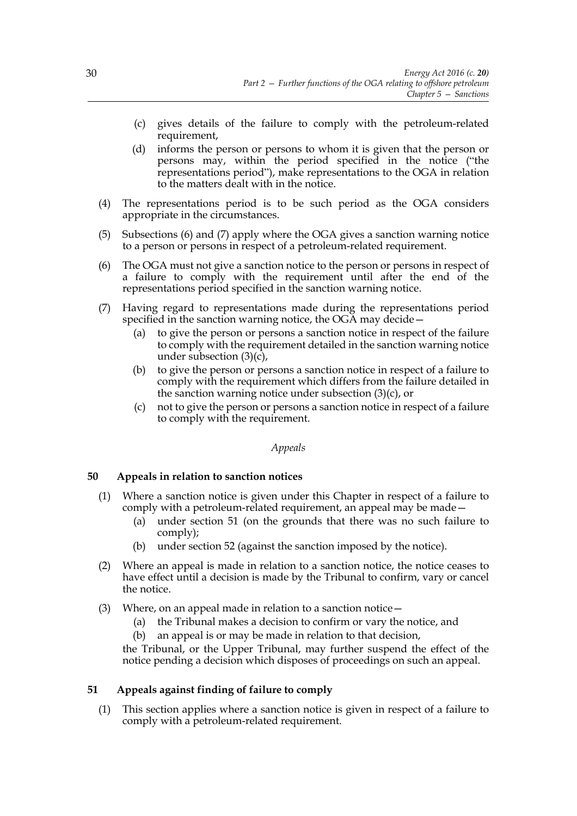- (c) gives details of the failure to comply with the petroleum-related requirement,
- (d) informs the person or persons to whom it is given that the person or persons may, within the period specified in the notice ("the representations period"), make representations to the OGA in relation to the matters dealt with in the notice.
- (4) The representations period is to be such period as the OGA considers appropriate in the circumstances.
- (5) Subsections (6) and (7) apply where the OGA gives a sanction warning notice to a person or persons in respect of a petroleum-related requirement.
- (6) The OGA must not give a sanction notice to the person or persons in respect of a failure to comply with the requirement until after the end of the representations period specified in the sanction warning notice.
- (7) Having regard to representations made during the representations period specified in the sanction warning notice, the OGA may decide—
	- (a) to give the person or persons a sanction notice in respect of the failure to comply with the requirement detailed in the sanction warning notice under subsection (3)(c),
	- (b) to give the person or persons a sanction notice in respect of a failure to comply with the requirement which differs from the failure detailed in the sanction warning notice under subsection (3)(c), or
	- (c) not to give the person or persons a sanction notice in respect of a failure to comply with the requirement.

#### *Appeals*

## **50 Appeals in relation to sanction notices**

- (1) Where a sanction notice is given under this Chapter in respect of a failure to comply with a petroleum-related requirement, an appeal may be made—
	- (a) under section 51 (on the grounds that there was no such failure to comply);
	- (b) under section 52 (against the sanction imposed by the notice).
- (2) Where an appeal is made in relation to a sanction notice, the notice ceases to have effect until a decision is made by the Tribunal to confirm, vary or cancel the notice.
- (3) Where, on an appeal made in relation to a sanction notice  $-$ 
	- (a) the Tribunal makes a decision to confirm or vary the notice, and
	- (b) an appeal is or may be made in relation to that decision,

the Tribunal, or the Upper Tribunal, may further suspend the effect of the notice pending a decision which disposes of proceedings on such an appeal.

## **51 Appeals against finding of failure to comply**

(1) This section applies where a sanction notice is given in respect of a failure to comply with a petroleum-related requirement.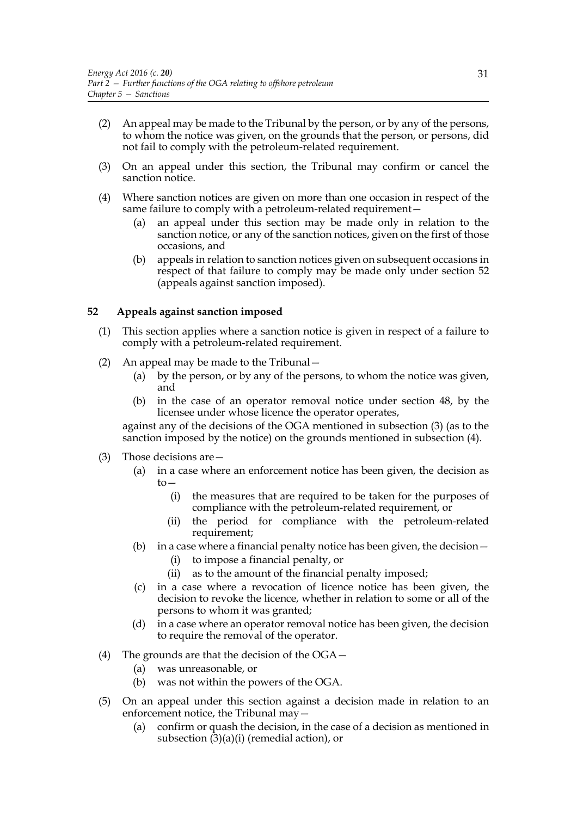- (2) An appeal may be made to the Tribunal by the person, or by any of the persons, to whom the notice was given, on the grounds that the person, or persons, did not fail to comply with the petroleum-related requirement.
- (3) On an appeal under this section, the Tribunal may confirm or cancel the sanction notice.
- (4) Where sanction notices are given on more than one occasion in respect of the same failure to comply with a petroleum-related requirement—
	- (a) an appeal under this section may be made only in relation to the sanction notice, or any of the sanction notices, given on the first of those occasions, and
	- (b) appeals in relation to sanction notices given on subsequent occasions in respect of that failure to comply may be made only under section 52 (appeals against sanction imposed).

# **52 Appeals against sanction imposed**

- (1) This section applies where a sanction notice is given in respect of a failure to comply with a petroleum-related requirement.
- (2) An appeal may be made to the Tribunal—
	- (a) by the person, or by any of the persons, to whom the notice was given, and
	- (b) in the case of an operator removal notice under section 48, by the licensee under whose licence the operator operates,

against any of the decisions of the OGA mentioned in subsection (3) (as to the sanction imposed by the notice) on the grounds mentioned in subsection (4).

- (3) Those decisions are—
	- (a) in a case where an enforcement notice has been given, the decision as to—
		- (i) the measures that are required to be taken for the purposes of compliance with the petroleum-related requirement, or
		- (ii) the period for compliance with the petroleum-related requirement;
	- (b) in a case where a financial penalty notice has been given, the decision—
		- (i) to impose a financial penalty, or
		- (ii) as to the amount of the financial penalty imposed;
	- (c) in a case where a revocation of licence notice has been given, the decision to revoke the licence, whether in relation to some or all of the persons to whom it was granted;
	- (d) in a case where an operator removal notice has been given, the decision to require the removal of the operator.
- (4) The grounds are that the decision of the OGA—
	- (a) was unreasonable, or
	- (b) was not within the powers of the OGA.
- (5) On an appeal under this section against a decision made in relation to an enforcement notice, the Tribunal may—
	- (a) confirm or quash the decision, in the case of a decision as mentioned in subsection  $(3)(a)(i)$  (remedial action), or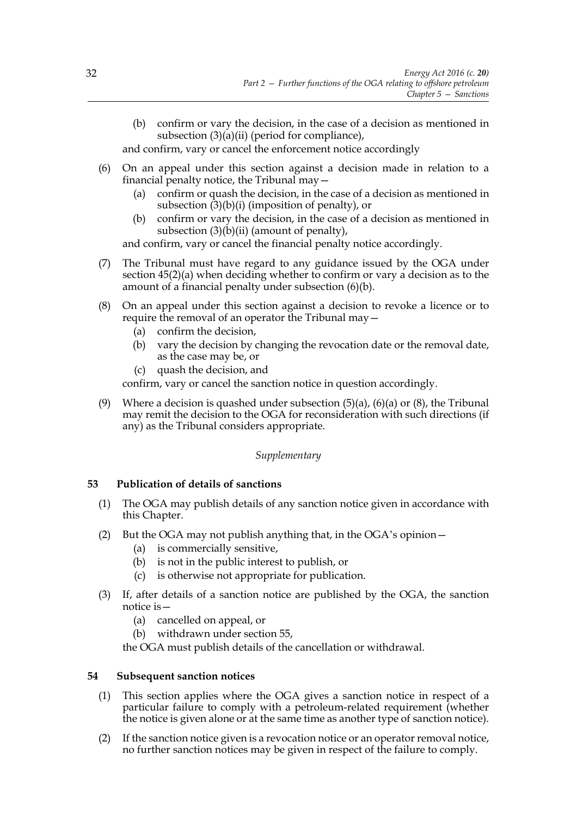(b) confirm or vary the decision, in the case of a decision as mentioned in subsection  $(3)(a)(ii)$  (period for compliance),

and confirm, vary or cancel the enforcement notice accordingly

- (6) On an appeal under this section against a decision made in relation to a financial penalty notice, the Tribunal may—
	- (a) confirm or quash the decision, in the case of a decision as mentioned in subsection  $(3)(b)(i)$  (imposition of penalty), or
	- (b) confirm or vary the decision, in the case of a decision as mentioned in subsection  $(3)(b)(ii)$  (amount of penalty),

and confirm, vary or cancel the financial penalty notice accordingly.

- (7) The Tribunal must have regard to any guidance issued by the OGA under section 45(2)(a) when deciding whether to confirm or vary a decision as to the amount of a financial penalty under subsection (6)(b).
- (8) On an appeal under this section against a decision to revoke a licence or to require the removal of an operator the Tribunal may—
	- (a) confirm the decision,
	- (b) vary the decision by changing the revocation date or the removal date, as the case may be, or
	- (c) quash the decision, and

confirm, vary or cancel the sanction notice in question accordingly.

(9) Where a decision is quashed under subsection  $(5)(a)$ ,  $(6)(a)$  or  $(8)$ , the Tribunal may remit the decision to the OGA for reconsideration with such directions (if any) as the Tribunal considers appropriate.

## *Supplementary*

## **53 Publication of details of sanctions**

- (1) The OGA may publish details of any sanction notice given in accordance with this Chapter.
- (2) But the OGA may not publish anything that, in the OGA's opinion—
	- (a) is commercially sensitive,
	- (b) is not in the public interest to publish, or
	- (c) is otherwise not appropriate for publication.
- (3) If, after details of a sanction notice are published by the OGA, the sanction notice is—
	- (a) cancelled on appeal, or
	- (b) withdrawn under section 55,

the OGA must publish details of the cancellation or withdrawal.

## **54 Subsequent sanction notices**

- (1) This section applies where the OGA gives a sanction notice in respect of a particular failure to comply with a petroleum-related requirement (whether the notice is given alone or at the same time as another type of sanction notice).
- (2) If the sanction notice given is a revocation notice or an operator removal notice, no further sanction notices may be given in respect of the failure to comply.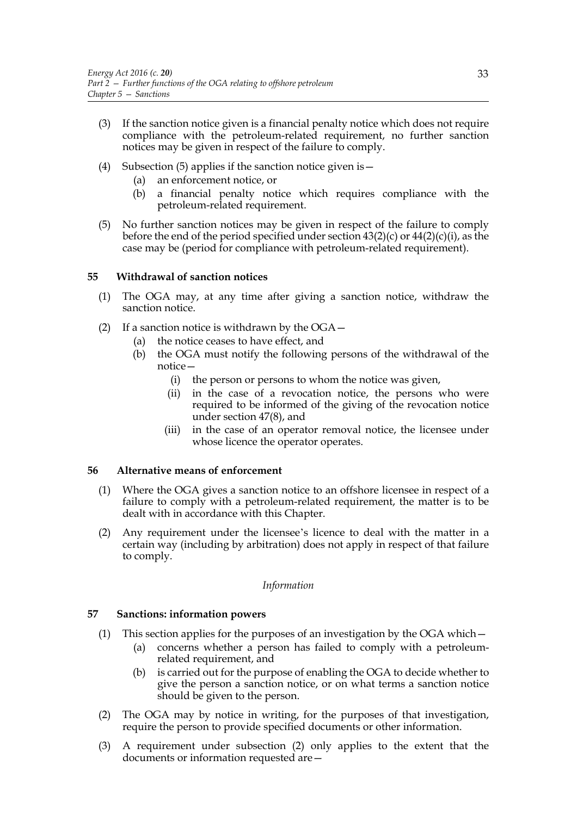- (3) If the sanction notice given is a financial penalty notice which does not require compliance with the petroleum-related requirement, no further sanction notices may be given in respect of the failure to comply.
- (4) Subsection (5) applies if the sanction notice given is  $-$ 
	- (a) an enforcement notice, or
	- (b) a financial penalty notice which requires compliance with the petroleum-related requirement.
- (5) No further sanction notices may be given in respect of the failure to comply before the end of the period specified under section  $43(2)(c)$  or  $44(2)(c)(i)$ , as the case may be (period for compliance with petroleum-related requirement).

## **55 Withdrawal of sanction notices**

- (1) The OGA may, at any time after giving a sanction notice, withdraw the sanction notice.
- (2) If a sanction notice is withdrawn by the OGA—
	- (a) the notice ceases to have effect, and
	- (b) the OGA must notify the following persons of the withdrawal of the notice—
		- (i) the person or persons to whom the notice was given,
		- (ii) in the case of a revocation notice, the persons who were required to be informed of the giving of the revocation notice under section 47(8), and
		- (iii) in the case of an operator removal notice, the licensee under whose licence the operator operates.

#### **56 Alternative means of enforcement**

- (1) Where the OGA gives a sanction notice to an offshore licensee in respect of a failure to comply with a petroleum-related requirement, the matter is to be dealt with in accordance with this Chapter.
- (2) Any requirement under the licensee's licence to deal with the matter in a certain way (including by arbitration) does not apply in respect of that failure to comply.

#### *Information*

#### **57 Sanctions: information powers**

- (1) This section applies for the purposes of an investigation by the OGA which—
	- (a) concerns whether a person has failed to comply with a petroleumrelated requirement, and
	- (b) is carried out for the purpose of enabling the OGA to decide whether to give the person a sanction notice, or on what terms a sanction notice should be given to the person.
- (2) The OGA may by notice in writing, for the purposes of that investigation, require the person to provide specified documents or other information.
- (3) A requirement under subsection (2) only applies to the extent that the documents or information requested are—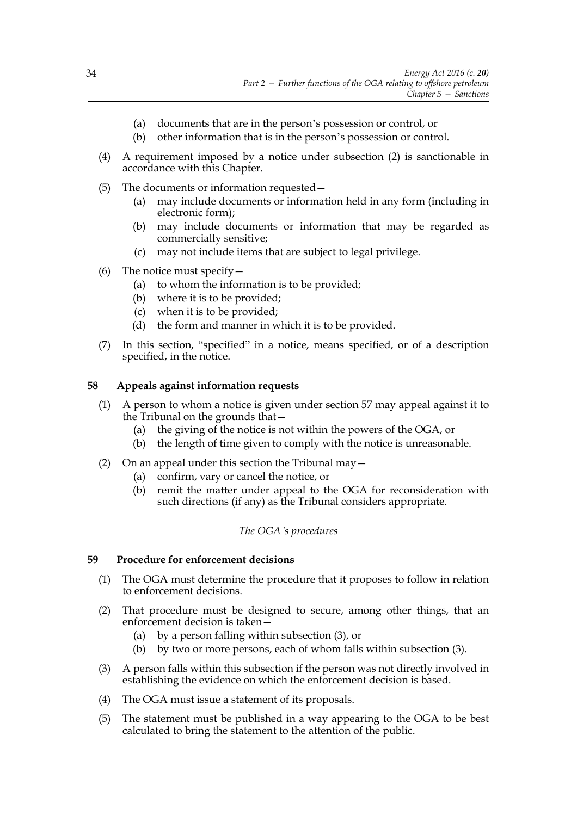- (a) documents that are in the person's possession or control, or
- (b) other information that is in the person's possession or control.
- (4) A requirement imposed by a notice under subsection (2) is sanctionable in accordance with this Chapter.
- (5) The documents or information requested—
	- (a) may include documents or information held in any form (including in electronic form);
	- (b) may include documents or information that may be regarded as commercially sensitive;
	- (c) may not include items that are subject to legal privilege.
- (6) The notice must specify  $-$ 
	- (a) to whom the information is to be provided;
	- (b) where it is to be provided;
	- (c) when it is to be provided;
	- (d) the form and manner in which it is to be provided.
- (7) In this section, "specified" in a notice, means specified, or of a description specified, in the notice.

## **58 Appeals against information requests**

- (1) A person to whom a notice is given under section 57 may appeal against it to the Tribunal on the grounds that—
	- (a) the giving of the notice is not within the powers of the OGA, or
	- (b) the length of time given to comply with the notice is unreasonable.
- (2) On an appeal under this section the Tribunal may—
	- (a) confirm, vary or cancel the notice, or
	- (b) remit the matter under appeal to the OGA for reconsideration with such directions (if any) as the Tribunal considers appropriate.

## *The OGA's procedures*

## **59 Procedure for enforcement decisions**

- (1) The OGA must determine the procedure that it proposes to follow in relation to enforcement decisions.
- (2) That procedure must be designed to secure, among other things, that an enforcement decision is taken—
	- (a) by a person falling within subsection (3), or
	- (b) by two or more persons, each of whom falls within subsection (3).
- (3) A person falls within this subsection if the person was not directly involved in establishing the evidence on which the enforcement decision is based.
- (4) The OGA must issue a statement of its proposals.
- (5) The statement must be published in a way appearing to the OGA to be best calculated to bring the statement to the attention of the public.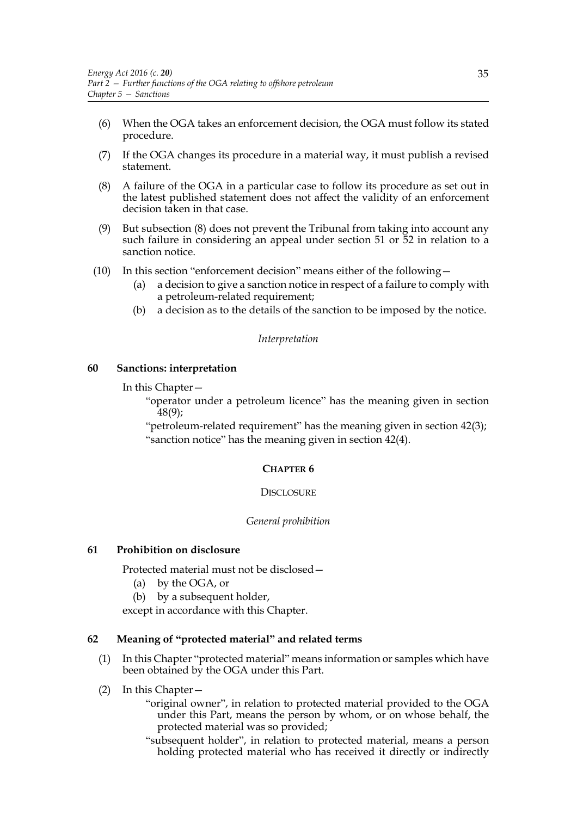- (6) When the OGA takes an enforcement decision, the OGA must follow its stated procedure.
- (7) If the OGA changes its procedure in a material way, it must publish a revised statement.
- (8) A failure of the OGA in a particular case to follow its procedure as set out in the latest published statement does not affect the validity of an enforcement decision taken in that case.
- (9) But subsection (8) does not prevent the Tribunal from taking into account any such failure in considering an appeal under section 51 or 52 in relation to a sanction notice.
- (10) In this section "enforcement decision" means either of the following—
	- (a) a decision to give a sanction notice in respect of a failure to comply with a petroleum-related requirement;
	- (b) a decision as to the details of the sanction to be imposed by the notice.

#### *Interpretation*

#### **60 Sanctions: interpretation**

In this Chapter—

"operator under a petroleum licence" has the meaning given in section 48(9);

"petroleum-related requirement" has the meaning given in section 42(3); "sanction notice" has the meaning given in section 42(4).

#### **CHAPTER 6**

#### **DISCLOSURE**

#### *General prohibition*

## **61 Prohibition on disclosure**

Protected material must not be disclosed—

- (a) by the OGA, or
- (b) by a subsequent holder,

except in accordance with this Chapter.

# **62 Meaning of "protected material" and related terms**

- (1) In this Chapter "protected material" means information or samples which have been obtained by the OGA under this Part.
- (2) In this Chapter—

"original owner", in relation to protected material provided to the OGA under this Part, means the person by whom, or on whose behalf, the protected material was so provided;

"subsequent holder", in relation to protected material, means a person holding protected material who has received it directly or indirectly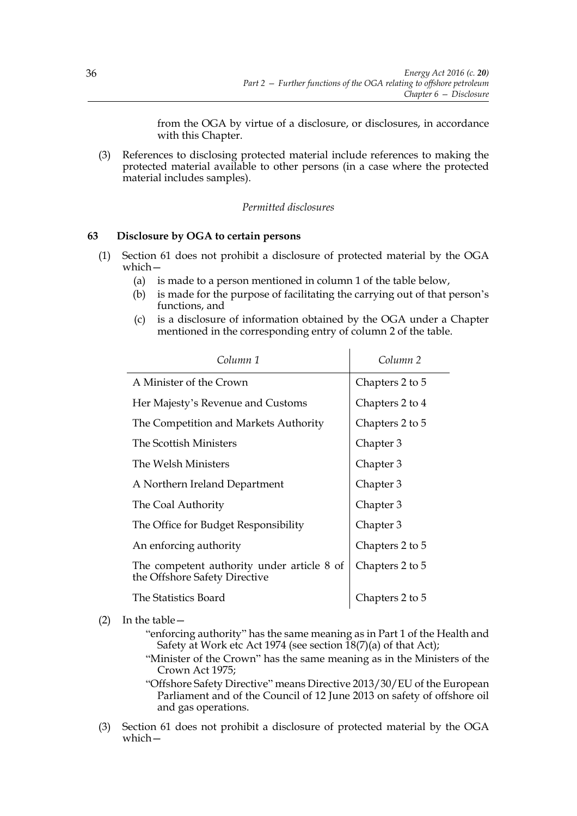from the OGA by virtue of a disclosure, or disclosures, in accordance with this Chapter.

(3) References to disclosing protected material include references to making the protected material available to other persons (in a case where the protected material includes samples).

## *Permitted disclosures*

#### **63 Disclosure by OGA to certain persons**

- (1) Section 61 does not prohibit a disclosure of protected material by the OGA which—
	- (a) is made to a person mentioned in column 1 of the table below,
	- (b) is made for the purpose of facilitating the carrying out of that person's functions, and
	- (c) is a disclosure of information obtained by the OGA under a Chapter mentioned in the corresponding entry of column 2 of the table.

 $\mathbf{r}$ 

| Column 1                                                                    | Column <sub>2</sub> |
|-----------------------------------------------------------------------------|---------------------|
| A Minister of the Crown                                                     | Chapters 2 to 5     |
| Her Majesty's Revenue and Customs                                           | Chapters 2 to 4     |
| The Competition and Markets Authority                                       | Chapters 2 to 5     |
| The Scottish Ministers                                                      | Chapter 3           |
| The Welsh Ministers                                                         | Chapter 3           |
| A Northern Ireland Department                                               | Chapter 3           |
| The Coal Authority                                                          | Chapter 3           |
| The Office for Budget Responsibility                                        | Chapter 3           |
| An enforcing authority                                                      | Chapters 2 to 5     |
| The competent authority under article 8 of<br>the Offshore Safety Directive | Chapters 2 to 5     |
| The Statistics Board                                                        | Chapters 2 to 5     |

#### (2) In the table—

- "enforcing authority" has the same meaning as in Part 1 of the Health and Safety at Work etc Act 1974 (see section  $\overline{18(7)}$ (a) of that Act);
- "Minister of the Crown" has the same meaning as in the Ministers of the Crown Act 1975;

"Offshore Safety Directive" means Directive 2013/30/EU of the European Parliament and of the Council of 12 June 2013 on safety of offshore oil and gas operations.

(3) Section 61 does not prohibit a disclosure of protected material by the OGA which—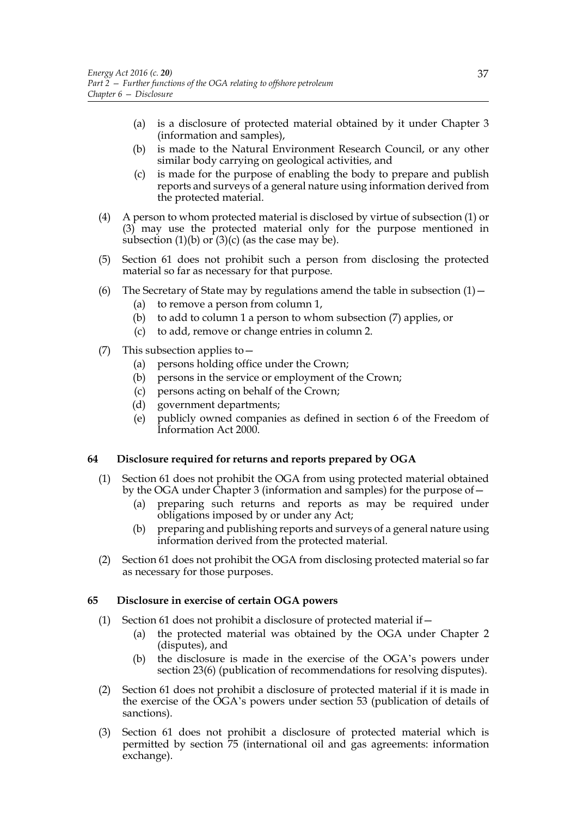- (a) is a disclosure of protected material obtained by it under Chapter 3 (information and samples),
- (b) is made to the Natural Environment Research Council, or any other similar body carrying on geological activities, and
- (c) is made for the purpose of enabling the body to prepare and publish reports and surveys of a general nature using information derived from the protected material.
- (4) A person to whom protected material is disclosed by virtue of subsection (1) or (3) may use the protected material only for the purpose mentioned in subsection  $(1)(b)$  or  $(3)(c)$  (as the case may be).
- (5) Section 61 does not prohibit such a person from disclosing the protected material so far as necessary for that purpose.
- (6) The Secretary of State may by regulations amend the table in subsection  $(1)$  -
	- (a) to remove a person from column 1,
	- (b) to add to column 1 a person to whom subsection (7) applies, or
	- (c) to add, remove or change entries in column 2.
- (7) This subsection applies to—
	- (a) persons holding office under the Crown;
	- (b) persons in the service or employment of the Crown;
	- (c) persons acting on behalf of the Crown;
	- (d) government departments;
	- (e) publicly owned companies as defined in section 6 of the Freedom of Information Act 2000.

## **64 Disclosure required for returns and reports prepared by OGA**

- (1) Section 61 does not prohibit the OGA from using protected material obtained by the OGA under Chapter 3 (information and samples) for the purpose of—
	- (a) preparing such returns and reports as may be required under obligations imposed by or under any Act;
	- (b) preparing and publishing reports and surveys of a general nature using information derived from the protected material.
- (2) Section 61 does not prohibit the OGA from disclosing protected material so far as necessary for those purposes.

## **65 Disclosure in exercise of certain OGA powers**

- (1) Section 61 does not prohibit a disclosure of protected material if  $-$ 
	- (a) the protected material was obtained by the OGA under Chapter 2 (disputes), and
	- (b) the disclosure is made in the exercise of the OGA's powers under section 23(6) (publication of recommendations for resolving disputes).
- (2) Section 61 does not prohibit a disclosure of protected material if it is made in the exercise of the OGA's powers under section 53 (publication of details of sanctions).
- (3) Section 61 does not prohibit a disclosure of protected material which is permitted by section 75 (international oil and gas agreements: information exchange).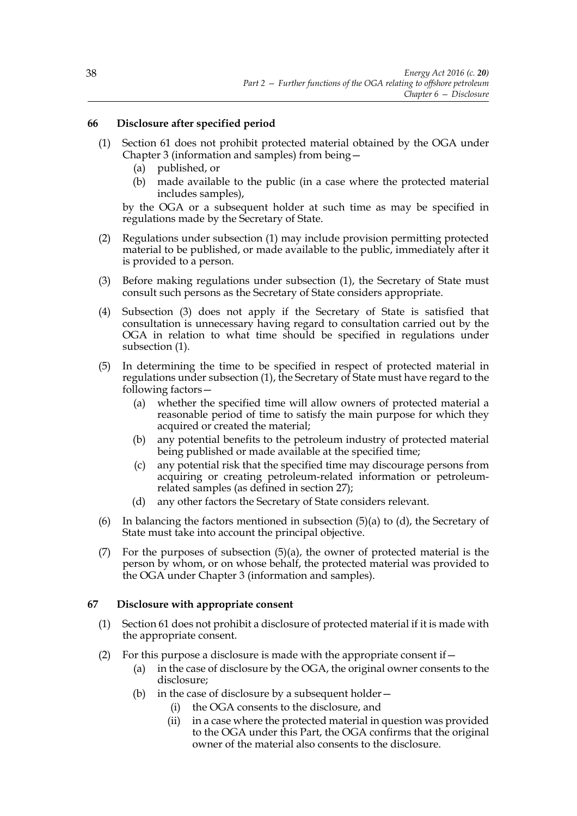# **66 Disclosure after specified period**

- (1) Section 61 does not prohibit protected material obtained by the OGA under Chapter 3 (information and samples) from being—
	- (a) published, or
	- (b) made available to the public (in a case where the protected material includes samples),

by the OGA or a subsequent holder at such time as may be specified in regulations made by the Secretary of State.

- (2) Regulations under subsection (1) may include provision permitting protected material to be published, or made available to the public, immediately after it is provided to a person.
- (3) Before making regulations under subsection (1), the Secretary of State must consult such persons as the Secretary of State considers appropriate.
- (4) Subsection (3) does not apply if the Secretary of State is satisfied that consultation is unnecessary having regard to consultation carried out by the OGA in relation to what time should be specified in regulations under subsection (1).
- (5) In determining the time to be specified in respect of protected material in regulations under subsection (1), the Secretary of State must have regard to the following factors—
	- (a) whether the specified time will allow owners of protected material a reasonable period of time to satisfy the main purpose for which they acquired or created the material;
	- (b) any potential benefits to the petroleum industry of protected material being published or made available at the specified time;
	- (c) any potential risk that the specified time may discourage persons from acquiring or creating petroleum-related information or petroleumrelated samples (as defined in section 27);
	- (d) any other factors the Secretary of State considers relevant.
- (6) In balancing the factors mentioned in subsection  $(5)(a)$  to  $(d)$ , the Secretary of State must take into account the principal objective.
- (7) For the purposes of subsection  $(5)(a)$ , the owner of protected material is the person by whom, or on whose behalf, the protected material was provided to the OGA under Chapter 3 (information and samples).

## **67 Disclosure with appropriate consent**

- (1) Section 61 does not prohibit a disclosure of protected material if it is made with the appropriate consent.
- (2) For this purpose a disclosure is made with the appropriate consent if  $-$ 
	- (a) in the case of disclosure by the OGA, the original owner consents to the disclosure;
	- (b) in the case of disclosure by a subsequent holder—
		- (i) the OGA consents to the disclosure, and
		- (ii) in a case where the protected material in question was provided to the OGA under this Part, the OGA confirms that the original owner of the material also consents to the disclosure.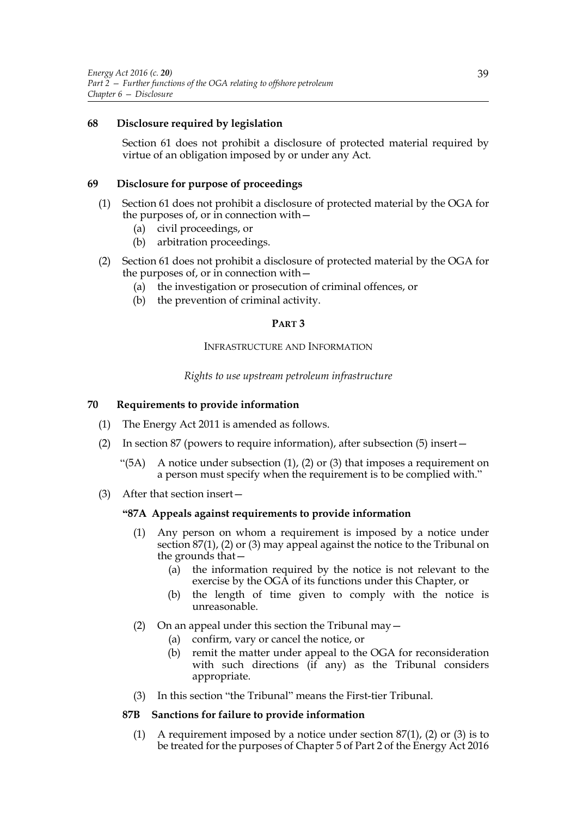## **68 Disclosure required by legislation**

Section 61 does not prohibit a disclosure of protected material required by virtue of an obligation imposed by or under any Act.

## **69 Disclosure for purpose of proceedings**

- (1) Section 61 does not prohibit a disclosure of protected material by the OGA for the purposes of, or in connection with—
	- (a) civil proceedings, or
	- (b) arbitration proceedings.
- (2) Section 61 does not prohibit a disclosure of protected material by the OGA for the purposes of, or in connection with—
	- (a) the investigation or prosecution of criminal offences, or
	- (b) the prevention of criminal activity.

## **PART 3**

## INFRASTRUCTURE AND INFORMATION

# *Rights to use upstream petroleum infrastructure*

## **70 Requirements to provide information**

- (1) The Energy Act 2011 is amended as follows.
- (2) In section 87 (powers to require information), after subsection (5) insert—
	- "(5A) A notice under subsection  $(1)$ ,  $(2)$  or  $(3)$  that imposes a requirement on a person must specify when the requirement is to be complied with."
- (3) After that section insert—

## **"87A Appeals against requirements to provide information**

- (1) Any person on whom a requirement is imposed by a notice under section 87(1), (2) or (3) may appeal against the notice to the Tribunal on the grounds that—
	- (a) the information required by the notice is not relevant to the exercise by the OGA of its functions under this Chapter, or
	- (b) the length of time given to comply with the notice is unreasonable.
- (2) On an appeal under this section the Tribunal may—
	- (a) confirm, vary or cancel the notice, or
	- (b) remit the matter under appeal to the OGA for reconsideration with such directions  $(\hat{if}$  any) as the Tribunal considers appropriate.
- (3) In this section "the Tribunal" means the First-tier Tribunal.

## **87B Sanctions for failure to provide information**

(1) A requirement imposed by a notice under section  $87(1)$ , (2) or (3) is to be treated for the purposes of Chapter 5 of Part 2 of the Energy Act 2016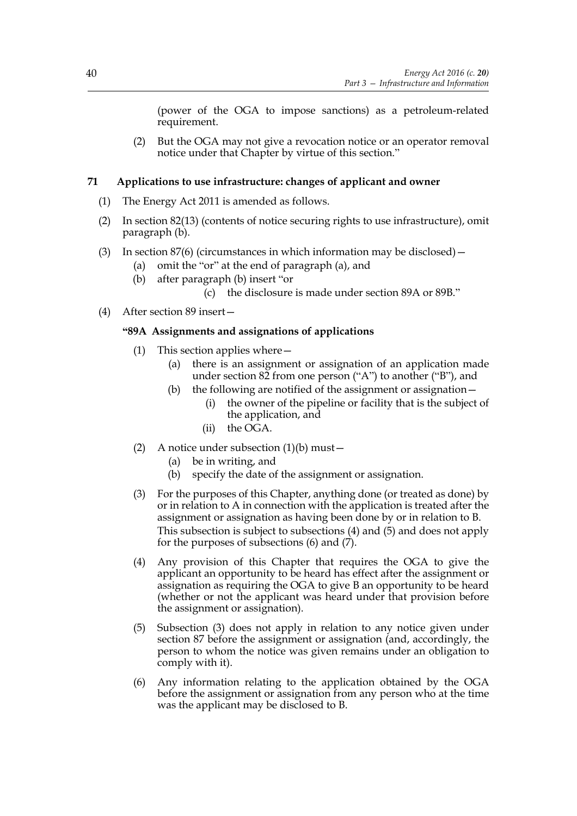(power of the OGA to impose sanctions) as a petroleum-related requirement.

(2) But the OGA may not give a revocation notice or an operator removal notice under that Chapter by virtue of this section."

# **71 Applications to use infrastructure: changes of applicant and owner**

- (1) The Energy Act 2011 is amended as follows.
- (2) In section 82(13) (contents of notice securing rights to use infrastructure), omit paragraph (b).
- (3) In section  $87(6)$  (circumstances in which information may be disclosed)
	- (a) omit the "or" at the end of paragraph (a), and
	- (b) after paragraph (b) insert "or
		- (c) the disclosure is made under section 89A or 89B."
- (4) After section 89 insert—

# **"89A Assignments and assignations of applications**

- (1) This section applies where—
	- (a) there is an assignment or assignation of an application made under section  $82$  from one person ("A") to another ("B"), and
	- (b) the following are notified of the assignment or assignation—
		- (i) the owner of the pipeline or facility that is the subject of the application, and
		- (ii) the OGA.
- (2) A notice under subsection  $(1)(b)$  must
	- (a) be in writing, and
	- (b) specify the date of the assignment or assignation.
- (3) For the purposes of this Chapter, anything done (or treated as done) by or in relation to A in connection with the application is treated after the assignment or assignation as having been done by or in relation to B. This subsection is subject to subsections (4) and (5) and does not apply for the purposes of subsections  $(6)$  and  $(7)$ .
- (4) Any provision of this Chapter that requires the OGA to give the applicant an opportunity to be heard has effect after the assignment or assignation as requiring the OGA to give B an opportunity to be heard (whether or not the applicant was heard under that provision before the assignment or assignation).
- (5) Subsection (3) does not apply in relation to any notice given under section 87 before the assignment or assignation (and, accordingly, the person to whom the notice was given remains under an obligation to comply with it).
- (6) Any information relating to the application obtained by the OGA before the assignment or assignation from any person who at the time was the applicant may be disclosed to B.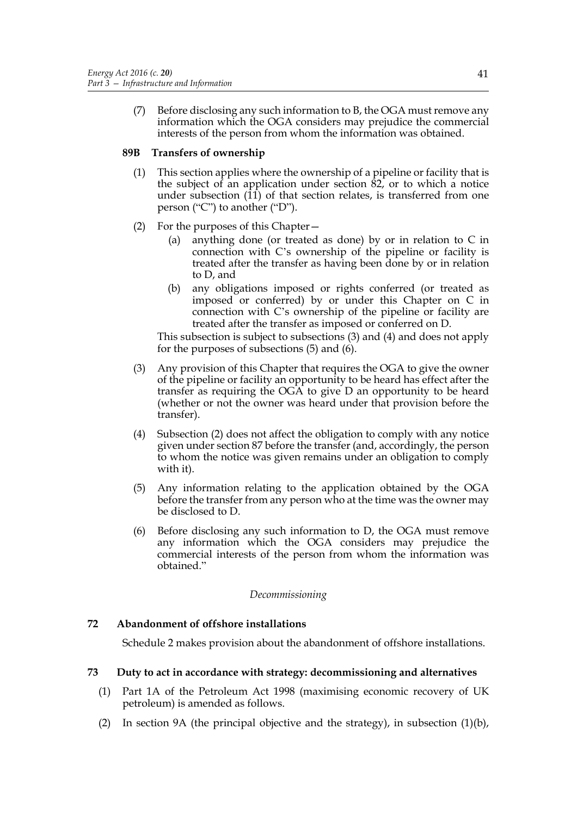(7) Before disclosing any such information to B, the OGA must remove any information which the OGA considers may prejudice the commercial interests of the person from whom the information was obtained.

## **89B Transfers of ownership**

- (1) This section applies where the ownership of a pipeline or facility that is the subject of an application under section 82, or to which a notice under subsection (11) of that section relates, is transferred from one person ("C") to another ("D").
- (2) For the purposes of this Chapter—
	- (a) anything done (or treated as done) by or in relation to C in connection with C's ownership of the pipeline or facility is treated after the transfer as having been done by or in relation to D, and
	- (b) any obligations imposed or rights conferred (or treated as imposed or conferred) by or under this Chapter on C in connection with C's ownership of the pipeline or facility are treated after the transfer as imposed or conferred on D.

This subsection is subject to subsections (3) and (4) and does not apply for the purposes of subsections (5) and (6).

- (3) Any provision of this Chapter that requires the OGA to give the owner of the pipeline or facility an opportunity to be heard has effect after the transfer as requiring the OGA to give D an opportunity to be heard (whether or not the owner was heard under that provision before the transfer).
- (4) Subsection (2) does not affect the obligation to comply with any notice given under section 87 before the transfer (and, accordingly, the person to whom the notice was given remains under an obligation to comply with it).
- (5) Any information relating to the application obtained by the OGA before the transfer from any person who at the time was the owner may be disclosed to D.
- (6) Before disclosing any such information to D, the OGA must remove any information which the OGA considers may prejudice the commercial interests of the person from whom the information was obtained."

## *Decommissioning*

## **72 Abandonment of offshore installations**

Schedule 2 makes provision about the abandonment of offshore installations.

## **73 Duty to act in accordance with strategy: decommissioning and alternatives**

- (1) Part 1A of the Petroleum Act 1998 (maximising economic recovery of UK petroleum) is amended as follows.
- (2) In section 9A (the principal objective and the strategy), in subsection (1)(b),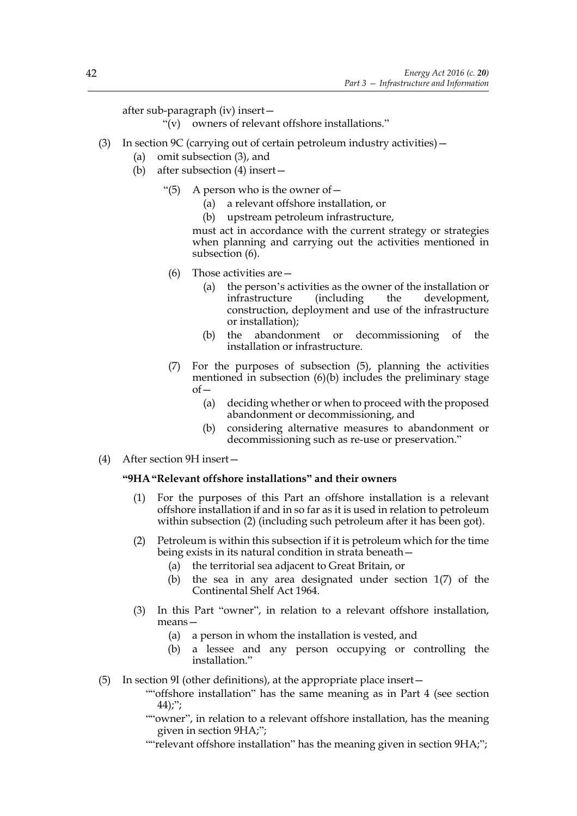after sub-paragraph (iv) insert—

- "(v) owners of relevant offshore installations."
- (3) In section 9C (carrying out of certain petroleum industry activities)  $-$ 
	- (a) omit subsection (3), and
	- (b) after subsection (4) insert—
		- "(5) A person who is the owner of  $-$ 
			- (a) a relevant offshore installation, or
			- (b) upstream petroleum infrastructure,

must act in accordance with the current strategy or strategies when planning and carrying out the activities mentioned in subsection (6).

- (6) Those activities are—
	- (a) the person's activities as the owner of the installation or infrastructure (including the development, construction, deployment and use of the infrastructure or installation);
	- (b) the abandonment or decommissioning of the installation or infrastructure.
- (7) For the purposes of subsection (5), planning the activities mentioned in subsection (6)(b) includes the preliminary stage  $of$ 
	- (a) deciding whether or when to proceed with the proposed abandonment or decommissioning, and
	- (b) considering alternative measures to abandonment or decommissioning such as re-use or preservation."
- (4) After section 9H insert—

## **"9HA"Relevant offshore installations" and their owners**

- (1) For the purposes of this Part an offshore installation is a relevant offshore installation if and in so far as it is used in relation to petroleum within subsection (2) (including such petroleum after it has been got).
- (2) Petroleum is within this subsection if it is petroleum which for the time being exists in its natural condition in strata beneath—
	- (a) the territorial sea adjacent to Great Britain, or
	- (b) the sea in any area designated under section 1(7) of the Continental Shelf Act 1964.
- (3) In this Part "owner", in relation to a relevant offshore installation, means—
	- (a) a person in whom the installation is vested, and
	- (b) a lessee and any person occupying or controlling the installation."
- (5) In section 9I (other definitions), at the appropriate place insert—
	- ""offshore installation" has the same meaning as in Part 4 (see section  $44$ );";
	- ""owner", in relation to a relevant offshore installation, has the meaning given in section 9HA;";
	- ""relevant offshore installation" has the meaning given in section 9HA;";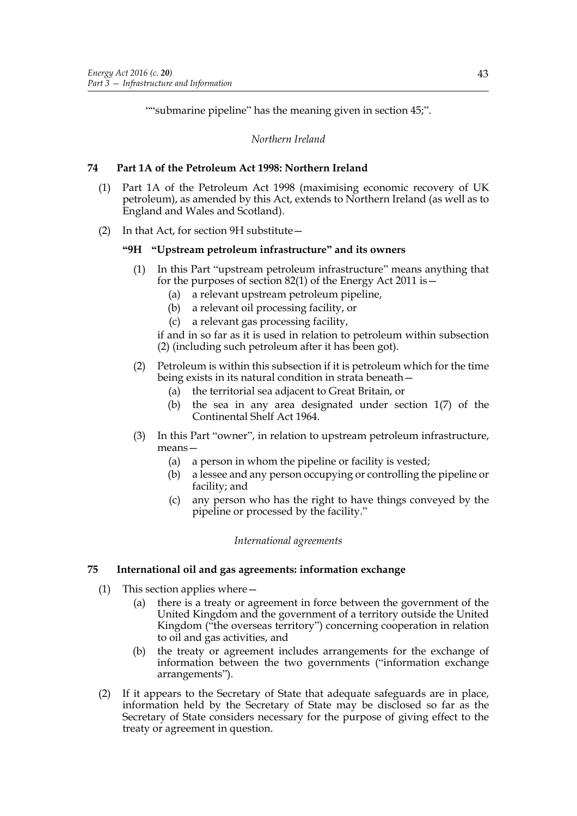""submarine pipeline" has the meaning given in section 45;".

*Northern Ireland*

## **74 Part 1A of the Petroleum Act 1998: Northern Ireland**

- (1) Part 1A of the Petroleum Act 1998 (maximising economic recovery of UK petroleum), as amended by this Act, extends to Northern Ireland (as well as to England and Wales and Scotland).
- (2) In that Act, for section 9H substitute—

# **"9H "Upstream petroleum infrastructure" and its owners**

- (1) In this Part "upstream petroleum infrastructure" means anything that for the purposes of section 82(1) of the Energy Act 2011 is  $-$ 
	- (a) a relevant upstream petroleum pipeline,
	- (b) a relevant oil processing facility, or
	- (c) a relevant gas processing facility,

if and in so far as it is used in relation to petroleum within subsection (2) (including such petroleum after it has been got).

## (2) Petroleum is within this subsection if it is petroleum which for the time being exists in its natural condition in strata beneath—

- (a) the territorial sea adjacent to Great Britain, or
- (b) the sea in any area designated under section 1(7) of the Continental Shelf Act 1964.
- (3) In this Part "owner", in relation to upstream petroleum infrastructure, means—
	- (a) a person in whom the pipeline or facility is vested;
	- (b) a lessee and any person occupying or controlling the pipeline or facility; and
	- (c) any person who has the right to have things conveyed by the pipeline or processed by the facility."

## *International agreements*

## **75 International oil and gas agreements: information exchange**

- (1) This section applies where—
	- (a) there is a treaty or agreement in force between the government of the United Kingdom and the government of a territory outside the United Kingdom ("the overseas territory") concerning cooperation in relation to oil and gas activities, and
	- (b) the treaty or agreement includes arrangements for the exchange of information between the two governments ("information exchange arrangements").
- (2) If it appears to the Secretary of State that adequate safeguards are in place, information held by the Secretary of State may be disclosed so far as the Secretary of State considers necessary for the purpose of giving effect to the treaty or agreement in question.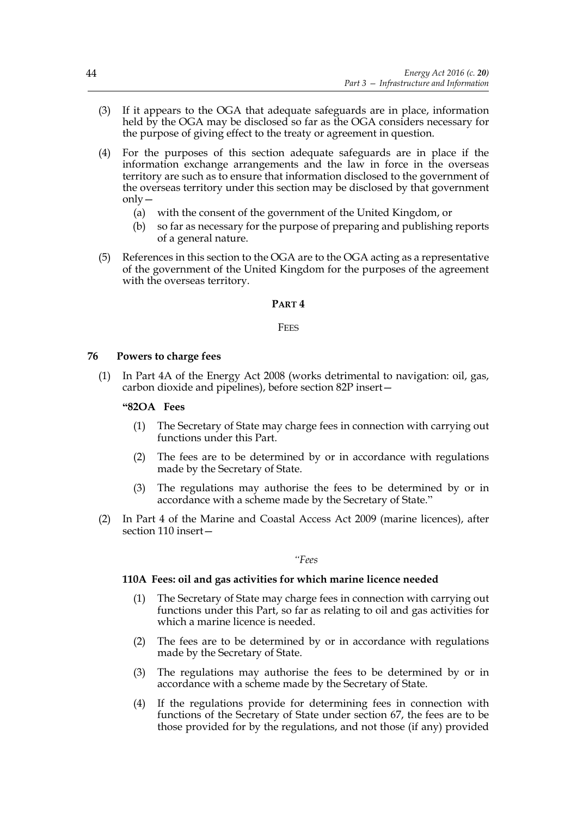- (3) If it appears to the OGA that adequate safeguards are in place, information held by the OGA may be disclosed so far as the OGA considers necessary for the purpose of giving effect to the treaty or agreement in question.
- (4) For the purposes of this section adequate safeguards are in place if the information exchange arrangements and the law in force in the overseas territory are such as to ensure that information disclosed to the government of the overseas territory under this section may be disclosed by that government only—
	- (a) with the consent of the government of the United Kingdom, or
	- (b) so far as necessary for the purpose of preparing and publishing reports of a general nature.
- (5) References in this section to the OGA are to the OGA acting as a representative of the government of the United Kingdom for the purposes of the agreement with the overseas territory.

#### **PART 4**

#### **FFFS**

#### **76 Powers to charge fees**

(1) In Part 4A of the Energy Act 2008 (works detrimental to navigation: oil, gas, carbon dioxide and pipelines), before section 82P insert—

#### **"82OA Fees**

- (1) The Secretary of State may charge fees in connection with carrying out functions under this Part.
- (2) The fees are to be determined by or in accordance with regulations made by the Secretary of State.
- (3) The regulations may authorise the fees to be determined by or in accordance with a scheme made by the Secretary of State."
- (2) In Part 4 of the Marine and Coastal Access Act 2009 (marine licences), after section 110 insert—

#### *"Fees*

#### **110A Fees: oil and gas activities for which marine licence needed**

- (1) The Secretary of State may charge fees in connection with carrying out functions under this Part, so far as relating to oil and gas activities for which a marine licence is needed.
- (2) The fees are to be determined by or in accordance with regulations made by the Secretary of State.
- (3) The regulations may authorise the fees to be determined by or in accordance with a scheme made by the Secretary of State.
- (4) If the regulations provide for determining fees in connection with functions of the Secretary of State under section 67, the fees are to be those provided for by the regulations, and not those (if any) provided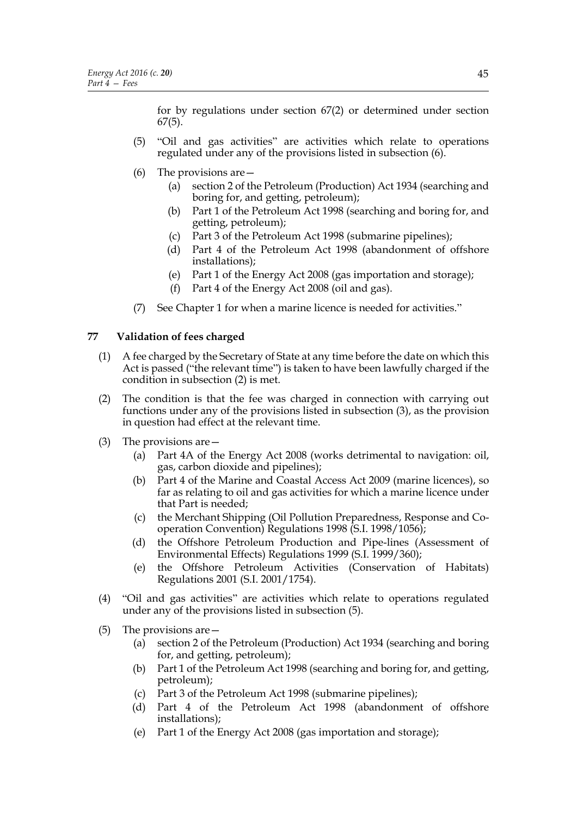for by regulations under section 67(2) or determined under section 67(5).

- (5) "Oil and gas activities" are activities which relate to operations regulated under any of the provisions listed in subsection (6).
- (6) The provisions are—
	- (a) section 2 of the Petroleum (Production) Act 1934 (searching and boring for, and getting, petroleum);
	- (b) Part 1 of the Petroleum Act 1998 (searching and boring for, and getting, petroleum);
	- (c) Part 3 of the Petroleum Act 1998 (submarine pipelines);
	- (d) Part 4 of the Petroleum Act 1998 (abandonment of offshore installations);
	- (e) Part 1 of the Energy Act 2008 (gas importation and storage);
	- (f) Part 4 of the Energy Act 2008 (oil and gas).
- (7) See Chapter 1 for when a marine licence is needed for activities."

# **77 Validation of fees charged**

- (1) A fee charged by the Secretary of State at any time before the date on which this Act is passed ("the relevant time") is taken to have been lawfully charged if the condition in subsection (2) is met.
- (2) The condition is that the fee was charged in connection with carrying out functions under any of the provisions listed in subsection (3), as the provision in question had effect at the relevant time.
- (3) The provisions are—
	- (a) Part 4A of the Energy Act 2008 (works detrimental to navigation: oil, gas, carbon dioxide and pipelines);
	- (b) Part 4 of the Marine and Coastal Access Act 2009 (marine licences), so far as relating to oil and gas activities for which a marine licence under that Part is needed;
	- (c) the Merchant Shipping (Oil Pollution Preparedness, Response and Cooperation Convention) Regulations 1998 (S.I. 1998/1056);
	- (d) the Offshore Petroleum Production and Pipe-lines (Assessment of Environmental Effects) Regulations 1999 (S.I. 1999/360);
	- (e) the Offshore Petroleum Activities (Conservation of Habitats) Regulations 2001 (S.I. 2001/1754).
- (4) "Oil and gas activities" are activities which relate to operations regulated under any of the provisions listed in subsection (5).
- (5) The provisions are—
	- (a) section 2 of the Petroleum (Production) Act 1934 (searching and boring for, and getting, petroleum);
	- (b) Part 1 of the Petroleum Act 1998 (searching and boring for, and getting, petroleum);
	- (c) Part 3 of the Petroleum Act 1998 (submarine pipelines);
	- (d) Part 4 of the Petroleum Act 1998 (abandonment of offshore installations);
	- (e) Part 1 of the Energy Act 2008 (gas importation and storage);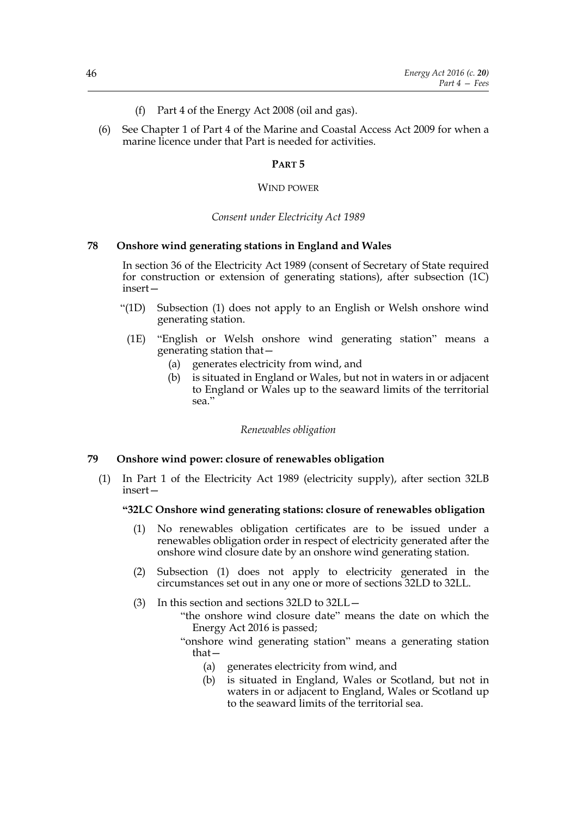- (f) Part 4 of the Energy Act 2008 (oil and gas).
- (6) See Chapter 1 of Part 4 of the Marine and Coastal Access Act 2009 for when a marine licence under that Part is needed for activities.

## **PART 5**

#### WIND POWER

#### *Consent under Electricity Act 1989*

#### **78 Onshore wind generating stations in England and Wales**

In section 36 of the Electricity Act 1989 (consent of Secretary of State required for construction or extension of generating stations), after subsection (1C) insert—

- "(1D) Subsection (1) does not apply to an English or Welsh onshore wind generating station.
- (1E) "English or Welsh onshore wind generating station" means a generating station that—
	- (a) generates electricity from wind, and
	- (b) is situated in England or Wales, but not in waters in or adjacent to England or Wales up to the seaward limits of the territorial sea."

*Renewables obligation*

#### **79 Onshore wind power: closure of renewables obligation**

(1) In Part 1 of the Electricity Act 1989 (electricity supply), after section 32LB insert—

#### **"32LC Onshore wind generating stations: closure of renewables obligation**

- (1) No renewables obligation certificates are to be issued under a renewables obligation order in respect of electricity generated after the onshore wind closure date by an onshore wind generating station.
- (2) Subsection (1) does not apply to electricity generated in the circumstances set out in any one or more of sections 32LD to 32LL.
- (3) In this section and sections 32LD to 32LL—
	- "the onshore wind closure date" means the date on which the Energy Act 2016 is passed;
	- "onshore wind generating station" means a generating station that—
		- (a) generates electricity from wind, and
		- (b) is situated in England, Wales or Scotland, but not in waters in or adjacent to England, Wales or Scotland up to the seaward limits of the territorial sea.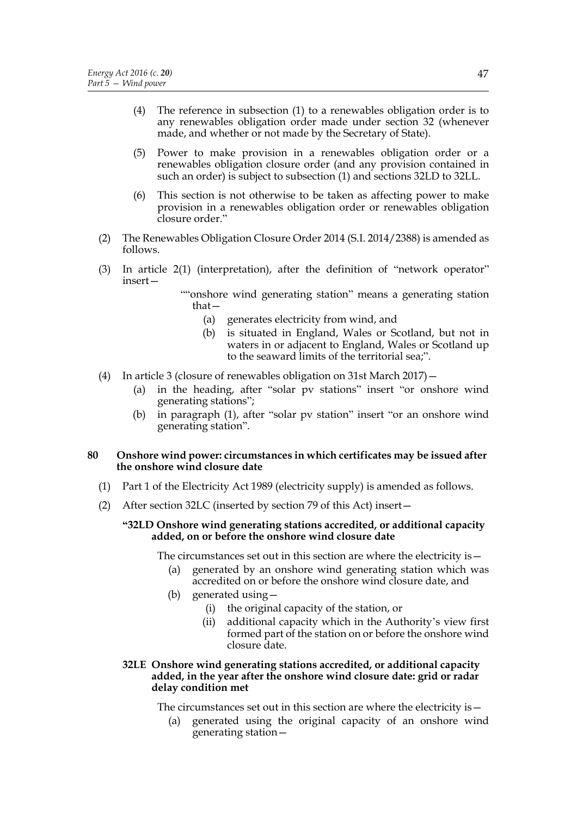- (4) The reference in subsection (1) to a renewables obligation order is to any renewables obligation order made under section 32 (whenever made, and whether or not made by the Secretary of State).
- (5) Power to make provision in a renewables obligation order or a renewables obligation closure order (and any provision contained in such an order) is subject to subsection (1) and sections 32LD to 32LL.
- (6) This section is not otherwise to be taken as affecting power to make provision in a renewables obligation order or renewables obligation closure order."
- (2) The Renewables Obligation Closure Order 2014 (S.I. 2014/2388) is amended as follows.
- (3) In article 2(1) (interpretation), after the definition of "network operator" insert—

""onshore wind generating station" means a generating station that—

- (a) generates electricity from wind, and
- (b) is situated in England, Wales or Scotland, but not in waters in or adjacent to England, Wales or Scotland up to the seaward limits of the territorial sea;".
- (4) In article 3 (closure of renewables obligation on 31st March 2017)—
	- (a) in the heading, after "solar pv stations" insert "or onshore wind generating stations";
	- (b) in paragraph (1), after "solar pv station" insert "or an onshore wind generating station".

#### **80 Onshore wind power: circumstances in which certificates may be issued after the onshore wind closure date**

- (1) Part 1 of the Electricity Act 1989 (electricity supply) is amended as follows.
- (2) After section 32LC (inserted by section 79 of this Act) insert—

#### **"32LD Onshore wind generating stations accredited, or additional capacity added, on or before the onshore wind closure date**

The circumstances set out in this section are where the electricity is—

- (a) generated by an onshore wind generating station which was accredited on or before the onshore wind closure date, and
- (b) generated using—
	- (i) the original capacity of the station, or
	- (ii) additional capacity which in the Authority's view first formed part of the station on or before the onshore wind closure date.
- **32LE Onshore wind generating stations accredited, or additional capacity added, in the year after the onshore wind closure date: grid or radar delay condition met**

The circumstances set out in this section are where the electricity is—

(a) generated using the original capacity of an onshore wind generating station—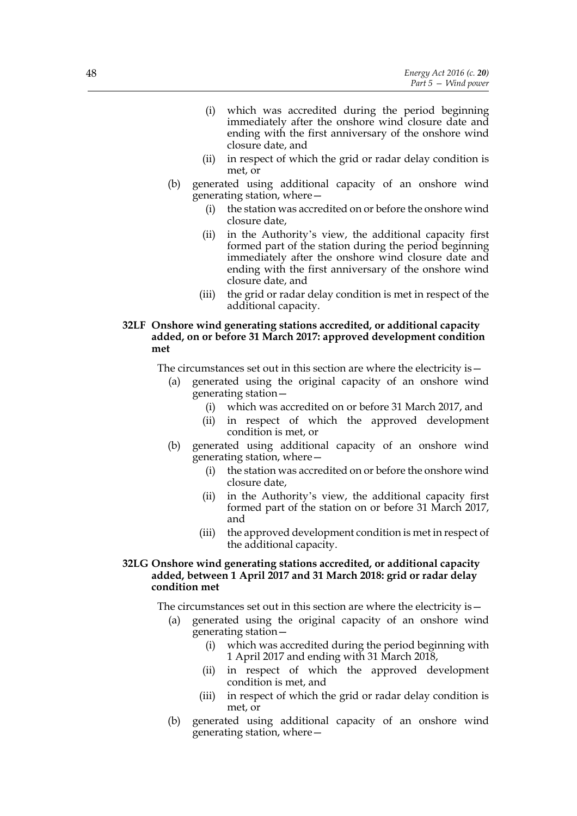- (i) which was accredited during the period beginning immediately after the onshore wind closure date and ending with the first anniversary of the onshore wind closure date, and
- (ii) in respect of which the grid or radar delay condition is met, or
- (b) generated using additional capacity of an onshore wind generating station, where—
	- (i) the station was accredited on or before the onshore wind closure date,
	- (ii) in the Authority's view, the additional capacity first formed part of the station during the period beginning immediately after the onshore wind closure date and ending with the first anniversary of the onshore wind closure date, and
	- (iii) the grid or radar delay condition is met in respect of the additional capacity.

## **32LF Onshore wind generating stations accredited, or additional capacity added, on or before 31 March 2017: approved development condition met**

The circumstances set out in this section are where the electricity is—

- (a) generated using the original capacity of an onshore wind generating station—
	- (i) which was accredited on or before 31 March 2017, and
	- (ii) in respect of which the approved development condition is met, or
- (b) generated using additional capacity of an onshore wind generating station, where—
	- (i) the station was accredited on or before the onshore wind closure date,
	- (ii) in the Authority's view, the additional capacity first formed part of the station on or before 31 March 2017, and
	- (iii) the approved development condition is met in respect of the additional capacity.

## **32LG Onshore wind generating stations accredited, or additional capacity added, between 1 April 2017 and 31 March 2018: grid or radar delay condition met**

The circumstances set out in this section are where the electricity is—

- (a) generated using the original capacity of an onshore wind generating station—
	- (i) which was accredited during the period beginning with 1 April 2017 and ending with 31 March 2018,
	- (ii) in respect of which the approved development condition is met, and
	- (iii) in respect of which the grid or radar delay condition is met, or
- (b) generated using additional capacity of an onshore wind generating station, where—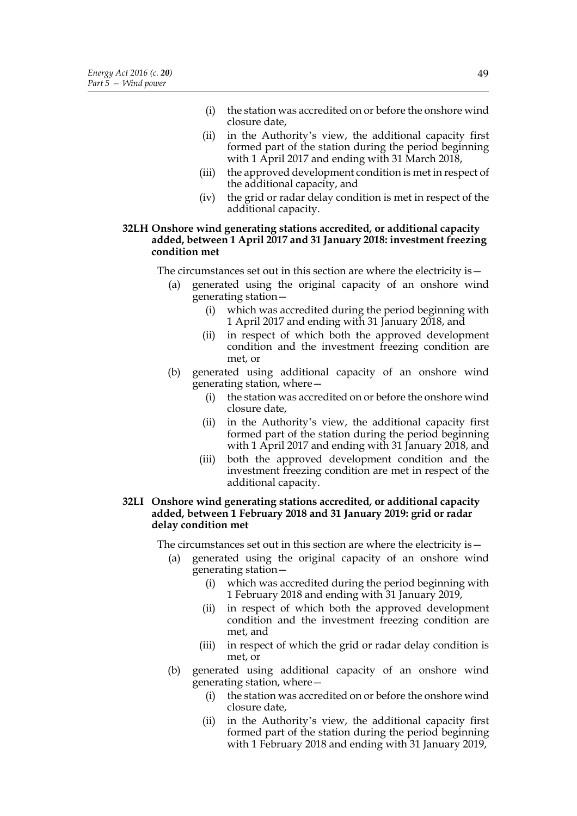- (i) the station was accredited on or before the onshore wind closure date,
- (ii) in the Authority's view, the additional capacity first formed part of the station during the period beginning with 1 April 2017 and ending with 31 March 2018,
- (iii) the approved development condition is met in respect of the additional capacity, and
- (iv) the grid or radar delay condition is met in respect of the additional capacity.

#### **32LH Onshore wind generating stations accredited, or additional capacity added, between 1 April 2017 and 31 January 2018: investment freezing condition met**

The circumstances set out in this section are where the electricity is—

- (a) generated using the original capacity of an onshore wind generating station—
	- (i) which was accredited during the period beginning with 1 April 2017 and ending with 31 January 2018, and
	- (ii) in respect of which both the approved development condition and the investment freezing condition are met, or
- (b) generated using additional capacity of an onshore wind generating station, where—
	- (i) the station was accredited on or before the onshore wind closure date,
	- (ii) in the Authority's view, the additional capacity first formed part of the station during the period beginning with 1 April 2017 and ending with 31 January 2018, and
	- (iii) both the approved development condition and the investment freezing condition are met in respect of the additional capacity.

#### **32LI Onshore wind generating stations accredited, or additional capacity added, between 1 February 2018 and 31 January 2019: grid or radar delay condition met**

The circumstances set out in this section are where the electricity is—

- (a) generated using the original capacity of an onshore wind generating station—
	- (i) which was accredited during the period beginning with 1 February 2018 and ending with 31 January 2019,
	- (ii) in respect of which both the approved development condition and the investment freezing condition are met, and
	- (iii) in respect of which the grid or radar delay condition is met, or
- (b) generated using additional capacity of an onshore wind generating station, where—
	- (i) the station was accredited on or before the onshore wind closure date,
	- (ii) in the Authority's view, the additional capacity first formed part of the station during the period beginning with 1 February 2018 and ending with 31 January 2019,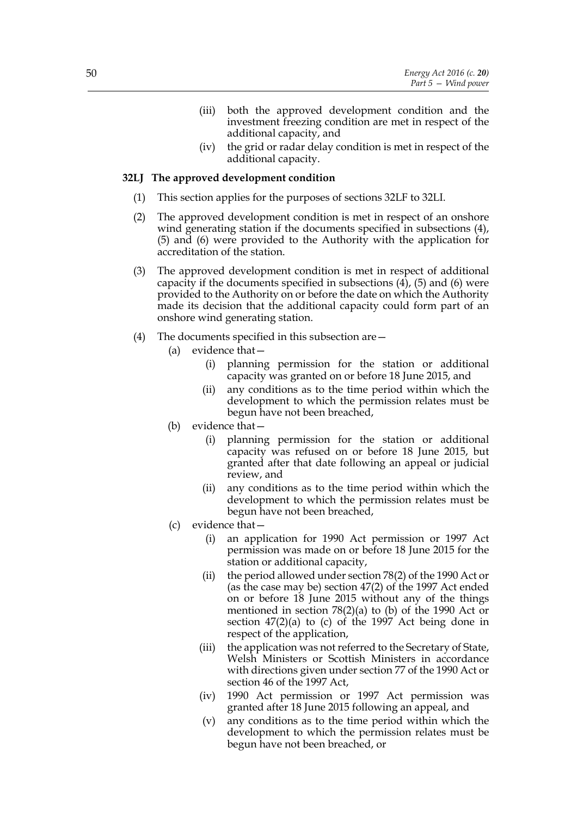- (iii) both the approved development condition and the investment freezing condition are met in respect of the additional capacity, and
- (iv) the grid or radar delay condition is met in respect of the additional capacity.

#### **32LJ The approved development condition**

- (1) This section applies for the purposes of sections 32LF to 32LI.
- (2) The approved development condition is met in respect of an onshore wind generating station if the documents specified in subsections (4), (5) and (6) were provided to the Authority with the application for accreditation of the station.
- (3) The approved development condition is met in respect of additional capacity if the documents specified in subsections  $(4)$ ,  $(5)$  and  $(6)$  were provided to the Authority on or before the date on which the Authority made its decision that the additional capacity could form part of an onshore wind generating station.
- (4) The documents specified in this subsection are—
	- (a) evidence that—
		- (i) planning permission for the station or additional capacity was granted on or before 18 June 2015, and
		- (ii) any conditions as to the time period within which the development to which the permission relates must be begun have not been breached,
	- (b) evidence that—
		- (i) planning permission for the station or additional capacity was refused on or before 18 June 2015, but granted after that date following an appeal or judicial review, and
		- (ii) any conditions as to the time period within which the development to which the permission relates must be begun have not been breached,
	- (c) evidence that—
		- (i) an application for 1990 Act permission or 1997 Act permission was made on or before 18 June 2015 for the station or additional capacity,
		- (ii) the period allowed under section 78(2) of the 1990 Act or (as the case may be) section 47(2) of the 1997 Act ended on or before 18 June 2015 without any of the things mentioned in section 78(2)(a) to (b) of the 1990 Act or section  $47(2)(a)$  to (c) of the 1997 Act being done in respect of the application,
		- (iii) the application was not referred to the Secretary of State, Welsh Ministers or Scottish Ministers in accordance with directions given under section 77 of the 1990 Act or section 46 of the 1997 Act,
		- (iv) 1990 Act permission or 1997 Act permission was granted after 18 June 2015 following an appeal, and
		- (v) any conditions as to the time period within which the development to which the permission relates must be begun have not been breached, or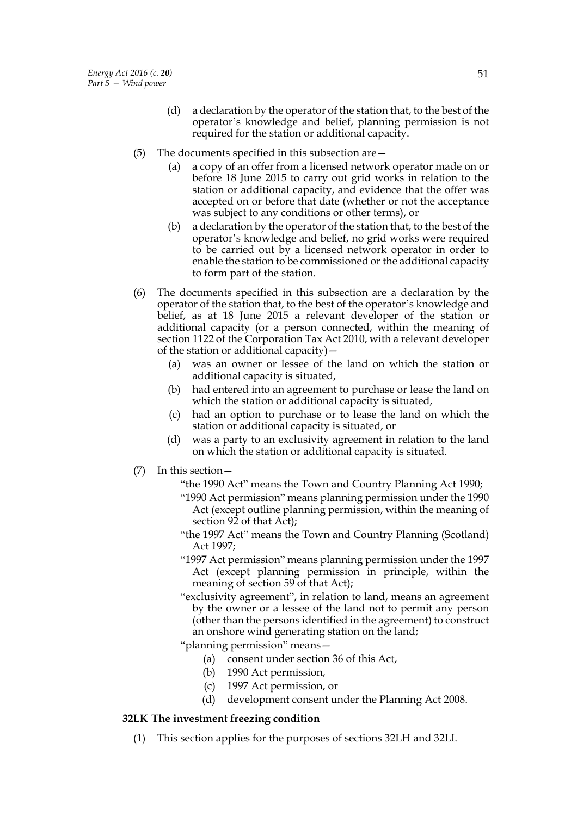- (d) a declaration by the operator of the station that, to the best of the operator's knowledge and belief, planning permission is not required for the station or additional capacity.
- (5) The documents specified in this subsection are—
	- (a) a copy of an offer from a licensed network operator made on or before 18 June 2015 to carry out grid works in relation to the station or additional capacity, and evidence that the offer was accepted on or before that date (whether or not the acceptance was subject to any conditions or other terms), or
	- (b) a declaration by the operator of the station that, to the best of the operator's knowledge and belief, no grid works were required to be carried out by a licensed network operator in order to enable the station to be commissioned or the additional capacity to form part of the station.
- (6) The documents specified in this subsection are a declaration by the operator of the station that, to the best of the operator's knowledge and belief, as at 18 June 2015 a relevant developer of the station or additional capacity (or a person connected, within the meaning of section 1122 of the Corporation Tax Act 2010, with a relevant developer of the station or additional capacity)—
	- (a) was an owner or lessee of the land on which the station or additional capacity is situated,
	- (b) had entered into an agreement to purchase or lease the land on which the station or additional capacity is situated,
	- (c) had an option to purchase or to lease the land on which the station or additional capacity is situated, or
	- (d) was a party to an exclusivity agreement in relation to the land on which the station or additional capacity is situated.
- (7) In this section—
	- "the 1990 Act" means the Town and Country Planning Act 1990;
	- "1990 Act permission" means planning permission under the 1990 Act (except outline planning permission, within the meaning of section 92 of that Act);
	- "the 1997 Act" means the Town and Country Planning (Scotland) Act 1997;
	- "1997 Act permission" means planning permission under the 1997 Act (except planning permission in principle, within the meaning of section 59 of that Act);
	- "exclusivity agreement", in relation to land, means an agreement by the owner or a lessee of the land not to permit any person (other than the persons identified in the agreement) to construct an onshore wind generating station on the land;

"planning permission" means—

- (a) consent under section 36 of this Act,
- (b) 1990 Act permission,
- (c) 1997 Act permission, or
- (d) development consent under the Planning Act 2008.

# **32LK The investment freezing condition**

(1) This section applies for the purposes of sections 32LH and 32LI.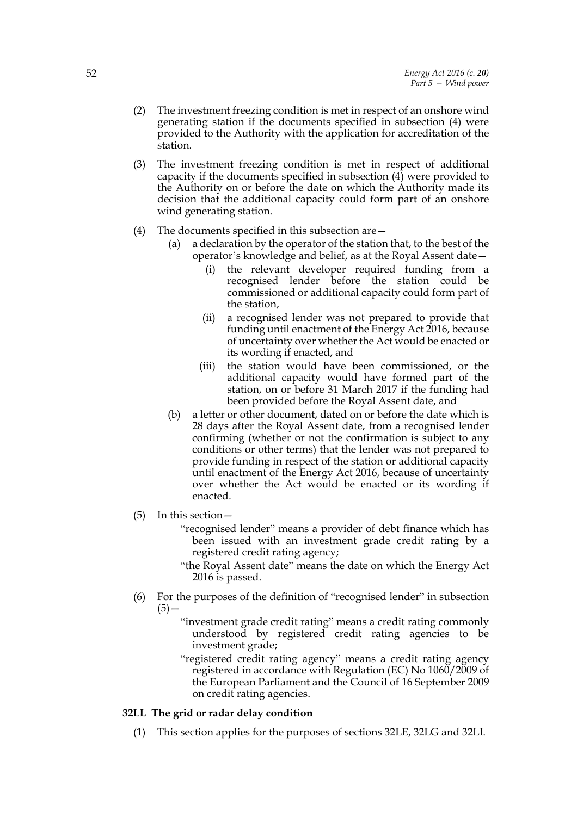- (2) The investment freezing condition is met in respect of an onshore wind generating station if the documents specified in subsection (4) were provided to the Authority with the application for accreditation of the station.
- (3) The investment freezing condition is met in respect of additional capacity if the documents specified in subsection  $(4)$  were provided to the Authority on or before the date on which the Authority made its decision that the additional capacity could form part of an onshore wind generating station.
- (4) The documents specified in this subsection are—
	- (a) a declaration by the operator of the station that, to the best of the operator's knowledge and belief, as at the Royal Assent date—
		- (i) the relevant developer required funding from a recognised lender before the station could be commissioned or additional capacity could form part of the station,
		- (ii) a recognised lender was not prepared to provide that funding until enactment of the Energy Act 2016, because of uncertainty over whether the Act would be enacted or its wording if enacted, and
		- (iii) the station would have been commissioned, or the additional capacity would have formed part of the station, on or before 31 March 2017 if the funding had been provided before the Royal Assent date, and
	- (b) a letter or other document, dated on or before the date which is 28 days after the Royal Assent date, from a recognised lender confirming (whether or not the confirmation is subject to any conditions or other terms) that the lender was not prepared to provide funding in respect of the station or additional capacity until enactment of the Energy Act 2016, because of uncertainty over whether the Act would be enacted or its wording if enacted.
- (5) In this section—
	- "recognised lender" means a provider of debt finance which has been issued with an investment grade credit rating by a registered credit rating agency;
	- "the Royal Assent date" means the date on which the Energy Act 2016 is passed.
- (6) For the purposes of the definition of "recognised lender" in subsection  $(5)$  –
	- "investment grade credit rating" means a credit rating commonly understood by registered credit rating agencies to be investment grade;
	- "registered credit rating agency" means a credit rating agency registered in accordance with Regulation (EC) No 1060/2009 of the European Parliament and the Council of 16 September 2009 on credit rating agencies.

# **32LL The grid or radar delay condition**

(1) This section applies for the purposes of sections 32LE, 32LG and 32LI.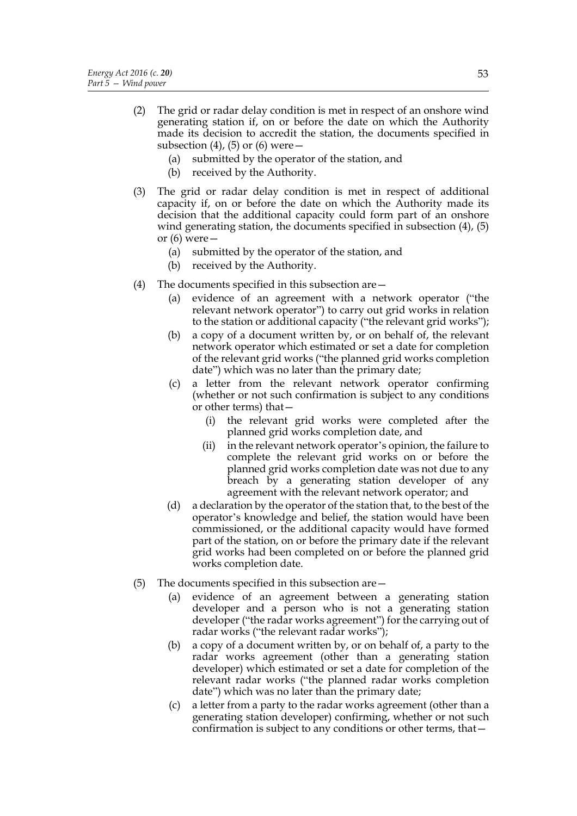- (2) The grid or radar delay condition is met in respect of an onshore wind generating station if, on or before the date on which the Authority made its decision to accredit the station, the documents specified in subsection  $(4)$ ,  $(5)$  or  $(6)$  were  $-$ 
	- (a) submitted by the operator of the station, and
	- (b) received by the Authority.
- (3) The grid or radar delay condition is met in respect of additional capacity if, on or before the date on which the Authority made its decision that the additional capacity could form part of an onshore wind generating station, the documents specified in subsection (4), (5) or (6) were—
	- (a) submitted by the operator of the station, and
	- (b) received by the Authority.
- (4) The documents specified in this subsection are—
	- (a) evidence of an agreement with a network operator ("the relevant network operator") to carry out grid works in relation to the station or additional capacity ("the relevant grid works");
	- (b) a copy of a document written by, or on behalf of, the relevant network operator which estimated or set a date for completion of the relevant grid works ("the planned grid works completion date") which was no later than the primary date;
	- (c) a letter from the relevant network operator confirming (whether or not such confirmation is subject to any conditions or other terms) that—
		- (i) the relevant grid works were completed after the planned grid works completion date, and
		- (ii) in the relevant network operator's opinion, the failure to complete the relevant grid works on or before the planned grid works completion date was not due to any breach by a generating station developer of any agreement with the relevant network operator; and
	- (d) a declaration by the operator of the station that, to the best of the operator's knowledge and belief, the station would have been commissioned, or the additional capacity would have formed part of the station, on or before the primary date if the relevant grid works had been completed on or before the planned grid works completion date.
- (5) The documents specified in this subsection are—
	- (a) evidence of an agreement between a generating station developer and a person who is not a generating station developer ("the radar works agreement") for the carrying out of radar works ("the relevant radar works");
	- (b) a copy of a document written by, or on behalf of, a party to the radar works agreement (other than a generating station developer) which estimated or set a date for completion of the relevant radar works ("the planned radar works completion date") which was no later than the primary date;
	- (c) a letter from a party to the radar works agreement (other than a generating station developer) confirming, whether or not such confirmation is subject to any conditions or other terms, that—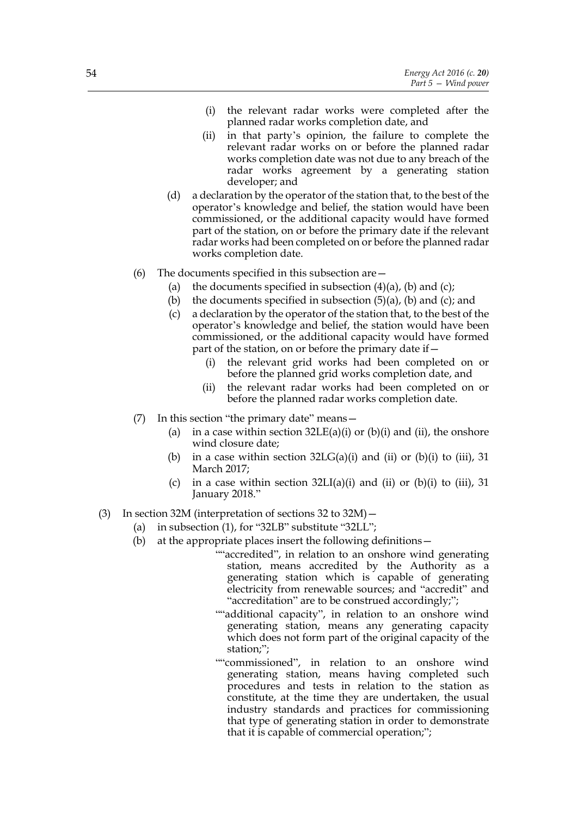- (i) the relevant radar works were completed after the planned radar works completion date, and
- (ii) in that party's opinion, the failure to complete the relevant radar works on or before the planned radar works completion date was not due to any breach of the radar works agreement by a generating station developer; and
- (d) a declaration by the operator of the station that, to the best of the operator's knowledge and belief, the station would have been commissioned, or the additional capacity would have formed part of the station, on or before the primary date if the relevant radar works had been completed on or before the planned radar works completion date.
- (6) The documents specified in this subsection are—
	- (a) the documents specified in subsection  $(4)(a)$ , (b) and (c);
	- (b) the documents specified in subsection  $(5)(a)$ ,  $(b)$  and  $(c)$ ; and
	- (c) a declaration by the operator of the station that, to the best of the operator's knowledge and belief, the station would have been commissioned, or the additional capacity would have formed part of the station, on or before the primary date if—
		- (i) the relevant grid works had been completed on or before the planned grid works completion date, and
		- (ii) the relevant radar works had been completed on or before the planned radar works completion date.
- (7) In this section "the primary date" means—
	- (a) in a case within section  $32LE(a)(i)$  or  $(b)(i)$  and  $(ii)$ , the onshore wind closure date;
	- (b) in a case within section  $32LG(a)(i)$  and (ii) or (b)(i) to (iii), 31 March 2017;
	- (c) in a case within section  $32LI(a)(i)$  and (ii) or (b)(i) to (iii), 31 January 2018."
- (3) In section 32M (interpretation of sections 32 to 32M)—
	- (a) in subsection (1), for "32LB" substitute "32LL";
	- (b) at the appropriate places insert the following definitions—
		- ""accredited", in relation to an onshore wind generating station, means accredited by the Authority as a generating station which is capable of generating electricity from renewable sources; and "accredit" and "accreditation" are to be construed accordingly;";
		- ""additional capacity", in relation to an onshore wind generating station, means any generating capacity which does not form part of the original capacity of the station;";
		- ""commissioned", in relation to an onshore wind generating station, means having completed such procedures and tests in relation to the station as constitute, at the time they are undertaken, the usual industry standards and practices for commissioning that type of generating station in order to demonstrate that it is capable of commercial operation;";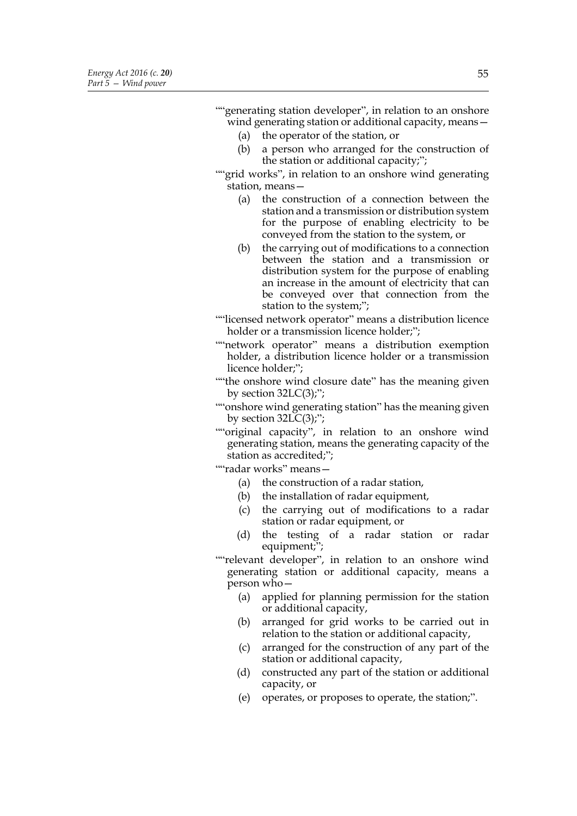(a) the operator of the station, or (b) a person who arranged for the construction of the station or additional capacity;"; ""grid works", in relation to an onshore wind generating station, means— (a) the construction of a connection between the station and a transmission or distribution system for the purpose of enabling electricity to be

- conveyed from the station to the system, or (b) the carrying out of modifications to a connection between the station and a transmission or distribution system for the purpose of enabling an increase in the amount of electricity that can be conveyed over that connection from the station to the system;";
- ""licensed network operator" means a distribution licence holder or a transmission licence holder;";
- ""network operator" means a distribution exemption holder, a distribution licence holder or a transmission licence holder;";
- ""the onshore wind closure date" has the meaning given by section  $32LC(3)$ ;";

""onshore wind generating station" has the meaning given by section  $32LC(3)$ ;";

""original capacity", in relation to an onshore wind generating station, means the generating capacity of the station as accredited;";

""radar works" means—

- (a) the construction of a radar station,
- (b) the installation of radar equipment,
- (c) the carrying out of modifications to a radar station or radar equipment, or
- (d) the testing of a radar station or radar equipment;";
- ""relevant developer", in relation to an onshore wind generating station or additional capacity, means a person who—
	- (a) applied for planning permission for the station or additional capacity,
	- (b) arranged for grid works to be carried out in relation to the station or additional capacity,
	- (c) arranged for the construction of any part of the station or additional capacity,
	- (d) constructed any part of the station or additional capacity, or
	- (e) operates, or proposes to operate, the station;".

""generating station developer", in relation to an onshore wind generating station or additional capacity, means -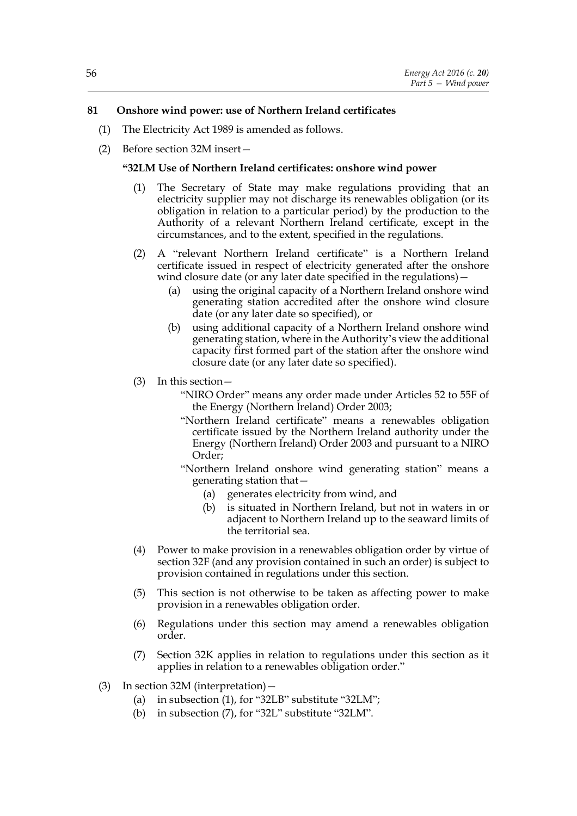# **81 Onshore wind power: use of Northern Ireland certificates**

- (1) The Electricity Act 1989 is amended as follows.
- (2) Before section 32M insert—

## **"32LM Use of Northern Ireland certificates: onshore wind power**

- (1) The Secretary of State may make regulations providing that an electricity supplier may not discharge its renewables obligation (or its obligation in relation to a particular period) by the production to the Authority of a relevant Northern Ireland certificate, except in the circumstances, and to the extent, specified in the regulations.
- (2) A "relevant Northern Ireland certificate" is a Northern Ireland certificate issued in respect of electricity generated after the onshore wind closure date (or any later date specified in the regulations)—
	- (a) using the original capacity of a Northern Ireland onshore wind generating station accredited after the onshore wind closure date (or any later date so specified), or
	- (b) using additional capacity of a Northern Ireland onshore wind generating station, where in the Authority's view the additional capacity first formed part of the station after the onshore wind closure date (or any later date so specified).
- (3) In this section—
	- "NIRO Order" means any order made under Articles 52 to 55F of the Energy (Northern Ireland) Order 2003;
	- "Northern Ireland certificate" means a renewables obligation certificate issued by the Northern Ireland authority under the Energy (Northern Ireland) Order 2003 and pursuant to a NIRO Order;
	- "Northern Ireland onshore wind generating station" means a generating station that—
		- (a) generates electricity from wind, and
		- (b) is situated in Northern Ireland, but not in waters in or adjacent to Northern Ireland up to the seaward limits of the territorial sea.
- (4) Power to make provision in a renewables obligation order by virtue of section 32F (and any provision contained in such an order) is subject to provision contained in regulations under this section.
- (5) This section is not otherwise to be taken as affecting power to make provision in a renewables obligation order.
- (6) Regulations under this section may amend a renewables obligation order.
- (7) Section 32K applies in relation to regulations under this section as it applies in relation to a renewables obligation order."
- (3) In section 32M (interpretation)—
	- (a) in subsection (1), for "32LB" substitute "32LM";
	- (b) in subsection (7), for "32L" substitute "32LM".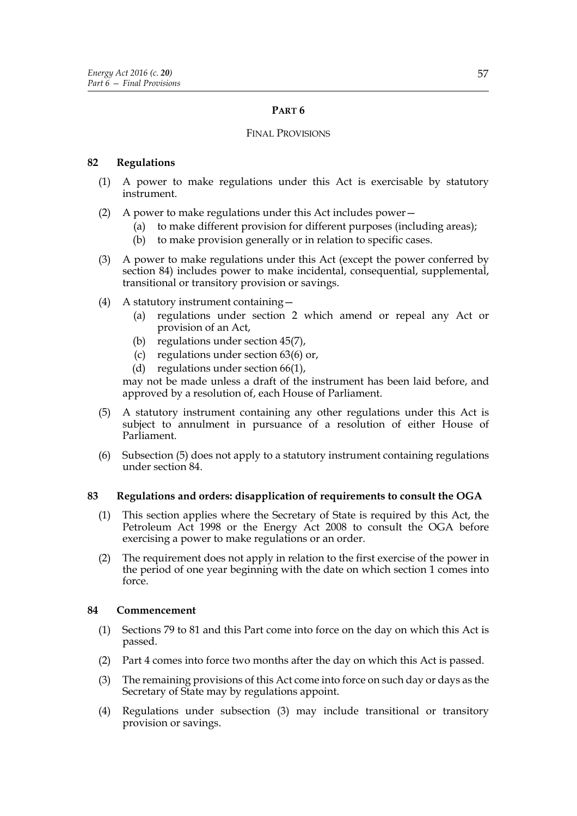# **PART 6**

## FINAL PROVISIONS

## **82 Regulations**

- (1) A power to make regulations under this Act is exercisable by statutory instrument.
- (2) A power to make regulations under this Act includes power—
	- (a) to make different provision for different purposes (including areas);
	- (b) to make provision generally or in relation to specific cases.
- (3) A power to make regulations under this Act (except the power conferred by section 84) includes power to make incidental, consequential, supplemental, transitional or transitory provision or savings.
- (4) A statutory instrument containing—
	- (a) regulations under section 2 which amend or repeal any Act or provision of an Act,
	- (b) regulations under section 45(7),
	- (c) regulations under section 63(6) or,
	- (d) regulations under section 66(1),

may not be made unless a draft of the instrument has been laid before, and approved by a resolution of, each House of Parliament.

- (5) A statutory instrument containing any other regulations under this Act is subject to annulment in pursuance of a resolution of either House of Parliament.
- (6) Subsection (5) does not apply to a statutory instrument containing regulations under section 84.

## **83 Regulations and orders: disapplication of requirements to consult the OGA**

- (1) This section applies where the Secretary of State is required by this Act, the Petroleum Act 1998 or the Energy Act 2008 to consult the OGA before exercising a power to make regulations or an order.
- (2) The requirement does not apply in relation to the first exercise of the power in the period of one year beginning with the date on which section 1 comes into force.

## **84 Commencement**

- (1) Sections 79 to 81 and this Part come into force on the day on which this Act is passed.
- (2) Part 4 comes into force two months after the day on which this Act is passed.
- (3) The remaining provisions of this Act come into force on such day or days as the Secretary of State may by regulations appoint.
- (4) Regulations under subsection (3) may include transitional or transitory provision or savings.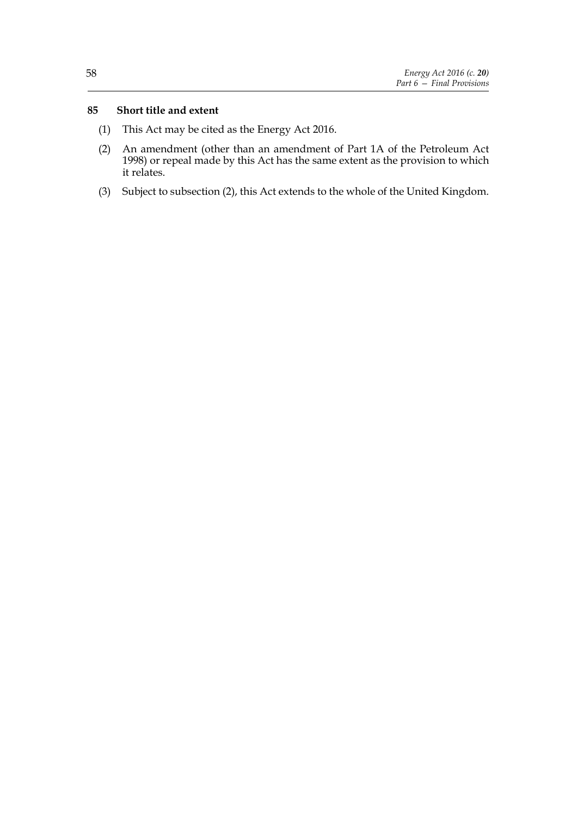## **85 Short title and extent**

- (1) This Act may be cited as the Energy Act 2016.
- (2) An amendment (other than an amendment of Part 1A of the Petroleum Act 1998) or repeal made by this Act has the same extent as the provision to which it relates.
- (3) Subject to subsection (2), this Act extends to the whole of the United Kingdom.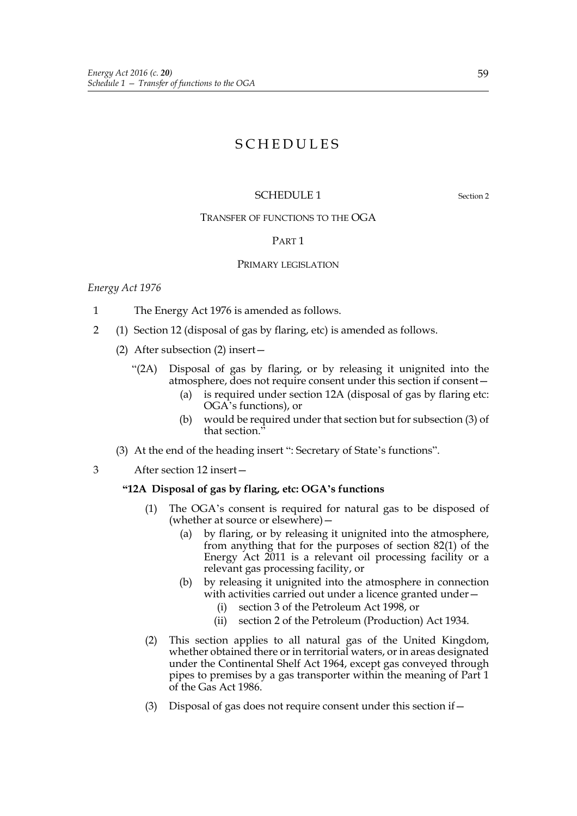# **SCHEDULES**

# SCHEDULE 1 Section 2

# TRANSFER OF FUNCTIONS TO THE OGA

#### PART 1

#### PRIMARY LEGISLATION

#### *Energy Act 1976*

- 1 The Energy Act 1976 is amended as follows.
- 2 (1) Section 12 (disposal of gas by flaring, etc) is amended as follows.
	- (2) After subsection (2) insert—
		- "(2A) Disposal of gas by flaring, or by releasing it unignited into the atmosphere, does not require consent under this section if consent—
			- (a) is required under section 12A (disposal of gas by flaring etc: OGA's functions), or
			- (b) would be required under that section but for subsection (3) of that section."
	- (3) At the end of the heading insert ": Secretary of State's functions".
- 3 After section 12 insert—

#### **"12A Disposal of gas by flaring, etc: OGA's functions**

- (1) The OGA's consent is required for natural gas to be disposed of (whether at source or elsewhere)—
	- (a) by flaring, or by releasing it unignited into the atmosphere, from anything that for the purposes of section 82(1) of the Energy Act 2011 is a relevant oil processing facility or a relevant gas processing facility, or
	- (b) by releasing it unignited into the atmosphere in connection with activities carried out under a licence granted under—
		- (i) section 3 of the Petroleum Act 1998, or
		- (ii) section 2 of the Petroleum (Production) Act 1934.
- (2) This section applies to all natural gas of the United Kingdom, whether obtained there or in territorial waters, or in areas designated under the Continental Shelf Act 1964, except gas conveyed through pipes to premises by a gas transporter within the meaning of Part 1 of the Gas Act 1986.
- (3) Disposal of gas does not require consent under this section if—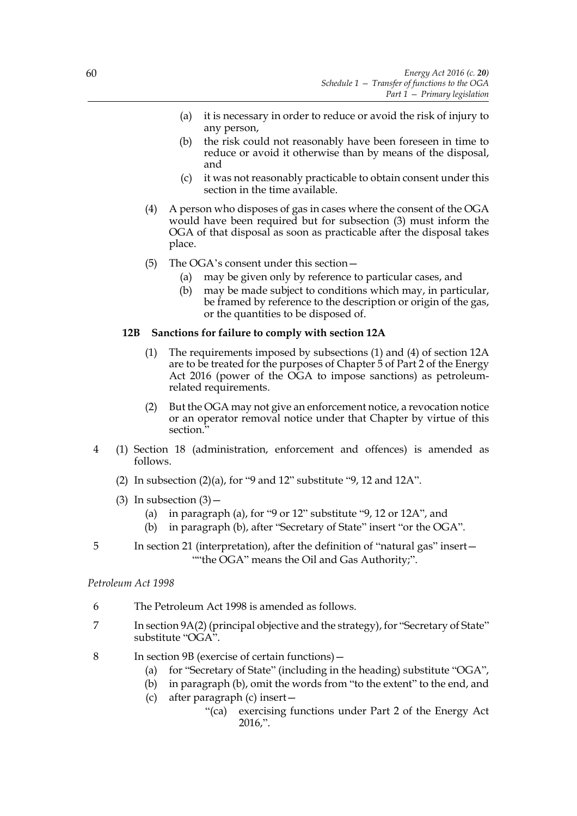- (a) it is necessary in order to reduce or avoid the risk of injury to any person,
- (b) the risk could not reasonably have been foreseen in time to reduce or avoid it otherwise than by means of the disposal, and
- (c) it was not reasonably practicable to obtain consent under this section in the time available.
- (4) A person who disposes of gas in cases where the consent of the OGA would have been required but for subsection (3) must inform the OGA of that disposal as soon as practicable after the disposal takes place.
- (5) The OGA's consent under this section—
	- (a) may be given only by reference to particular cases, and
	- (b) may be made subject to conditions which may, in particular, be framed by reference to the description or origin of the gas, or the quantities to be disposed of.

#### **12B Sanctions for failure to comply with section 12A**

- (1) The requirements imposed by subsections (1) and (4) of section 12A are to be treated for the purposes of Chapter 5 of Part 2 of the Energy Act 2016 (power of the OGA to impose sanctions) as petroleumrelated requirements.
- (2) But the OGA may not give an enforcement notice, a revocation notice or an operator removal notice under that Chapter by virtue of this section.<sup>3</sup>
- 4 (1) Section 18 (administration, enforcement and offences) is amended as follows.
	- (2) In subsection  $(2)(a)$ , for "9 and 12" substitute "9, 12 and 12A".
	- (3) In subsection  $(3)$ 
		- (a) in paragraph (a), for "9 or 12" substitute "9, 12 or 12A", and
		- (b) in paragraph (b), after "Secretary of State" insert "or the OGA".
- 5 In section 21 (interpretation), after the definition of "natural gas" insert— ""the OGA" means the Oil and Gas Authority;".

#### *Petroleum Act 1998*

- 6 The Petroleum Act 1998 is amended as follows.
- 7 In section 9A(2) (principal objective and the strategy), for "Secretary of State" substitute "OGA".
- 8 In section 9B (exercise of certain functions)—
	- (a) for "Secretary of State" (including in the heading) substitute "OGA",
	- (b) in paragraph (b), omit the words from "to the extent" to the end, and
	- (c) after paragraph (c) insert—
		- "(ca) exercising functions under Part 2 of the Energy Act 2016,".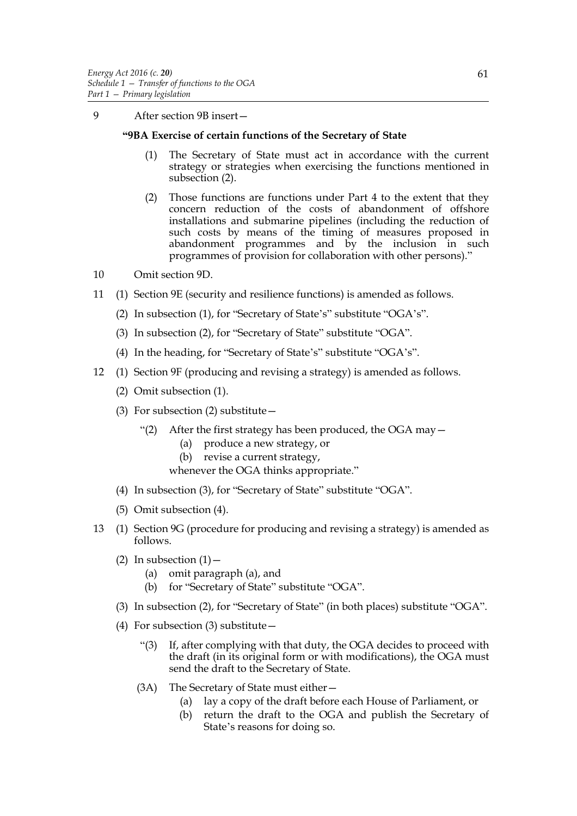9 After section 9B insert—

## **"9BA Exercise of certain functions of the Secretary of State**

- (1) The Secretary of State must act in accordance with the current strategy or strategies when exercising the functions mentioned in subsection (2).
- (2) Those functions are functions under Part 4 to the extent that they concern reduction of the costs of abandonment of offshore installations and submarine pipelines (including the reduction of such costs by means of the timing of measures proposed in abandonment programmes and by the inclusion in such programmes of provision for collaboration with other persons)."
- 10 Omit section 9D.
- 11 (1) Section 9E (security and resilience functions) is amended as follows.
	- (2) In subsection (1), for "Secretary of State's" substitute "OGA's".
	- (3) In subsection (2), for "Secretary of State" substitute "OGA".
	- (4) In the heading, for "Secretary of State's" substitute "OGA's".
- 12 (1) Section 9F (producing and revising a strategy) is amended as follows.
	- (2) Omit subsection (1).
	- (3) For subsection (2) substitute  $-$ 
		- "(2) After the first strategy has been produced, the OGA may—
			- (a) produce a new strategy, or
			- (b) revise a current strategy,

whenever the OGA thinks appropriate."

- (4) In subsection (3), for "Secretary of State" substitute "OGA".
- (5) Omit subsection (4).
- 13 (1) Section 9G (procedure for producing and revising a strategy) is amended as follows.
	- (2) In subsection  $(1)$  -
		- (a) omit paragraph (a), and
		- (b) for "Secretary of State" substitute "OGA".
	- (3) In subsection (2), for "Secretary of State" (in both places) substitute "OGA".
	- (4) For subsection (3) substitute—
		- "(3) If, after complying with that duty, the OGA decides to proceed with the draft (in its original form or with modifications), the OGA must send the draft to the Secretary of State.
		- (3A) The Secretary of State must either—
			- (a) lay a copy of the draft before each House of Parliament, or
			- (b) return the draft to the OGA and publish the Secretary of State's reasons for doing so.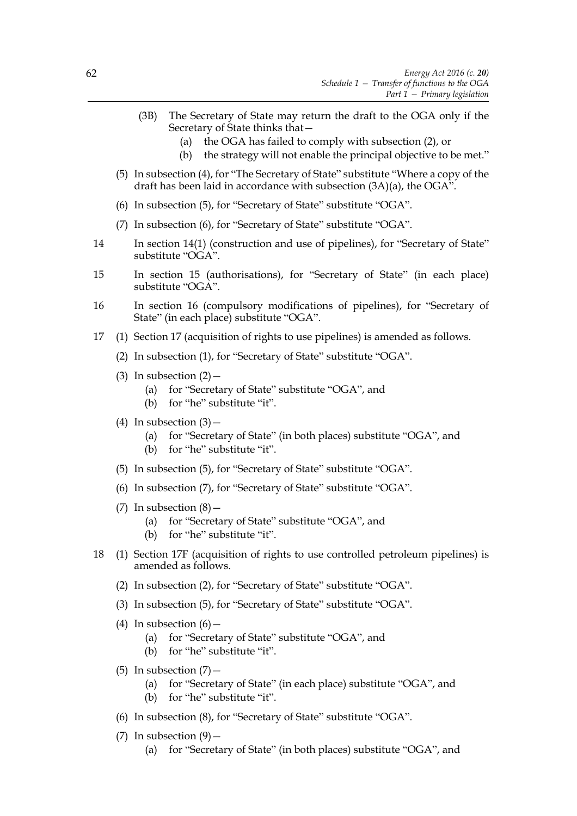- (3B) The Secretary of State may return the draft to the OGA only if the Secretary of State thinks that—
	- (a) the OGA has failed to comply with subsection (2), or
	- (b) the strategy will not enable the principal objective to be met."
- (5) In subsection (4), for "The Secretary of State" substitute "Where a copy of the draft has been laid in accordance with subsection (3A)(a), the OGA".
- (6) In subsection (5), for "Secretary of State" substitute "OGA".
- (7) In subsection (6), for "Secretary of State" substitute "OGA".
- 14 In section 14(1) (construction and use of pipelines), for "Secretary of State" substitute "OGA".
- 15 In section 15 (authorisations), for "Secretary of State" (in each place) substitute "OGA".
- 16 In section 16 (compulsory modifications of pipelines), for "Secretary of State" (in each place) substitute "OGA".
- 17 (1) Section 17 (acquisition of rights to use pipelines) is amended as follows.
	- (2) In subsection (1), for "Secretary of State" substitute "OGA".
	- (3) In subsection  $(2)$ 
		- (a) for "Secretary of State" substitute "OGA", and
		- (b) for "he" substitute "it".
	- (4) In subsection  $(3)$ 
		- (a) for "Secretary of State" (in both places) substitute "OGA", and
		- (b) for "he" substitute "it".
	- (5) In subsection (5), for "Secretary of State" substitute "OGA".
	- (6) In subsection (7), for "Secretary of State" substitute "OGA".
	- (7) In subsection  $(8)$  -
		- (a) for "Secretary of State" substitute "OGA", and
		- (b) for "he" substitute "it".
- 18 (1) Section 17F (acquisition of rights to use controlled petroleum pipelines) is amended as follows.
	- (2) In subsection (2), for "Secretary of State" substitute "OGA".
	- (3) In subsection (5), for "Secretary of State" substitute "OGA".
	- (4) In subsection  $(6)$  -
		- (a) for "Secretary of State" substitute "OGA", and
		- (b) for "he" substitute "it".
	- (5) In subsection  $(7)$  -
		- (a) for "Secretary of State" (in each place) substitute "OGA", and
		- (b) for "he" substitute "it".
	- (6) In subsection (8), for "Secretary of State" substitute "OGA".
	- (7) In subsection  $(9)$ 
		- (a) for "Secretary of State" (in both places) substitute "OGA", and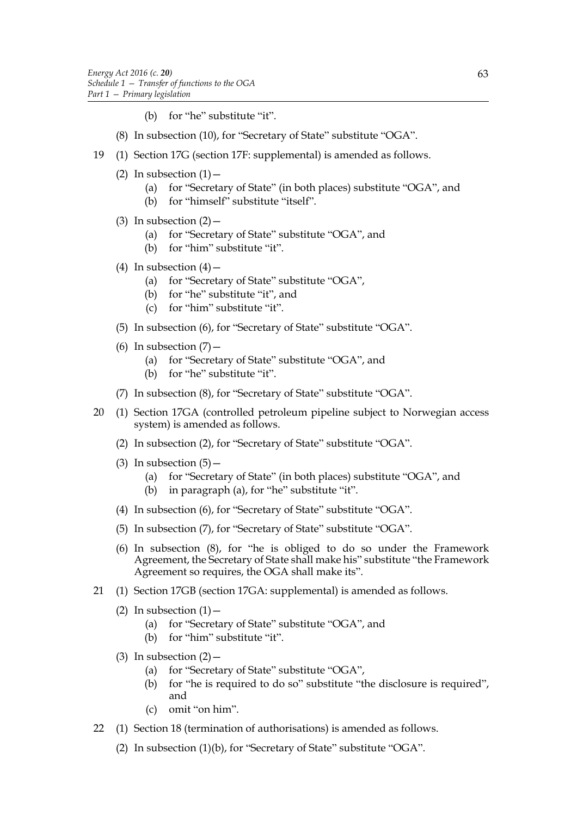- (b) for "he" substitute "it".
- (8) In subsection (10), for "Secretary of State" substitute "OGA".
- 19 (1) Section 17G (section 17F: supplemental) is amended as follows.
	- (2) In subsection  $(1)$ 
		- (a) for "Secretary of State" (in both places) substitute "OGA", and
		- (b) for "himself" substitute "itself".
	- (3) In subsection  $(2)$ 
		- (a) for "Secretary of State" substitute "OGA", and
		- (b) for "him" substitute "it".
	- (4) In subsection  $(4)$ 
		- (a) for "Secretary of State" substitute "OGA",
		- (b) for "he" substitute "it", and
		- (c) for "him" substitute "it".
	- (5) In subsection (6), for "Secretary of State" substitute "OGA".
	- (6) In subsection  $(7)$ 
		- (a) for "Secretary of State" substitute "OGA", and
		- (b) for "he" substitute "it".
	- (7) In subsection (8), for "Secretary of State" substitute "OGA".
- 20 (1) Section 17GA (controlled petroleum pipeline subject to Norwegian access system) is amended as follows.
	- (2) In subsection (2), for "Secretary of State" substitute "OGA".
	- (3) In subsection  $(5)$ 
		- (a) for "Secretary of State" (in both places) substitute "OGA", and
		- (b) in paragraph (a), for "he" substitute "it".
	- (4) In subsection (6), for "Secretary of State" substitute "OGA".
	- (5) In subsection (7), for "Secretary of State" substitute "OGA".
	- (6) In subsection (8), for "he is obliged to do so under the Framework Agreement, the Secretary of State shall make his" substitute "the Framework Agreement so requires, the OGA shall make its".
- 21 (1) Section 17GB (section 17GA: supplemental) is amended as follows.
	- (2) In subsection  $(1)$ 
		- (a) for "Secretary of State" substitute "OGA", and
		- (b) for "him" substitute "it".
	- (3) In subsection  $(2)$ 
		- (a) for "Secretary of State" substitute "OGA",
		- (b) for "he is required to do so" substitute "the disclosure is required", and
		- (c) omit "on him".
- 22 (1) Section 18 (termination of authorisations) is amended as follows.
	- (2) In subsection (1)(b), for "Secretary of State" substitute "OGA".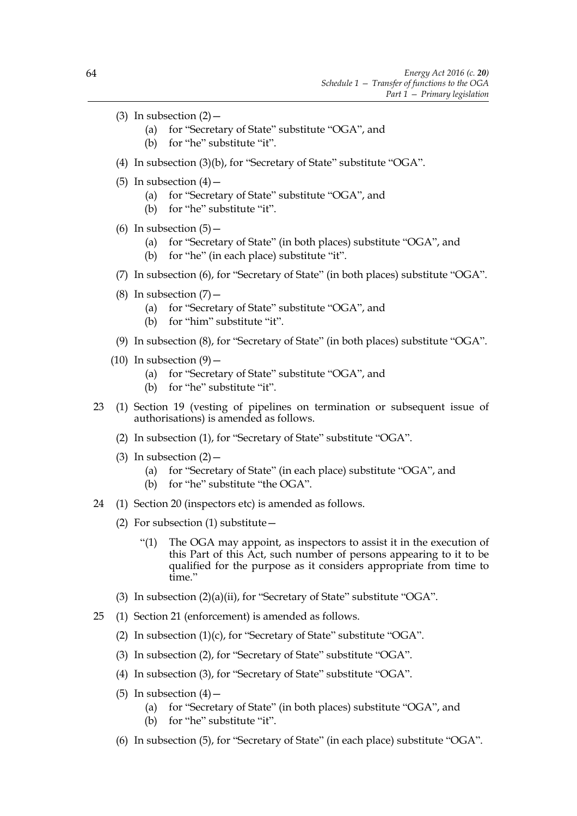- (3) In subsection  $(2)$ 
	- (a) for "Secretary of State" substitute "OGA", and
	- (b) for "he" substitute "it".
- (4) In subsection (3)(b), for "Secretary of State" substitute "OGA".
- (5) In subsection  $(4)$ 
	- (a) for "Secretary of State" substitute "OGA", and
	- (b) for "he" substitute "it".
- (6) In subsection  $(5)$  -
	- (a) for "Secretary of State" (in both places) substitute "OGA", and
	- (b) for "he" (in each place) substitute "it".
- (7) In subsection (6), for "Secretary of State" (in both places) substitute "OGA".
- (8) In subsection  $(7)$  -
	- (a) for "Secretary of State" substitute "OGA", and
	- (b) for "him" substitute "it".
- (9) In subsection (8), for "Secretary of State" (in both places) substitute "OGA".
- $(10)$  In subsection  $(9)$  -
	- (a) for "Secretary of State" substitute "OGA", and
	- (b) for "he" substitute "it".
- 23 (1) Section 19 (vesting of pipelines on termination or subsequent issue of authorisations) is amended as follows.
	- (2) In subsection (1), for "Secretary of State" substitute "OGA".
	- (3) In subsection  $(2)$ 
		- (a) for "Secretary of State" (in each place) substitute "OGA", and
		- (b) for "he" substitute "the OGA".
- 24 (1) Section 20 (inspectors etc) is amended as follows.
	- (2) For subsection (1) substitute  $-$ 
		- "(1) The OGA may appoint, as inspectors to assist it in the execution of this Part of this Act, such number of persons appearing to it to be qualified for the purpose as it considers appropriate from time to time."
	- (3) In subsection (2)(a)(ii), for "Secretary of State" substitute "OGA".
- 25 (1) Section 21 (enforcement) is amended as follows.
	- (2) In subsection (1)(c), for "Secretary of State" substitute "OGA".
	- (3) In subsection (2), for "Secretary of State" substitute "OGA".
	- (4) In subsection (3), for "Secretary of State" substitute "OGA".
	- (5) In subsection  $(4)$ 
		- (a) for "Secretary of State" (in both places) substitute "OGA", and
		- (b) for "he" substitute "it".
	- (6) In subsection (5), for "Secretary of State" (in each place) substitute "OGA".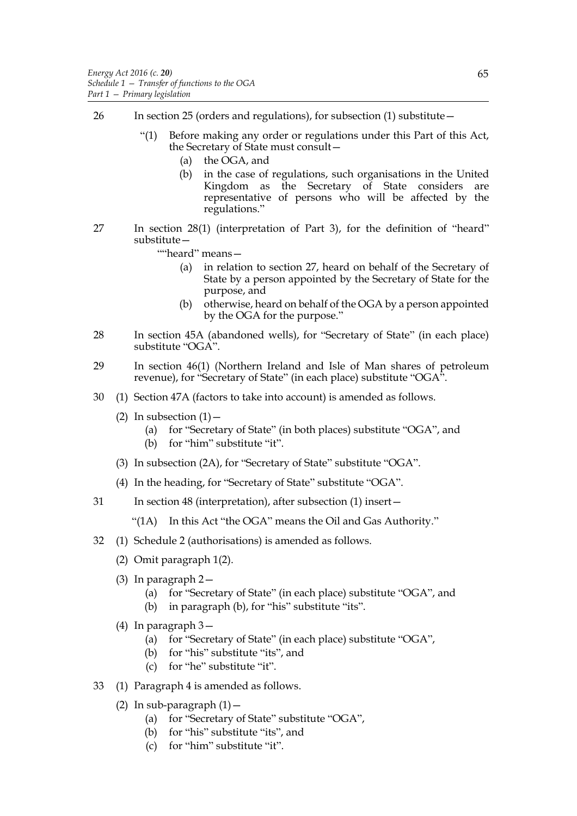- 26 In section 25 (orders and regulations), for subsection (1) substitute—
	- "(1) Before making any order or regulations under this Part of this Act, the Secretary of State must consult—
		- (a) the OGA, and
		- (b) in the case of regulations, such organisations in the United Kingdom as the Secretary of State considers are representative of persons who will be affected by the regulations."
- 27 In section 28(1) (interpretation of Part 3), for the definition of "heard" substitute—
	- ""heard" means—
		- (a) in relation to section 27, heard on behalf of the Secretary of State by a person appointed by the Secretary of State for the purpose, and
		- (b) otherwise, heard on behalf of the OGA by a person appointed by the OGA for the purpose."
- 28 In section 45A (abandoned wells), for "Secretary of State" (in each place) substitute "OGA".
- 29 In section 46(1) (Northern Ireland and Isle of Man shares of petroleum revenue), for "Secretary of State" (in each place) substitute "OGA".
- 30 (1) Section 47A (factors to take into account) is amended as follows.
	- (2) In subsection  $(1)$ 
		- (a) for "Secretary of State" (in both places) substitute "OGA", and
		- (b) for "him" substitute "it".
	- (3) In subsection (2A), for "Secretary of State" substitute "OGA".
	- (4) In the heading, for "Secretary of State" substitute "OGA".
- 31 In section 48 (interpretation), after subsection (1) insert—
	- "(1A) In this Act "the OGA" means the Oil and Gas Authority."
- 32 (1) Schedule 2 (authorisations) is amended as follows.
	- (2) Omit paragraph 1(2).
	- (3) In paragraph 2—
		- (a) for "Secretary of State" (in each place) substitute "OGA", and
		- (b) in paragraph (b), for "his" substitute "its".
	- (4) In paragraph 3—
		- (a) for "Secretary of State" (in each place) substitute "OGA",
		- (b) for "his" substitute "its", and
		- (c) for "he" substitute "it".
- 33 (1) Paragraph 4 is amended as follows.
	- (2) In sub-paragraph  $(1)$  -
		- (a) for "Secretary of State" substitute "OGA",
		- (b) for "his" substitute "its", and
		- (c) for "him" substitute "it".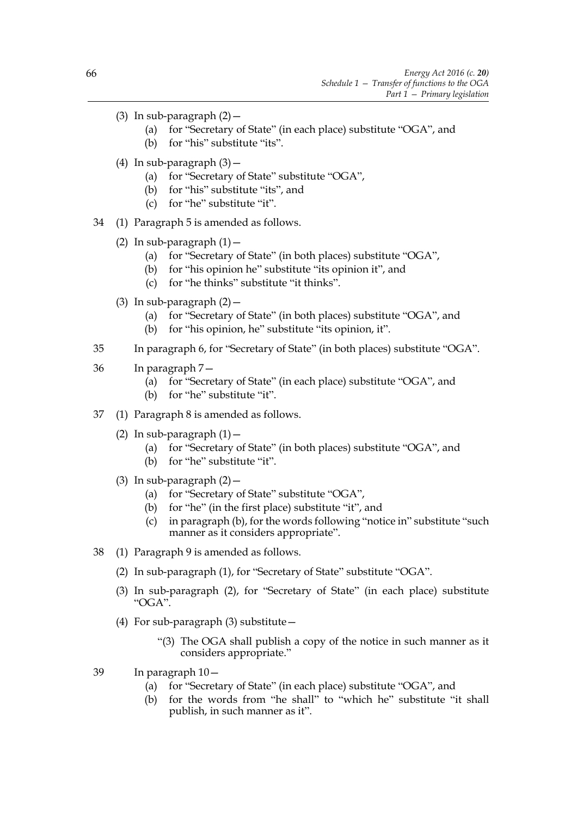- (3) In sub-paragraph  $(2)$  -
	- (a) for "Secretary of State" (in each place) substitute "OGA", and
	- (b) for "his" substitute "its".
- (4) In sub-paragraph  $(3)$  -
	- (a) for "Secretary of State" substitute "OGA",
	- (b) for "his" substitute "its", and
	- (c) for "he" substitute "it".
- 34 (1) Paragraph 5 is amended as follows.
	- (2) In sub-paragraph  $(1)$  -
		- (a) for "Secretary of State" (in both places) substitute "OGA",
		- (b) for "his opinion he" substitute "its opinion it", and
		- (c) for "he thinks" substitute "it thinks".
	- (3) In sub-paragraph  $(2)$  -
		- (a) for "Secretary of State" (in both places) substitute "OGA", and
		- (b) for "his opinion, he" substitute "its opinion, it".
- 35 In paragraph 6, for "Secretary of State" (in both places) substitute "OGA".
- 36 In paragraph 7—
	- (a) for "Secretary of State" (in each place) substitute "OGA", and
	- (b) for "he" substitute "it".
- 37 (1) Paragraph 8 is amended as follows.
	- (2) In sub-paragraph  $(1)$  -
		- (a) for "Secretary of State" (in both places) substitute "OGA", and
		- (b) for "he" substitute "it".
	- (3) In sub-paragraph  $(2)$  -
		- (a) for "Secretary of State" substitute "OGA",
		- (b) for "he" (in the first place) substitute "it", and
		- (c) in paragraph (b), for the words following "notice in" substitute "such manner as it considers appropriate".
- 38 (1) Paragraph 9 is amended as follows.
	- (2) In sub-paragraph (1), for "Secretary of State" substitute "OGA".
	- (3) In sub-paragraph (2), for "Secretary of State" (in each place) substitute "OGA".
	- (4) For sub-paragraph (3) substitute—
		- "(3) The OGA shall publish a copy of the notice in such manner as it considers appropriate."
- 39 In paragraph 10—
	- (a) for "Secretary of State" (in each place) substitute "OGA", and
	- (b) for the words from "he shall" to "which he" substitute "it shall publish, in such manner as it".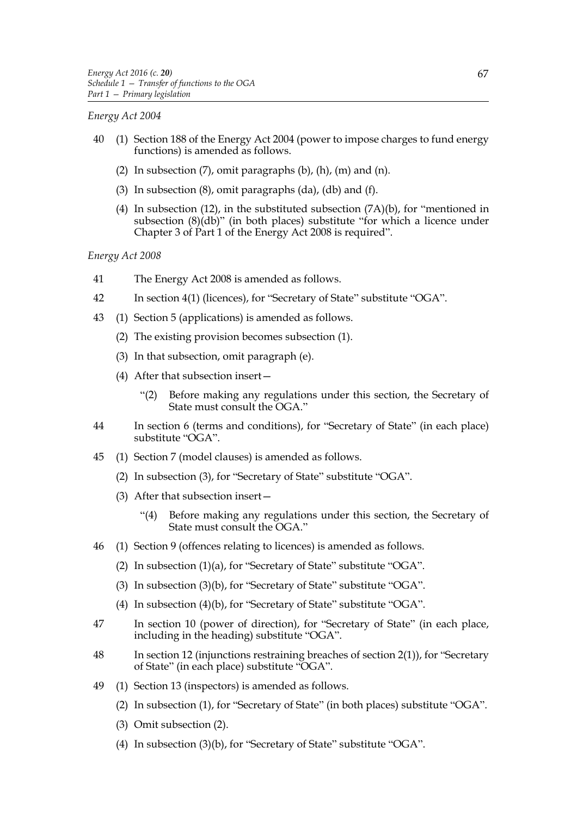# *Energy Act 2004*

- 40 (1) Section 188 of the Energy Act 2004 (power to impose charges to fund energy functions) is amended as follows.
	- (2) In subsection  $(7)$ , omit paragraphs  $(b)$ ,  $(h)$ ,  $(m)$  and  $(n)$ .
	- (3) In subsection (8), omit paragraphs (da), (db) and (f).
	- (4) In subsection (12), in the substituted subsection  $(7A)(b)$ , for "mentioned in subsection (8)(db)" (in both places) substitute "for which a licence under Chapter 3 of Part 1 of the Energy Act 2008 is required".

*Energy Act 2008*

- 41 The Energy Act 2008 is amended as follows.
- 42 In section 4(1) (licences), for "Secretary of State" substitute "OGA".
- 43 (1) Section 5 (applications) is amended as follows.
	- (2) The existing provision becomes subsection (1).
	- (3) In that subsection, omit paragraph (e).
	- (4) After that subsection insert—
		- "(2) Before making any regulations under this section, the Secretary of State must consult the OGA."
- 44 In section 6 (terms and conditions), for "Secretary of State" (in each place) substitute "OGA".
- 45 (1) Section 7 (model clauses) is amended as follows.
	- (2) In subsection (3), for "Secretary of State" substitute "OGA".
	- (3) After that subsection insert—
		- "(4) Before making any regulations under this section, the Secretary of State must consult the OGA."
- 46 (1) Section 9 (offences relating to licences) is amended as follows.
	- (2) In subsection (1)(a), for "Secretary of State" substitute "OGA".
	- (3) In subsection (3)(b), for "Secretary of State" substitute "OGA".
	- (4) In subsection (4)(b), for "Secretary of State" substitute "OGA".
- 47 In section 10 (power of direction), for "Secretary of State" (in each place, including in the heading) substitute "OGA".
- 48 In section 12 (injunctions restraining breaches of section 2(1)), for "Secretary of State" (in each place) substitute "OGA".
- 49 (1) Section 13 (inspectors) is amended as follows.
	- (2) In subsection (1), for "Secretary of State" (in both places) substitute "OGA".
	- (3) Omit subsection (2).
	- (4) In subsection (3)(b), for "Secretary of State" substitute "OGA".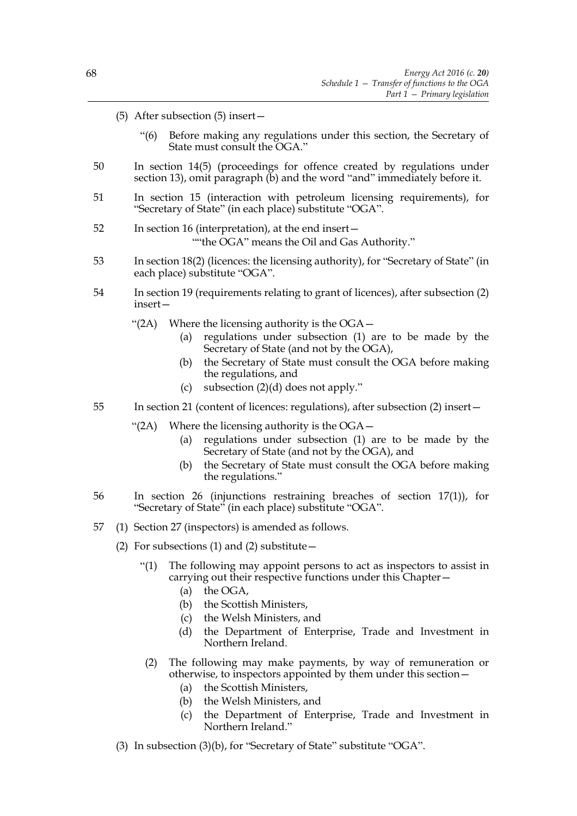- (5) After subsection (5) insert—
	- "(6) Before making any regulations under this section, the Secretary of State must consult the OGA."
- 50 In section 14(5) (proceedings for offence created by regulations under section 13), omit paragraph (b) and the word "and" immediately before it.
- 51 In section 15 (interaction with petroleum licensing requirements), for "Secretary of State" (in each place) substitute "OGA".
- 52 In section 16 (interpretation), at the end insert— ""the OGA" means the Oil and Gas Authority."
- 53 In section 18(2) (licences: the licensing authority), for "Secretary of State" (in each place) substitute "OGA".
- 54 In section 19 (requirements relating to grant of licences), after subsection (2) insert—
	- "(2A) Where the licensing authority is the  $OGA-$ 
		- (a) regulations under subsection (1) are to be made by the Secretary of State (and not by the OGA),
		- (b) the Secretary of State must consult the OGA before making the regulations, and
		- (c) subsection (2)(d) does not apply."
- 55 In section 21 (content of licences: regulations), after subsection (2) insert—
	- " $(2A)$  Where the licensing authority is the OGA $-$ 
		- (a) regulations under subsection (1) are to be made by the Secretary of State (and not by the OGA), and
		- (b) the Secretary of State must consult the OGA before making the regulations."
- 56 In section 26 (injunctions restraining breaches of section 17(1)), for "Secretary of State" (in each place) substitute "OGA".
- 57 (1) Section 27 (inspectors) is amended as follows.
	- (2) For subsections (1) and (2) substitute  $-$ 
		- "(1) The following may appoint persons to act as inspectors to assist in carrying out their respective functions under this Chapter—
			- (a) the OGA,
			- (b) the Scottish Ministers,
			- (c) the Welsh Ministers, and
			- (d) the Department of Enterprise, Trade and Investment in Northern Ireland.
		- (2) The following may make payments, by way of remuneration or otherwise, to inspectors appointed by them under this section—
			- (a) the Scottish Ministers,
			- (b) the Welsh Ministers, and
			- (c) the Department of Enterprise, Trade and Investment in Northern Ireland."
	- (3) In subsection (3)(b), for "Secretary of State" substitute "OGA".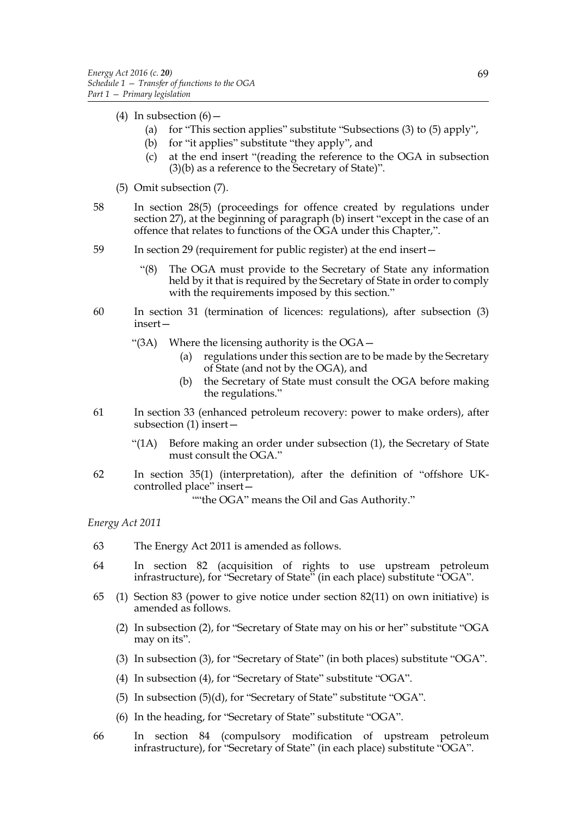- (4) In subsection  $(6)$ 
	- (a) for "This section applies" substitute "Subsections (3) to (5) apply",
	- (b) for "it applies" substitute "they apply", and
	- (c) at the end insert "(reading the reference to the OGA in subsection (3)(b) as a reference to the Secretary of State)".
- (5) Omit subsection (7).
- 58 In section 28(5) (proceedings for offence created by regulations under section 27), at the beginning of paragraph (b) insert "except in the case of an offence that relates to functions of the OGA under this Chapter,".
- 59 In section 29 (requirement for public register) at the end insert—
	- "(8) The OGA must provide to the Secretary of State any information held by it that is required by the Secretary of State in order to comply with the requirements imposed by this section."
- 60 In section 31 (termination of licences: regulations), after subsection (3) insert—
	- "(3A) Where the licensing authority is the OGA—
		- (a) regulations under this section are to be made by the Secretary of State (and not by the OGA), and
		- (b) the Secretary of State must consult the OGA before making the regulations."
- 61 In section 33 (enhanced petroleum recovery: power to make orders), after subsection (1) insert—
	- "(1A) Before making an order under subsection (1), the Secretary of State must consult the OGA."
- 62 In section 35(1) (interpretation), after the definition of "offshore UKcontrolled place" insert—

""the OGA" means the Oil and Gas Authority."

*Energy Act 2011*

- 63 The Energy Act 2011 is amended as follows.
- 64 In section 82 (acquisition of rights to use upstream petroleum infrastructure), for "Secretary of State" (in each place) substitute "OGA".
- 65 (1) Section 83 (power to give notice under section 82(11) on own initiative) is amended as follows.
	- (2) In subsection (2), for "Secretary of State may on his or her" substitute "OGA may on its".
	- (3) In subsection (3), for "Secretary of State" (in both places) substitute "OGA".
	- (4) In subsection (4), for "Secretary of State" substitute "OGA".
	- (5) In subsection (5)(d), for "Secretary of State" substitute "OGA".
	- (6) In the heading, for "Secretary of State" substitute "OGA".
- 66 In section 84 (compulsory modification of upstream petroleum infrastructure), for "Secretary of State" (in each place) substitute "OGA".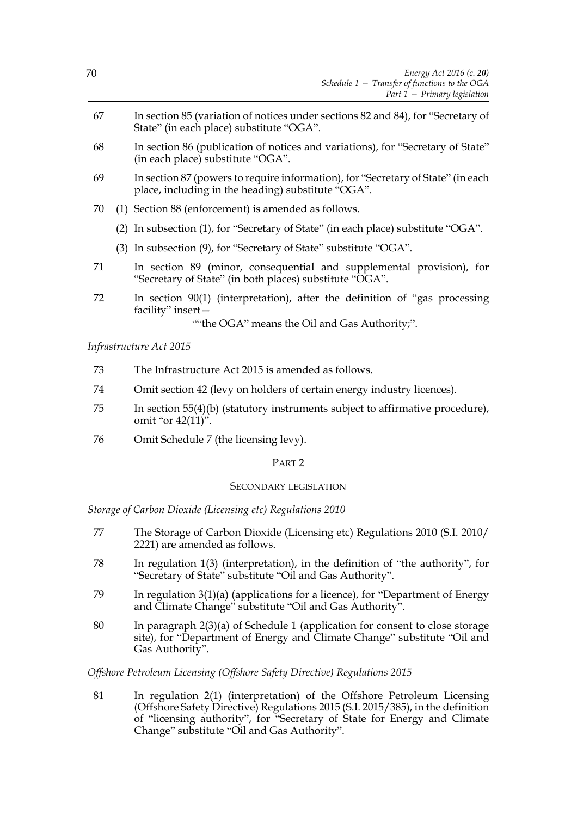- 67 In section 85 (variation of notices under sections 82 and 84), for "Secretary of State" (in each place) substitute "OGA".
- 68 In section 86 (publication of notices and variations), for "Secretary of State" (in each place) substitute "OGA".
- 69 In section 87 (powers to require information), for "Secretary of State" (in each place, including in the heading) substitute "OGA".
- 70 (1) Section 88 (enforcement) is amended as follows.
	- (2) In subsection (1), for "Secretary of State" (in each place) substitute "OGA".
	- (3) In subsection (9), for "Secretary of State" substitute "OGA".
- 71 In section 89 (minor, consequential and supplemental provision), for "Secretary of State" (in both places) substitute "OGA".
- 72 In section 90(1) (interpretation), after the definition of "gas processing facility" insert—

""the OGA" means the Oil and Gas Authority;".

*Infrastructure Act 2015*

- 73 The Infrastructure Act 2015 is amended as follows.
- 74 Omit section 42 (levy on holders of certain energy industry licences).
- 75 In section 55(4)(b) (statutory instruments subject to affirmative procedure), omit "or  $42(11)$ ".
- 76 Omit Schedule 7 (the licensing levy).

# PART 2

# SECONDARY LEGISLATION

*Storage of Carbon Dioxide (Licensing etc) Regulations 2010*

- 77 The Storage of Carbon Dioxide (Licensing etc) Regulations 2010 (S.I. 2010/ 2221) are amended as follows.
- 78 In regulation 1(3) (interpretation), in the definition of "the authority", for "Secretary of State" substitute "Oil and Gas Authority".
- 79 In regulation 3(1)(a) (applications for a licence), for "Department of Energy and Climate Change" substitute "Oil and Gas Authority".
- 80 In paragraph 2(3)(a) of Schedule 1 (application for consent to close storage site), for "Department of Energy and Climate Change" substitute "Oil and Gas Authority".

*Offshore Petroleum Licensing (Offshore Safety Directive) Regulations 2015*

81 In regulation 2(1) (interpretation) of the Offshore Petroleum Licensing (Offshore Safety Directive) Regulations 2015 (S.I. 2015/385), in the definition of "licensing authority", for "Secretary of State for Energy and Climate Change" substitute "Oil and Gas Authority".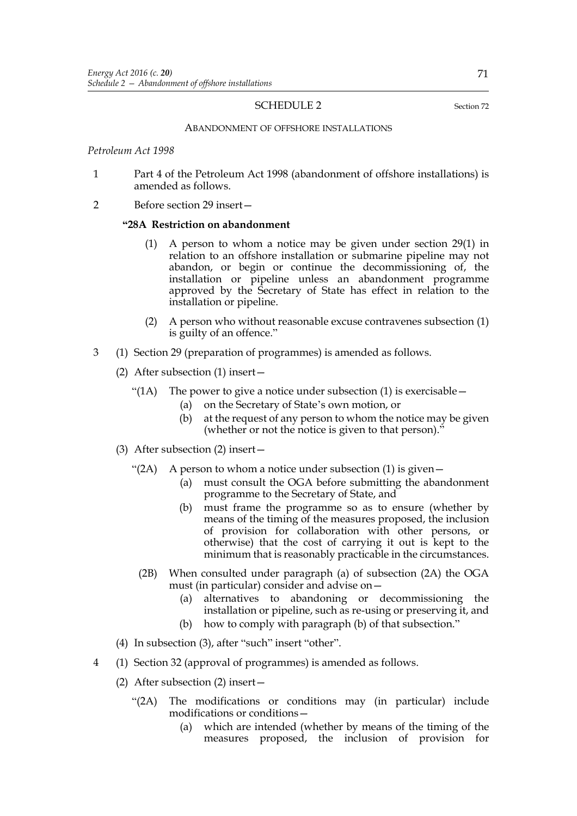#### SCHEDULE 2 Section 72

#### ABANDONMENT OF OFFSHORE INSTALLATIONS

*Petroleum Act 1998*

- 1 Part 4 of the Petroleum Act 1998 (abandonment of offshore installations) is amended as follows.
- 2 Before section 29 insert—

#### **"28A Restriction on abandonment**

- (1) A person to whom a notice may be given under section 29(1) in relation to an offshore installation or submarine pipeline may not abandon, or begin or continue the decommissioning of, the installation or pipeline unless an abandonment programme approved by the Secretary of State has effect in relation to the installation or pipeline.
- (2) A person who without reasonable excuse contravenes subsection (1) is guilty of an offence."
- 3 (1) Section 29 (preparation of programmes) is amended as follows.
	- (2) After subsection (1) insert—
		- "(1A) The power to give a notice under subsection (1) is exercisable  $-$ 
			- (a) on the Secretary of State's own motion, or
			- (b) at the request of any person to whom the notice may be given (whether or not the notice is given to that person)."
	- (3) After subsection (2) insert—
		- "(2A) A person to whom a notice under subsection  $(1)$  is given -
			- (a) must consult the OGA before submitting the abandonment programme to the Secretary of State, and
			- (b) must frame the programme so as to ensure (whether by means of the timing of the measures proposed, the inclusion of provision for collaboration with other persons, or otherwise) that the cost of carrying it out is kept to the minimum that is reasonably practicable in the circumstances.
			- (2B) When consulted under paragraph (a) of subsection (2A) the OGA must (in particular) consider and advise on—
				- (a) alternatives to abandoning or decommissioning the installation or pipeline, such as re-using or preserving it, and
				- (b) how to comply with paragraph (b) of that subsection."
	- (4) In subsection (3), after "such" insert "other".
- 4 (1) Section 32 (approval of programmes) is amended as follows.
	- (2) After subsection (2) insert—
		- "(2A) The modifications or conditions may (in particular) include modifications or conditions—
			- (a) which are intended (whether by means of the timing of the measures proposed, the inclusion of provision for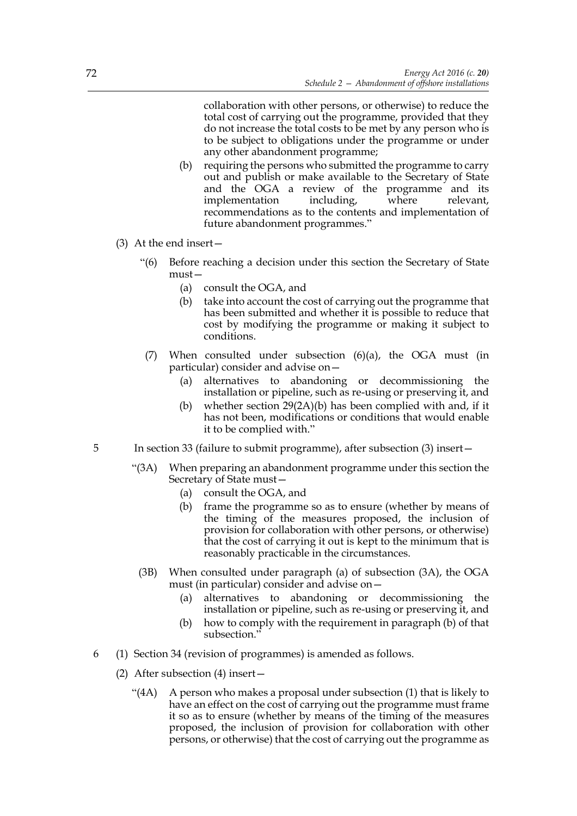collaboration with other persons, or otherwise) to reduce the total cost of carrying out the programme, provided that they do not increase the total costs to be met by any person who is to be subject to obligations under the programme or under any other abandonment programme;

- (b) requiring the persons who submitted the programme to carry out and publish or make available to the Secretary of State and the OGA a review of the programme and its implementation including, where relevant, recommendations as to the contents and implementation of future abandonment programmes."
- (3) At the end insert—
	- "(6) Before reaching a decision under this section the Secretary of State must—
		- (a) consult the OGA, and
		- (b) take into account the cost of carrying out the programme that has been submitted and whether it is possible to reduce that cost by modifying the programme or making it subject to conditions.
	- (7) When consulted under subsection (6)(a), the OGA must (in particular) consider and advise on—
		- (a) alternatives to abandoning or decommissioning the installation or pipeline, such as re-using or preserving it, and
		- (b) whether section 29(2A)(b) has been complied with and, if it has not been, modifications or conditions that would enable it to be complied with."
- 5 In section 33 (failure to submit programme), after subsection (3) insert—
	- "(3A) When preparing an abandonment programme under this section the Secretary of State must—
		- (a) consult the OGA, and
		- (b) frame the programme so as to ensure (whether by means of the timing of the measures proposed, the inclusion of provision for collaboration with other persons, or otherwise) that the cost of carrying it out is kept to the minimum that is reasonably practicable in the circumstances.
		- (3B) When consulted under paragraph (a) of subsection (3A), the OGA must (in particular) consider and advise on—
			- (a) alternatives to abandoning or decommissioning the installation or pipeline, such as re-using or preserving it, and
			- (b) how to comply with the requirement in paragraph (b) of that subsection."
- 6 (1) Section 34 (revision of programmes) is amended as follows.
	- (2) After subsection (4) insert—
		- "(4A) A person who makes a proposal under subsection (1) that is likely to have an effect on the cost of carrying out the programme must frame it so as to ensure (whether by means of the timing of the measures proposed, the inclusion of provision for collaboration with other persons, or otherwise) that the cost of carrying out the programme as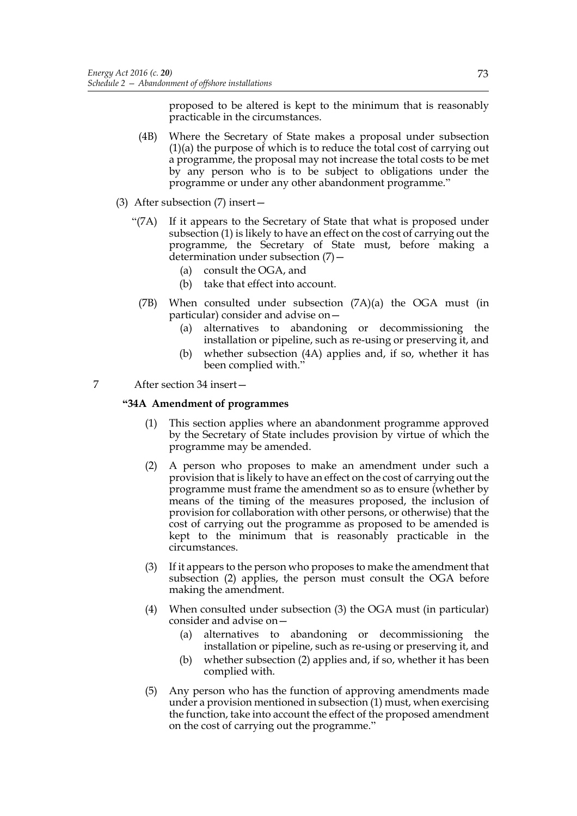proposed to be altered is kept to the minimum that is reasonably practicable in the circumstances.

- (4B) Where the Secretary of State makes a proposal under subsection (1)(a) the purpose of which is to reduce the total cost of carrying out a programme, the proposal may not increase the total costs to be met by any person who is to be subject to obligations under the programme or under any other abandonment programme."
- (3) After subsection (7) insert—
	- "(7A) If it appears to the Secretary of State that what is proposed under subsection (1) is likely to have an effect on the cost of carrying out the programme, the Secretary of State must, before making a determination under subsection (7)—
		- (a) consult the OGA, and
		- (b) take that effect into account.
		- (7B) When consulted under subsection (7A)(a) the OGA must (in particular) consider and advise on—
			- (a) alternatives to abandoning or decommissioning the installation or pipeline, such as re-using or preserving it, and
			- (b) whether subsection (4A) applies and, if so, whether it has been complied with."
- 7 After section 34 insert—

# **"34A Amendment of programmes**

- (1) This section applies where an abandonment programme approved by the Secretary of State includes provision by virtue of which the programme may be amended.
- (2) A person who proposes to make an amendment under such a provision that is likely to have an effect on the cost of carrying out the programme must frame the amendment so as to ensure (whether by means of the timing of the measures proposed, the inclusion of provision for collaboration with other persons, or otherwise) that the cost of carrying out the programme as proposed to be amended is kept to the minimum that is reasonably practicable in the circumstances.
- (3) If it appears to the person who proposes to make the amendment that subsection (2) applies, the person must consult the OGA before making the amendment.
- (4) When consulted under subsection (3) the OGA must (in particular) consider and advise on—
	- (a) alternatives to abandoning or decommissioning the installation or pipeline, such as re-using or preserving it, and
	- (b) whether subsection (2) applies and, if so, whether it has been complied with.
- (5) Any person who has the function of approving amendments made under a provision mentioned in subsection (1) must, when exercising the function, take into account the effect of the proposed amendment on the cost of carrying out the programme."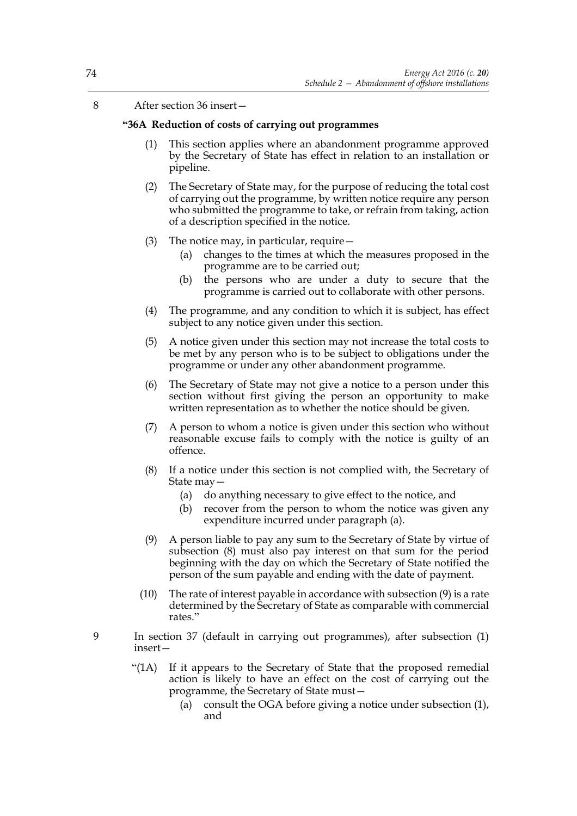8 After section 36 insert—

# **"36A Reduction of costs of carrying out programmes**

- (1) This section applies where an abandonment programme approved by the Secretary of State has effect in relation to an installation or pipeline.
- (2) The Secretary of State may, for the purpose of reducing the total cost of carrying out the programme, by written notice require any person who submitted the programme to take, or refrain from taking, action of a description specified in the notice.
- (3) The notice may, in particular, require—
	- (a) changes to the times at which the measures proposed in the programme are to be carried out;
	- (b) the persons who are under a duty to secure that the programme is carried out to collaborate with other persons.
- (4) The programme, and any condition to which it is subject, has effect subject to any notice given under this section.
- (5) A notice given under this section may not increase the total costs to be met by any person who is to be subject to obligations under the programme or under any other abandonment programme.
- (6) The Secretary of State may not give a notice to a person under this section without first giving the person an opportunity to make written representation as to whether the notice should be given.
- (7) A person to whom a notice is given under this section who without reasonable excuse fails to comply with the notice is guilty of an offence.
- (8) If a notice under this section is not complied with, the Secretary of State may—
	- (a) do anything necessary to give effect to the notice, and
	- (b) recover from the person to whom the notice was given any expenditure incurred under paragraph (a).
- (9) A person liable to pay any sum to the Secretary of State by virtue of subsection (8) must also pay interest on that sum for the period beginning with the day on which the Secretary of State notified the person of the sum payable and ending with the date of payment.
- (10) The rate of interest payable in accordance with subsection (9) is a rate determined by the Secretary of State as comparable with commercial rates."
- 9 In section 37 (default in carrying out programmes), after subsection (1) insert—
	- "(1A) If it appears to the Secretary of State that the proposed remedial action is likely to have an effect on the cost of carrying out the programme, the Secretary of State must—
		- (a) consult the OGA before giving a notice under subsection (1), and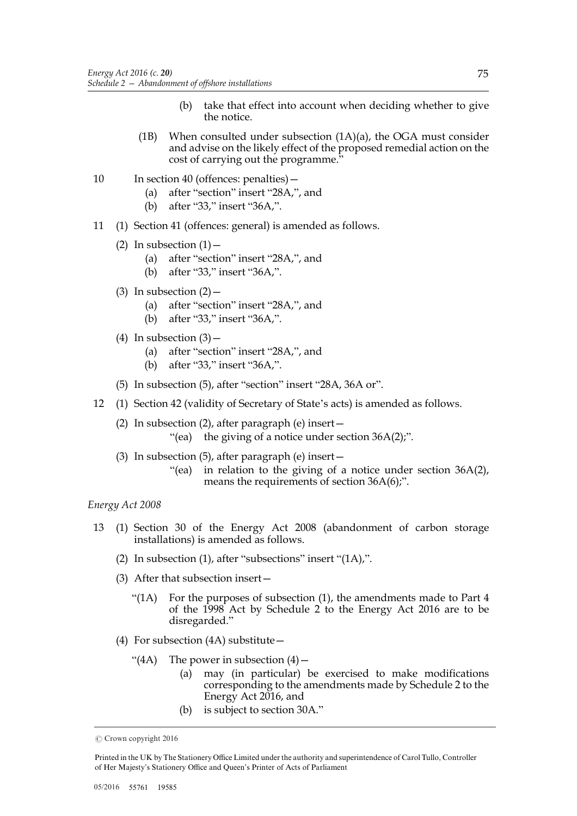- (b) take that effect into account when deciding whether to give the notice.
- (1B) When consulted under subsection (1A)(a), the OGA must consider and advise on the likely effect of the proposed remedial action on the cost of carrying out the programme."
- 10 In section 40 (offences: penalties)
	- (a) after "section" insert "28A,", and
	- (b) after "33," insert "36A,".
- 11 (1) Section 41 (offences: general) is amended as follows.
	- (2) In subsection  $(1)$ 
		- (a) after "section" insert "28A,", and
		- (b) after "33," insert "36A,".
	- (3) In subsection  $(2)$ 
		- (a) after "section" insert "28A,", and
		- (b) after "33," insert "36A,".
	- (4) In subsection  $(3)$ 
		- (a) after "section" insert "28A,", and
		- (b) after "33," insert "36A,".
	- (5) In subsection (5), after "section" insert "28A, 36A or".
- 12 (1) Section 42 (validity of Secretary of State's acts) is amended as follows.
	- (2) In subsection (2), after paragraph (e) insert— "(ea) the giving of a notice under section  $36A(2)$ ;".
	- (3) In subsection (5), after paragraph (e) insert—
		- "(ea) in relation to the giving of a notice under section 36A(2), means the requirements of section 36A(6);".

### *Energy Act 2008*

- 13 (1) Section 30 of the Energy Act 2008 (abandonment of carbon storage installations) is amended as follows.
	- (2) In subsection (1), after "subsections" insert " $(1A)$ ,".
	- (3) After that subsection insert—
		- " $(1A)$  For the purposes of subsection  $(1)$ , the amendments made to Part 4 of the 1998 Act by Schedule 2 to the Energy Act 2016 are to be disregarded."
	- (4) For subsection (4A) substitute—
		- "(4A) The power in subsection  $(4)$ 
			- (a) may (in particular) be exercised to make modifications corresponding to the amendments made by Schedule 2 to the Energy Act 2016, and
			- (b) is subject to section 30A."

Printed in the UK by The Stationery Office Limited under the authority and superintendence of Carol Tullo, Controller of Her Majesty's Stationery Office and Queen's Printer of Acts of Parliament

 $©$  Crown copyright 2016